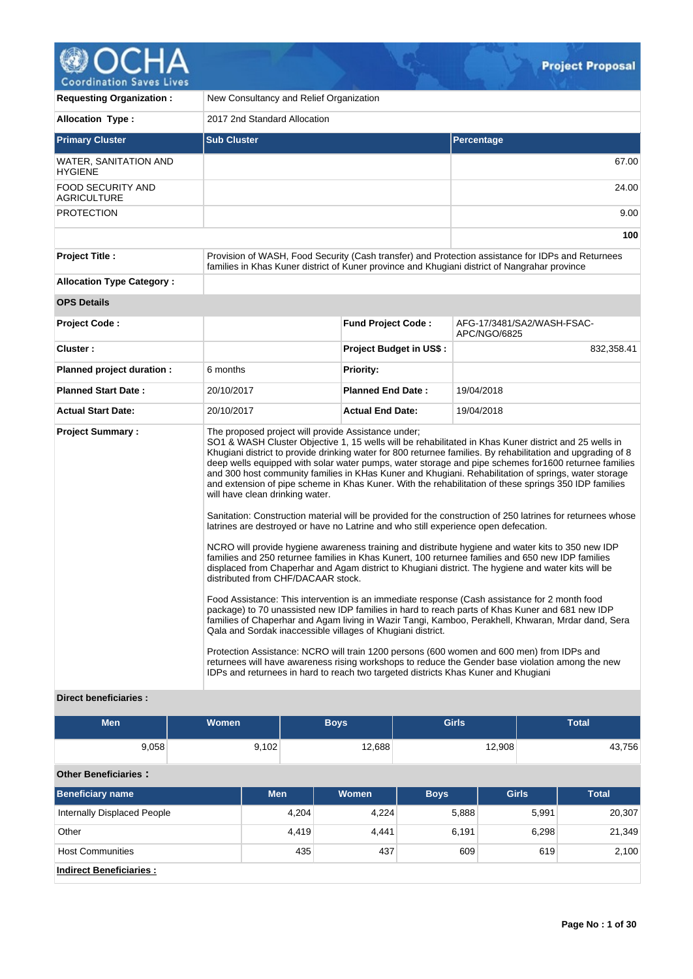

| <b>Requesting Organization:</b>         | New Consultancy and Relief Organization                                                                                                                                                                             |                           |                                                                                                                                                                                                                                                                                                                                                                                                                                                                                                                                                                                                                                                                                                                                                                                                                                                                                                                                                                                |  |  |  |  |  |
|-----------------------------------------|---------------------------------------------------------------------------------------------------------------------------------------------------------------------------------------------------------------------|---------------------------|--------------------------------------------------------------------------------------------------------------------------------------------------------------------------------------------------------------------------------------------------------------------------------------------------------------------------------------------------------------------------------------------------------------------------------------------------------------------------------------------------------------------------------------------------------------------------------------------------------------------------------------------------------------------------------------------------------------------------------------------------------------------------------------------------------------------------------------------------------------------------------------------------------------------------------------------------------------------------------|--|--|--|--|--|
| <b>Allocation Type:</b>                 | 2017 2nd Standard Allocation                                                                                                                                                                                        |                           |                                                                                                                                                                                                                                                                                                                                                                                                                                                                                                                                                                                                                                                                                                                                                                                                                                                                                                                                                                                |  |  |  |  |  |
| <b>Primary Cluster</b>                  | <b>Sub Cluster</b>                                                                                                                                                                                                  |                           | <b>Percentage</b>                                                                                                                                                                                                                                                                                                                                                                                                                                                                                                                                                                                                                                                                                                                                                                                                                                                                                                                                                              |  |  |  |  |  |
| WATER, SANITATION AND<br><b>HYGIENE</b> |                                                                                                                                                                                                                     |                           | 67.00                                                                                                                                                                                                                                                                                                                                                                                                                                                                                                                                                                                                                                                                                                                                                                                                                                                                                                                                                                          |  |  |  |  |  |
| FOOD SECURITY AND<br><b>AGRICULTURE</b> |                                                                                                                                                                                                                     |                           | 24.00                                                                                                                                                                                                                                                                                                                                                                                                                                                                                                                                                                                                                                                                                                                                                                                                                                                                                                                                                                          |  |  |  |  |  |
| <b>PROTECTION</b>                       |                                                                                                                                                                                                                     |                           | 9.00                                                                                                                                                                                                                                                                                                                                                                                                                                                                                                                                                                                                                                                                                                                                                                                                                                                                                                                                                                           |  |  |  |  |  |
|                                         |                                                                                                                                                                                                                     |                           | 100                                                                                                                                                                                                                                                                                                                                                                                                                                                                                                                                                                                                                                                                                                                                                                                                                                                                                                                                                                            |  |  |  |  |  |
| <b>Project Title:</b>                   | families in Khas Kuner district of Kuner province and Khugiani district of Nangrahar province                                                                                                                       |                           | Provision of WASH, Food Security (Cash transfer) and Protection assistance for IDPs and Returnees                                                                                                                                                                                                                                                                                                                                                                                                                                                                                                                                                                                                                                                                                                                                                                                                                                                                              |  |  |  |  |  |
| <b>Allocation Type Category:</b>        |                                                                                                                                                                                                                     |                           |                                                                                                                                                                                                                                                                                                                                                                                                                                                                                                                                                                                                                                                                                                                                                                                                                                                                                                                                                                                |  |  |  |  |  |
| <b>OPS Details</b>                      |                                                                                                                                                                                                                     |                           |                                                                                                                                                                                                                                                                                                                                                                                                                                                                                                                                                                                                                                                                                                                                                                                                                                                                                                                                                                                |  |  |  |  |  |
| <b>Project Code:</b>                    |                                                                                                                                                                                                                     | <b>Fund Project Code:</b> | AFG-17/3481/SA2/WASH-FSAC-<br>APC/NGO/6825                                                                                                                                                                                                                                                                                                                                                                                                                                                                                                                                                                                                                                                                                                                                                                                                                                                                                                                                     |  |  |  |  |  |
| Cluster:                                |                                                                                                                                                                                                                     | Project Budget in US\$ :  | 832,358.41                                                                                                                                                                                                                                                                                                                                                                                                                                                                                                                                                                                                                                                                                                                                                                                                                                                                                                                                                                     |  |  |  |  |  |
| Planned project duration :              | 6 months                                                                                                                                                                                                            | <b>Priority:</b>          |                                                                                                                                                                                                                                                                                                                                                                                                                                                                                                                                                                                                                                                                                                                                                                                                                                                                                                                                                                                |  |  |  |  |  |
| <b>Planned Start Date:</b>              | 20/10/2017                                                                                                                                                                                                          | <b>Planned End Date:</b>  | 19/04/2018                                                                                                                                                                                                                                                                                                                                                                                                                                                                                                                                                                                                                                                                                                                                                                                                                                                                                                                                                                     |  |  |  |  |  |
| <b>Actual Start Date:</b>               | 20/10/2017                                                                                                                                                                                                          | <b>Actual End Date:</b>   | 19/04/2018                                                                                                                                                                                                                                                                                                                                                                                                                                                                                                                                                                                                                                                                                                                                                                                                                                                                                                                                                                     |  |  |  |  |  |
| <b>Project Summary:</b>                 | The proposed project will provide Assistance under;<br>will have clean drinking water.<br>latrines are destroyed or have no Latrine and who still experience open defecation.<br>distributed from CHF/DACAAR stock. |                           | SO1 & WASH Cluster Objective 1, 15 wells will be rehabilitated in Khas Kuner district and 25 wells in<br>Khugiani district to provide drinking water for 800 returnee families. By rehabilitation and upgrading of 8<br>deep wells equipped with solar water pumps, water storage and pipe schemes for 1600 returnee families<br>and 300 host community families in KHas Kuner and Khugiani. Rehabilitation of springs, water storage<br>and extension of pipe scheme in Khas Kuner. With the rehabilitation of these springs 350 IDP families<br>Sanitation: Construction material will be provided for the construction of 250 latrines for returnees whose<br>NCRO will provide hygiene awareness training and distribute hygiene and water kits to 350 new IDP<br>families and 250 returnee families in Khas Kunert, 100 returnee families and 650 new IDP families<br>displaced from Chaperhar and Agam district to Khugiani district. The hygiene and water kits will be |  |  |  |  |  |
|                                         | Qala and Sordak inaccessible villages of Khugiani district.<br>IDPs and returnees in hard to reach two targeted districts Khas Kuner and Khugiani                                                                   |                           | Food Assistance: This intervention is an immediate response (Cash assistance for 2 month food<br>package) to 70 unassisted new IDP families in hard to reach parts of Khas Kuner and 681 new IDP<br>families of Chaperhar and Agam living in Wazir Tangi, Kamboo, Perakhell, Khwaran, Mrdar dand, Sera<br>Protection Assistance: NCRO will train 1200 persons (600 women and 600 men) from IDPs and<br>returnees will have awareness rising workshops to reduce the Gender base violation among the new                                                                                                                                                                                                                                                                                                                                                                                                                                                                        |  |  |  |  |  |
| <b>Direct beneficiaries:</b>            |                                                                                                                                                                                                                     |                           |                                                                                                                                                                                                                                                                                                                                                                                                                                                                                                                                                                                                                                                                                                                                                                                                                                                                                                                                                                                |  |  |  |  |  |

|  | Direct beneficiaries: |  |
|--|-----------------------|--|
|--|-----------------------|--|

| <b>Men</b>                         | Women      |        | <b>Boys</b> | <b>Girls</b> |              | <b>Total</b> |
|------------------------------------|------------|--------|-------------|--------------|--------------|--------------|
| 9,058                              | 9,102      | 12,688 |             |              | 12,908       | 43,756       |
| <b>Other Beneficiaries:</b>        |            |        |             |              |              |              |
| <b>Beneficiary name</b>            | <b>Men</b> |        | Women       | <b>Boys</b>  | <b>Girls</b> | <b>Total</b> |
| <b>Internally Displaced People</b> |            | 4,204  | 4,224       | 5,888        | 5,991        | 20,307       |
| Other                              |            | 4,419  | 4,441       | 6,191        | 6,298        | 21,349       |
| <b>Host Communities</b>            |            | 435    | 437         | 609          | 619          | 2,100        |
| <b>Indirect Beneficiaries:</b>     |            |        |             |              |              |              |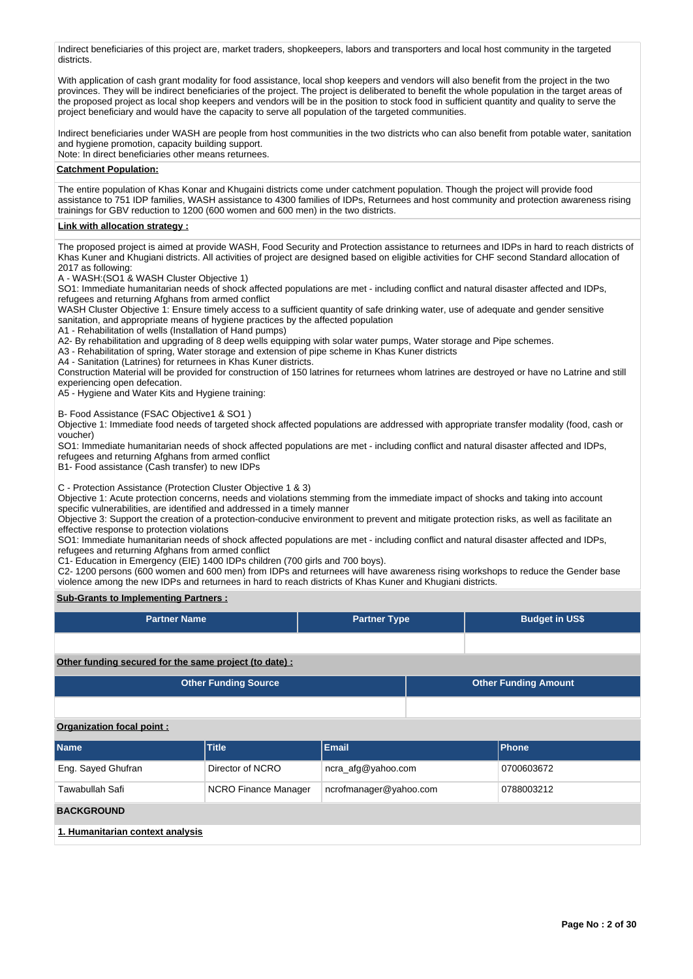Indirect beneficiaries of this project are, market traders, shopkeepers, labors and transporters and local host community in the targeted districts.

With application of cash grant modality for food assistance, local shop keepers and vendors will also benefit from the project in the two provinces. They will be indirect beneficiaries of the project. The project is deliberated to benefit the whole population in the target areas of the proposed project as local shop keepers and vendors will be in the position to stock food in sufficient quantity and quality to serve the project beneficiary and would have the capacity to serve all population of the targeted communities.

Indirect beneficiaries under WASH are people from host communities in the two districts who can also benefit from potable water, sanitation and hygiene promotion, capacity building support.

Note: In direct beneficiaries other means returnees.

### **Catchment Population:**

The entire population of Khas Konar and Khugaini districts come under catchment population. Though the project will provide food assistance to 751 IDP families, WASH assistance to 4300 families of IDPs, Returnees and host community and protection awareness rising trainings for GBV reduction to 1200 (600 women and 600 men) in the two districts.

### **Link with allocation strategy :**

The proposed project is aimed at provide WASH, Food Security and Protection assistance to returnees and IDPs in hard to reach districts of Khas Kuner and Khugiani districts. All activities of project are designed based on eligible activities for CHF second Standard allocation of 2017 as following:

A - WASH:(SO1 & WASH Cluster Objective 1)

SO1: Immediate humanitarian needs of shock affected populations are met - including conflict and natural disaster affected and IDPs, refugees and returning Afghans from armed conflict

WASH Cluster Objective 1: Ensure timely access to a sufficient quantity of safe drinking water, use of adequate and gender sensitive sanitation, and appropriate means of hygiene practices by the affected population

A1 - Rehabilitation of wells (Installation of Hand pumps)

A2- By rehabilitation and upgrading of 8 deep wells equipping with solar water pumps, Water storage and Pipe schemes.

A3 - Rehabilitation of spring, Water storage and extension of pipe scheme in Khas Kuner districts

A4 - Sanitation (Latrines) for returnees in Khas Kuner districts.

Construction Material will be provided for construction of 150 latrines for returnees whom latrines are destroyed or have no Latrine and still experiencing open defecation.

A5 - Hygiene and Water Kits and Hygiene training:

B- Food Assistance (FSAC Objective1 & SO1 )

Objective 1: Immediate food needs of targeted shock affected populations are addressed with appropriate transfer modality (food, cash or voucher)

SO1: Immediate humanitarian needs of shock affected populations are met - including conflict and natural disaster affected and IDPs, refugees and returning Afghans from armed conflict

B1- Food assistance (Cash transfer) to new IDPs

C - Protection Assistance (Protection Cluster Objective 1 & 3)

Objective 1: Acute protection concerns, needs and violations stemming from the immediate impact of shocks and taking into account specific vulnerabilities, are identified and addressed in a timely manner

Objective 3: Support the creation of a protection-conducive environment to prevent and mitigate protection risks, as well as facilitate an effective response to protection violations

SO1: Immediate humanitarian needs of shock affected populations are met - including conflict and natural disaster affected and IDPs, refugees and returning Afghans from armed conflict

C1- Education in Emergency (EIE) 1400 IDPs children (700 girls and 700 boys).

C2- 1200 persons (600 women and 600 men) from IDPs and returnees will have awareness rising workshops to reduce the Gender base violence among the new IDPs and returnees in hard to reach districts of Khas Kuner and Khugiani districts.

### **Sub-Grants to Implementing Partners :**

| <b>Partner Name</b>                                   | <b>Partner Type</b> | <b>Budget in US\$</b>       |
|-------------------------------------------------------|---------------------|-----------------------------|
|                                                       |                     |                             |
| Other funding secured for the same project (to date): |                     |                             |
| <b>Other Funding Source</b>                           |                     | <b>Other Funding Amount</b> |
|                                                       |                     |                             |

### **Organization focal point :**

| <b>Name</b>                      | <b>Title</b>         | <b>Email</b>           | Phone      |
|----------------------------------|----------------------|------------------------|------------|
| Eng. Sayed Ghufran               | Director of NCRO     | ncra_afg@yahoo.com     | 0700603672 |
| Tawabullah Safi                  | NCRO Finance Manager | ncrofmanager@yahoo.com | 0788003212 |
| <b>BACKGROUND</b>                |                      |                        |            |
| 1. Humanitarian context analysis |                      |                        |            |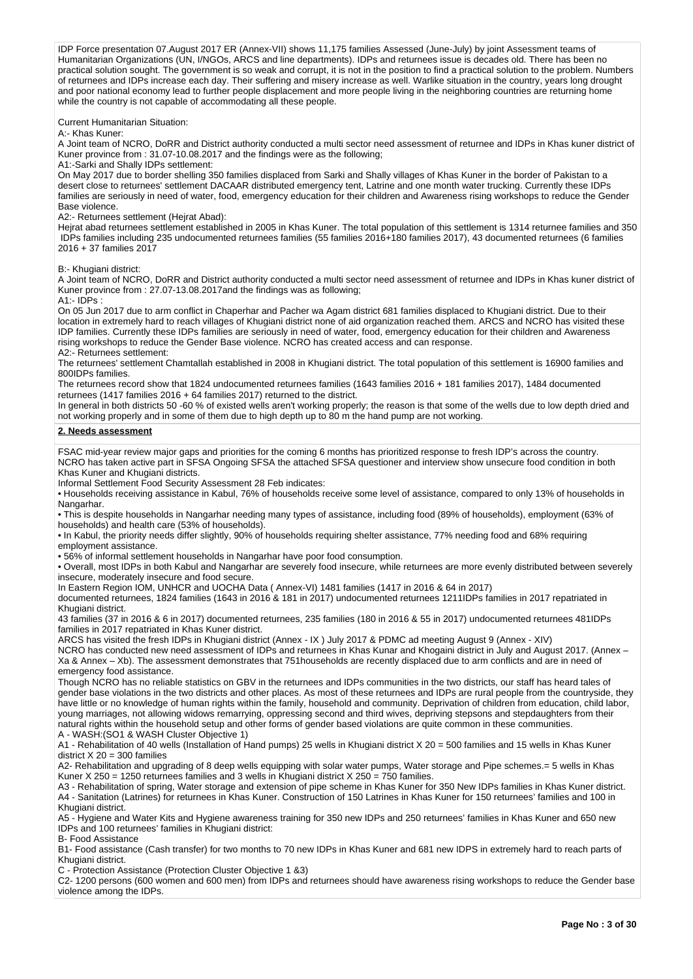IDP Force presentation 07.August 2017 ER (Annex-VII) shows 11,175 families Assessed (June-July) by joint Assessment teams of Humanitarian Organizations (UN, I/NGOs, ARCS and line departments). IDPs and returnees issue is decades old. There has been no practical solution sought. The government is so weak and corrupt, it is not in the position to find a practical solution to the problem. Numbers of returnees and IDPs increase each day. Their suffering and misery increase as well. Warlike situation in the country, years long drought and poor national economy lead to further people displacement and more people living in the neighboring countries are returning home while the country is not capable of accommodating all these people.

Current Humanitarian Situation:

A:- Khas Kuner:

A Joint team of NCRO, DoRR and District authority conducted a multi sector need assessment of returnee and IDPs in Khas kuner district of Kuner province from : 31.07-10.08.2017 and the findings were as the following;

A1:-Sarki and Shally IDPs settlement:

On May 2017 due to border shelling 350 families displaced from Sarki and Shally villages of Khas Kuner in the border of Pakistan to a desert close to returnees' settlement DACAAR distributed emergency tent, Latrine and one month water trucking. Currently these IDPs families are seriously in need of water, food, emergency education for their children and Awareness rising workshops to reduce the Gender Base violence.

A2:- Returnees settlement (Hejrat Abad):

Hejrat abad returnees settlement established in 2005 in Khas Kuner. The total population of this settlement is 1314 returnee families and 350 IDPs families including 235 undocumented returnees families (55 families 2016+180 families 2017), 43 documented returnees (6 families 2016 + 37 families 2017

B:- Khugiani district:

A Joint team of NCRO, DoRR and District authority conducted a multi sector need assessment of returnee and IDPs in Khas kuner district of Kuner province from : 27.07-13.08.2017and the findings was as following; A1:- IDPs :

On 05 Jun 2017 due to arm conflict in Chaperhar and Pacher wa Agam district 681 families displaced to Khugiani district. Due to their location in extremely hard to reach villages of Khugiani district none of aid organization reached them. ARCS and NCRO has visited these IDP families. Currently these IDPs families are seriously in need of water, food, emergency education for their children and Awareness rising workshops to reduce the Gender Base violence. NCRO has created access and can response. A2:- Returnees settlement:

The returnees' settlement Chamtallah established in 2008 in Khugiani district. The total population of this settlement is 16900 families and 800IDPs families.

The returnees record show that 1824 undocumented returnees families (1643 families 2016 + 181 families 2017), 1484 documented returnees (1417 families 2016 + 64 families 2017) returned to the district.

In general in both districts 50 -60 % of existed wells aren't working properly; the reason is that some of the wells due to low depth dried and not working properly and in some of them due to high depth up to 80 m the hand pump are not working.

### **2. Needs assessment**

FSAC mid-year review major gaps and priorities for the coming 6 months has prioritized response to fresh IDP's across the country. NCRO has taken active part in SFSA Ongoing SFSA the attached SFSA questioner and interview show unsecure food condition in both Khas Kuner and Khugiani districts.

Informal Settlement Food Security Assessment 28 Feb indicates:

• Households receiving assistance in Kabul, 76% of households receive some level of assistance, compared to only 13% of households in Nangarhar.

• This is despite households in Nangarhar needing many types of assistance, including food (89% of households), employment (63% of households) and health care (53% of households).

• In Kabul, the priority needs differ slightly, 90% of households requiring shelter assistance, 77% needing food and 68% requiring employment assistance.

• 56% of informal settlement households in Nangarhar have poor food consumption.

• Overall, most IDPs in both Kabul and Nangarhar are severely food insecure, while returnees are more evenly distributed between severely insecure, moderately insecure and food secure.

In Eastern Region IOM, UNHCR and UOCHA Data ( Annex-VI) 1481 families (1417 in 2016 & 64 in 2017)

documented returnees, 1824 families (1643 in 2016 & 181 in 2017) undocumented returnees 1211IDPs families in 2017 repatriated in Khugiani district.

43 families (37 in 2016 & 6 in 2017) documented returnees, 235 families (180 in 2016 & 55 in 2017) undocumented returnees 481IDPs families in 2017 repatriated in Khas Kuner district.

ARCS has visited the fresh IDPs in Khugiani district (Annex - IX ) July 2017 & PDMC ad meeting August 9 (Annex - XIV)

NCRO has conducted new need assessment of IDPs and returnees in Khas Kunar and Khogaini district in July and August 2017. (Annex – Xa & Annex – Xb). The assessment demonstrates that 751households are recently displaced due to arm conflicts and are in need of emergency food assistance.

Though NCRO has no reliable statistics on GBV in the returnees and IDPs communities in the two districts, our staff has heard tales of gender base violations in the two districts and other places. As most of these returnees and IDPs are rural people from the countryside, they have little or no knowledge of human rights within the family, household and community. Deprivation of children from education, child labor, young marriages, not allowing widows remarrying, oppressing second and third wives, depriving stepsons and stepdaughters from their natural rights within the household setup and other forms of gender based violations are quite common in these communities. A - WASH:(SO1 & WASH Cluster Objective 1)

A1 - Rehabilitation of 40 wells (Installation of Hand pumps) 25 wells in Khugiani district X 20 = 500 families and 15 wells in Khas Kuner district  $X$  20 = 300 families

A2- Rehabilitation and upgrading of 8 deep wells equipping with solar water pumps, Water storage and Pipe schemes.= 5 wells in Khas Kuner X 250 = 1250 returnees families and 3 wells in Khugiani district X 250 = 750 families.

A3 - Rehabilitation of spring, Water storage and extension of pipe scheme in Khas Kuner for 350 New IDPs families in Khas Kuner district. A4 - Sanitation (Latrines) for returnees in Khas Kuner. Construction of 150 Latrines in Khas Kuner for 150 returnees' families and 100 in Khugiani district.

A5 - Hygiene and Water Kits and Hygiene awareness training for 350 new IDPs and 250 returnees' families in Khas Kuner and 650 new IDPs and 100 returnees' families in Khugiani district:

B- Food Assistance

B1- Food assistance (Cash transfer) for two months to 70 new IDPs in Khas Kuner and 681 new IDPS in extremely hard to reach parts of Khugiani district.

C - Protection Assistance (Protection Cluster Objective 1 &3)

C2- 1200 persons (600 women and 600 men) from IDPs and returnees should have awareness rising workshops to reduce the Gender base violence among the IDPs.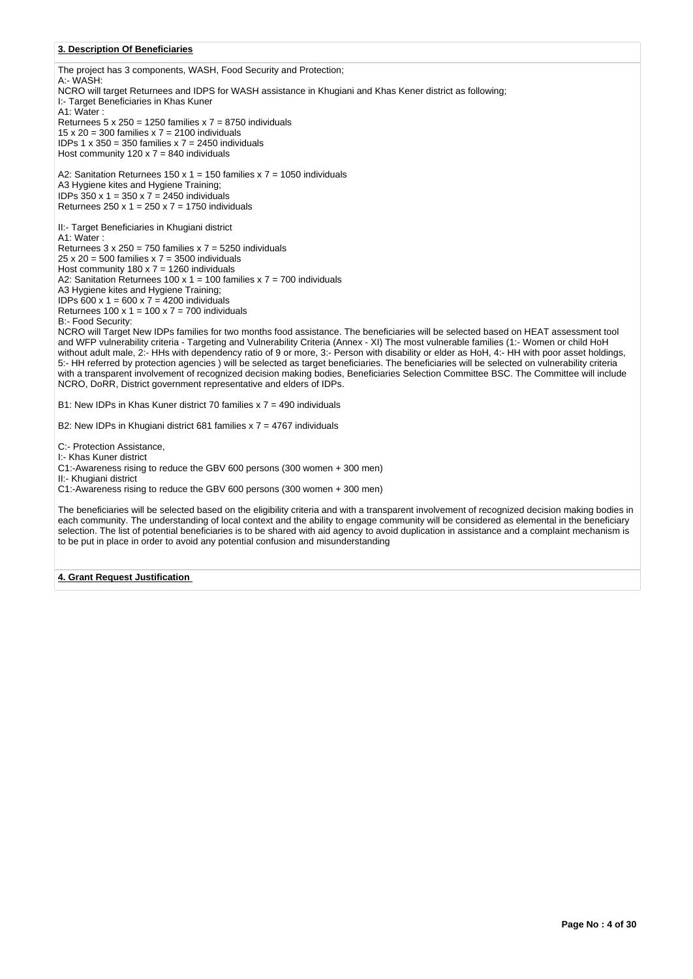### **3. Description Of Beneficiaries**

The project has 3 components, WASH, Food Security and Protection; A:- WASH: NCRO will target Returnees and IDPS for WASH assistance in Khugiani and Khas Kener district as following; I:- Target Beneficiaries in Khas Kuner A1: Water : Returnees  $5 \times 250 = 1250$  families  $x = 7 = 8750$  individuals 15 x 20 = 300 families  $x$  7 = 2100 individuals IDPs 1 x 350 = 350 families x 7 = 2450 individuals Host community  $120 \times 7 = 840$  individuals A2: Sanitation Returnees 150 x 1 = 150 families x 7 = 1050 individuals A3 Hygiene kites and Hygiene Training; IDPs 350 x 1 = 350 x 7 = 2450 individuals Returnees  $250 \times 1 = 250 \times 7 = 1750$  individuals II:- Target Beneficiaries in Khugiani district A1: Water :

Returnees  $3 \times 250 = 750$  families  $x = 5250$  individuals  $25 \times 20 = 500$  families  $x = 7 = 3500$  individuals Host community 180 x 7 = 1260 individuals A2: Sanitation Returnees 100 x 1 = 100 families x 7 = 700 individuals A3 Hygiene kites and Hygiene Training; IDPs 600 x 1 = 600 x 7 = 4200 individuals Returnees  $100 \times 1 = 100 \times 7 = 700$  individuals B:- Food Security:

NCRO will Target New IDPs families for two months food assistance. The beneficiaries will be selected based on HEAT assessment tool and WFP vulnerability criteria - Targeting and Vulnerability Criteria (Annex - XI) The most vulnerable families (1:- Women or child HoH without adult male, 2:- HHs with dependency ratio of 9 or more, 3:- Person with disability or elder as HoH, 4:- HH with poor asset holdings, 5:- HH referred by protection agencies ) will be selected as target beneficiaries. The beneficiaries will be selected on vulnerability criteria with a transparent involvement of recognized decision making bodies, Beneficiaries Selection Committee BSC. The Committee will include NCRO, DoRR, District government representative and elders of IDPs.

B1: New IDPs in Khas Kuner district 70 families x 7 = 490 individuals

B2: New IDPs in Khugiani district 681 families x 7 = 4767 individuals

C:- Protection Assistance,

I:- Khas Kuner district

C1:-Awareness rising to reduce the GBV 600 persons (300 women + 300 men)

II:- Khugiani district

C1:-Awareness rising to reduce the GBV 600 persons (300 women + 300 men)

The beneficiaries will be selected based on the eligibility criteria and with a transparent involvement of recognized decision making bodies in each community. The understanding of local context and the ability to engage community will be considered as elemental in the beneficiary selection. The list of potential beneficiaries is to be shared with aid agency to avoid duplication in assistance and a complaint mechanism is to be put in place in order to avoid any potential confusion and misunderstanding

### **4. Grant Request Justification**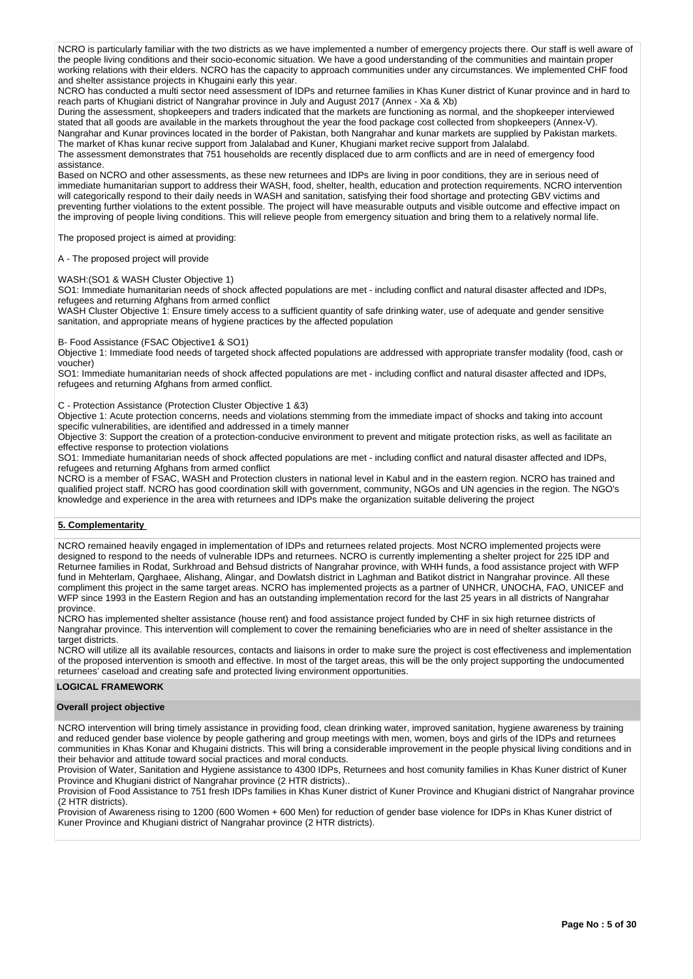NCRO is particularly familiar with the two districts as we have implemented a number of emergency projects there. Our staff is well aware of the people living conditions and their socio-economic situation. We have a good understanding of the communities and maintain proper working relations with their elders. NCRO has the capacity to approach communities under any circumstances. We implemented CHF food and shelter assistance projects in Khugaini early this year.

NCRO has conducted a multi sector need assessment of IDPs and returnee families in Khas Kuner district of Kunar province and in hard to reach parts of Khugiani district of Nangrahar province in July and August 2017 (Annex - Xa & Xb)

During the assessment, shopkeepers and traders indicated that the markets are functioning as normal, and the shopkeeper interviewed stated that all goods are available in the markets throughout the year the food package cost collected from shopkeepers (Annex-V). Nangrahar and Kunar provinces located in the border of Pakistan, both Nangrahar and kunar markets are supplied by Pakistan markets. The market of Khas kunar recive support from Jalalabad and Kuner, Khugiani market recive support from Jalalabd.

The assessment demonstrates that 751 households are recently displaced due to arm conflicts and are in need of emergency food assistance.

Based on NCRO and other assessments, as these new returnees and IDPs are living in poor conditions, they are in serious need of immediate humanitarian support to address their WASH, food, shelter, health, education and protection requirements. NCRO intervention will categorically respond to their daily needs in WASH and sanitation, satisfying their food shortage and protecting GBV victims and preventing further violations to the extent possible. The project will have measurable outputs and visible outcome and effective impact on the improving of people living conditions. This will relieve people from emergency situation and bring them to a relatively normal life.

The proposed project is aimed at providing:

A - The proposed project will provide

#### WASH:(SO1 & WASH Cluster Objective 1)

SO1: Immediate humanitarian needs of shock affected populations are met - including conflict and natural disaster affected and IDPs, refugees and returning Afghans from armed conflict

WASH Cluster Objective 1: Ensure timely access to a sufficient quantity of safe drinking water, use of adequate and gender sensitive sanitation, and appropriate means of hygiene practices by the affected population

#### B- Food Assistance (FSAC Objective1 & SO1)

Objective 1: Immediate food needs of targeted shock affected populations are addressed with appropriate transfer modality (food, cash or voucher)

SO1: Immediate humanitarian needs of shock affected populations are met - including conflict and natural disaster affected and IDPs, refugees and returning Afghans from armed conflict.

### C - Protection Assistance (Protection Cluster Objective 1 &3)

Objective 1: Acute protection concerns, needs and violations stemming from the immediate impact of shocks and taking into account specific vulnerabilities, are identified and addressed in a timely manner

Objective 3: Support the creation of a protection-conducive environment to prevent and mitigate protection risks, as well as facilitate an effective response to protection violations

SO1: Immediate humanitarian needs of shock affected populations are met - including conflict and natural disaster affected and IDPs, refugees and returning Afghans from armed conflict

NCRO is a member of FSAC, WASH and Protection clusters in national level in Kabul and in the eastern region. NCRO has trained and qualified project staff. NCRO has good coordination skill with government, community, NGOs and UN agencies in the region. The NGO's knowledge and experience in the area with returnees and IDPs make the organization suitable delivering the project

### **5. Complementarity**

NCRO remained heavily engaged in implementation of IDPs and returnees related projects. Most NCRO implemented projects were designed to respond to the needs of vulnerable IDPs and returnees. NCRO is currently implementing a shelter project for 225 IDP and Returnee families in Rodat, Surkhroad and Behsud districts of Nangrahar province, with WHH funds, a food assistance project with WFP fund in Mehterlam, Qarghaee, Alishang, Alingar, and Dowlatsh district in Laghman and Batikot district in Nangrahar province. All these compliment this project in the same target areas. NCRO has implemented projects as a partner of UNHCR, UNOCHA, FAO, UNICEF and WFP since 1993 in the Eastern Region and has an outstanding implementation record for the last 25 years in all districts of Nangrahar province.

NCRO has implemented shelter assistance (house rent) and food assistance project funded by CHF in six high returnee districts of Nangrahar province. This intervention will complement to cover the remaining beneficiaries who are in need of shelter assistance in the target districts.

NCRO will utilize all its available resources, contacts and liaisons in order to make sure the project is cost effectiveness and implementation of the proposed intervention is smooth and effective. In most of the target areas, this will be the only project supporting the undocumented returnees' caseload and creating safe and protected living environment opportunities.

#### **LOGICAL FRAMEWORK**

#### **Overall project objective**

NCRO intervention will bring timely assistance in providing food, clean drinking water, improved sanitation, hygiene awareness by training and reduced gender base violence by people gathering and group meetings with men, women, boys and girls of the IDPs and returnees communities in Khas Konar and Khugaini districts. This will bring a considerable improvement in the people physical living conditions and in their behavior and attitude toward social practices and moral conducts.

Provision of Water, Sanitation and Hygiene assistance to 4300 IDPs, Returnees and host comunity families in Khas Kuner district of Kuner Province and Khugiani district of Nangrahar province (2 HTR districts)..

Provision of Food Assistance to 751 fresh IDPs families in Khas Kuner district of Kuner Province and Khugiani district of Nangrahar province (2 HTR districts).

Provision of Awareness rising to 1200 (600 Women + 600 Men) for reduction of gender base violence for IDPs in Khas Kuner district of Kuner Province and Khugiani district of Nangrahar province (2 HTR districts).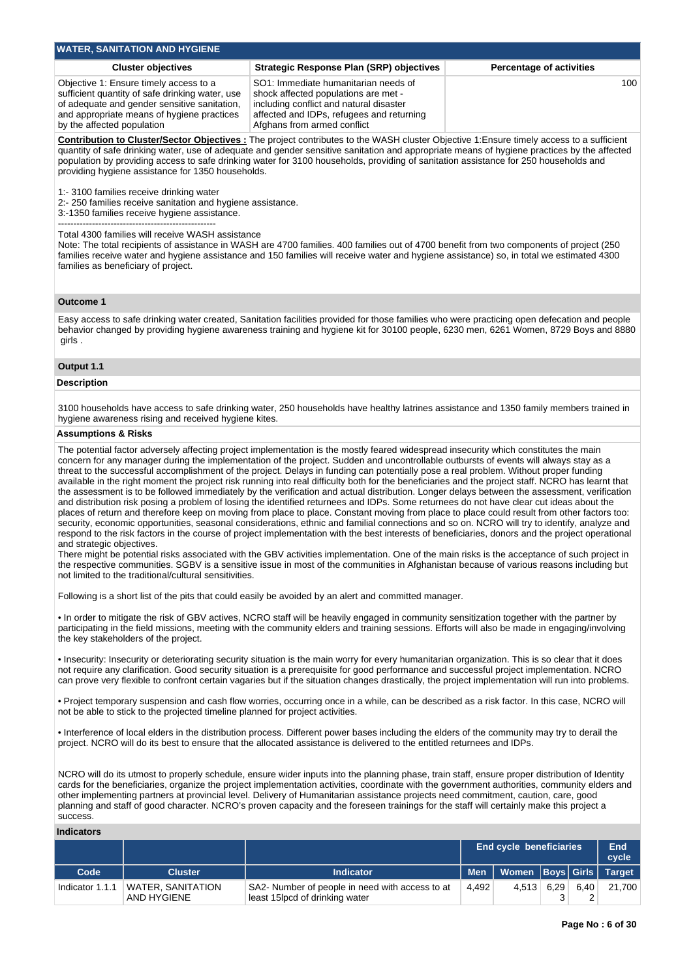| <b>WATER, SANITATION AND HYGIENE</b>                                                                                                                                                                                  |                                                                                                                                                                                                     |                                 |
|-----------------------------------------------------------------------------------------------------------------------------------------------------------------------------------------------------------------------|-----------------------------------------------------------------------------------------------------------------------------------------------------------------------------------------------------|---------------------------------|
| <b>Cluster objectives</b>                                                                                                                                                                                             | <b>Strategic Response Plan (SRP) objectives</b>                                                                                                                                                     | <b>Percentage of activities</b> |
| Objective 1: Ensure timely access to a<br>sufficient quantity of safe drinking water, use<br>of adequate and gender sensitive sanitation,<br>and appropriate means of hygiene practices<br>by the affected population | SO1: Immediate humanitarian needs of<br>shock affected populations are met -<br>including conflict and natural disaster<br>affected and IDPs, refugees and returning<br>Afghans from armed conflict | 100 <sup>°</sup>                |

**Contribution to Cluster/Sector Objectives :** The project contributes to the WASH cluster Objective 1:Ensure timely access to a sufficient quantity of safe drinking water, use of adequate and gender sensitive sanitation and appropriate means of hygiene practices by the affected population by providing access to safe drinking water for 3100 households, providing of sanitation assistance for 250 households and providing hygiene assistance for 1350 households.

1:- 3100 families receive drinking water

2:- 250 families receive sanitation and hygiene assistance.

3:-1350 families receive hygiene assistance.

---------------------------------------------------

Total 4300 families will receive WASH assistance

Note: The total recipients of assistance in WASH are 4700 families. 400 families out of 4700 benefit from two components of project (250 families receive water and hygiene assistance and 150 families will receive water and hygiene assistance) so, in total we estimated 4300 families as beneficiary of project.

### **Outcome 1**

Easy access to safe drinking water created, Sanitation facilities provided for those families who were practicing open defecation and people behavior changed by providing hygiene awareness training and hygiene kit for 30100 people, 6230 men, 6261 Women, 8729 Boys and 8880 girls .

### **Output 1.1**

### **Description**

3100 households have access to safe drinking water, 250 households have healthy latrines assistance and 1350 family members trained in hygiene awareness rising and received hygiene kites.

### **Assumptions & Risks**

The potential factor adversely affecting project implementation is the mostly feared widespread insecurity which constitutes the main concern for any manager during the implementation of the project. Sudden and uncontrollable outbursts of events will always stay as a threat to the successful accomplishment of the project. Delays in funding can potentially pose a real problem. Without proper funding available in the right moment the project risk running into real difficulty both for the beneficiaries and the project staff. NCRO has learnt that the assessment is to be followed immediately by the verification and actual distribution. Longer delays between the assessment, verification and distribution risk posing a problem of losing the identified returnees and IDPs. Some returnees do not have clear cut ideas about the places of return and therefore keep on moving from place to place. Constant moving from place to place could result from other factors too: security, economic opportunities, seasonal considerations, ethnic and familial connections and so on. NCRO will try to identify, analyze and respond to the risk factors in the course of project implementation with the best interests of beneficiaries, donors and the project operational and strategic objectives.

There might be potential risks associated with the GBV activities implementation. One of the main risks is the acceptance of such project in the respective communities. SGBV is a sensitive issue in most of the communities in Afghanistan because of various reasons including but not limited to the traditional/cultural sensitivities.

Following is a short list of the pits that could easily be avoided by an alert and committed manager.

• In order to mitigate the risk of GBV actives, NCRO staff will be heavily engaged in community sensitization together with the partner by participating in the field missions, meeting with the community elders and training sessions. Efforts will also be made in engaging/involving the key stakeholders of the project.

• Insecurity: Insecurity or deteriorating security situation is the main worry for every humanitarian organization. This is so clear that it does not require any clarification. Good security situation is a prerequisite for good performance and successful project implementation. NCRO can prove very flexible to confront certain vagaries but if the situation changes drastically, the project implementation will run into problems.

• Project temporary suspension and cash flow worries, occurring once in a while, can be described as a risk factor. In this case, NCRO will not be able to stick to the projected timeline planned for project activities.

• Interference of local elders in the distribution process. Different power bases including the elders of the community may try to derail the project. NCRO will do its best to ensure that the allocated assistance is delivered to the entitled returnees and IDPs.

NCRO will do its utmost to properly schedule, ensure wider inputs into the planning phase, train staff, ensure proper distribution of Identity cards for the beneficiaries, organize the project implementation activities, coordinate with the government authorities, community elders and other implementing partners at provincial level. Delivery of Humanitarian assistance projects need commitment, caution, care, good planning and staff of good character. NCRO's proven capacity and the foreseen trainings for the staff will certainly make this project a success.

| Indicators      |                                         |                                                                                    |            |                                |      |      |               |
|-----------------|-----------------------------------------|------------------------------------------------------------------------------------|------------|--------------------------------|------|------|---------------|
|                 |                                         |                                                                                    |            | <b>End cycle beneficiaries</b> |      |      |               |
| Code            | <b>Cluster</b>                          | <b>Indicator</b>                                                                   | <b>Men</b> | Women   Boys   Girls           |      |      | <b>Target</b> |
| Indicator 1.1.1 | <b>WATER, SANITATION</b><br>AND HYGIENE | SA2- Number of people in need with access to at<br>least 15 lpcd of drinking water | 4.492      | 4.513                          | 6.29 | 6.40 | 21,700        |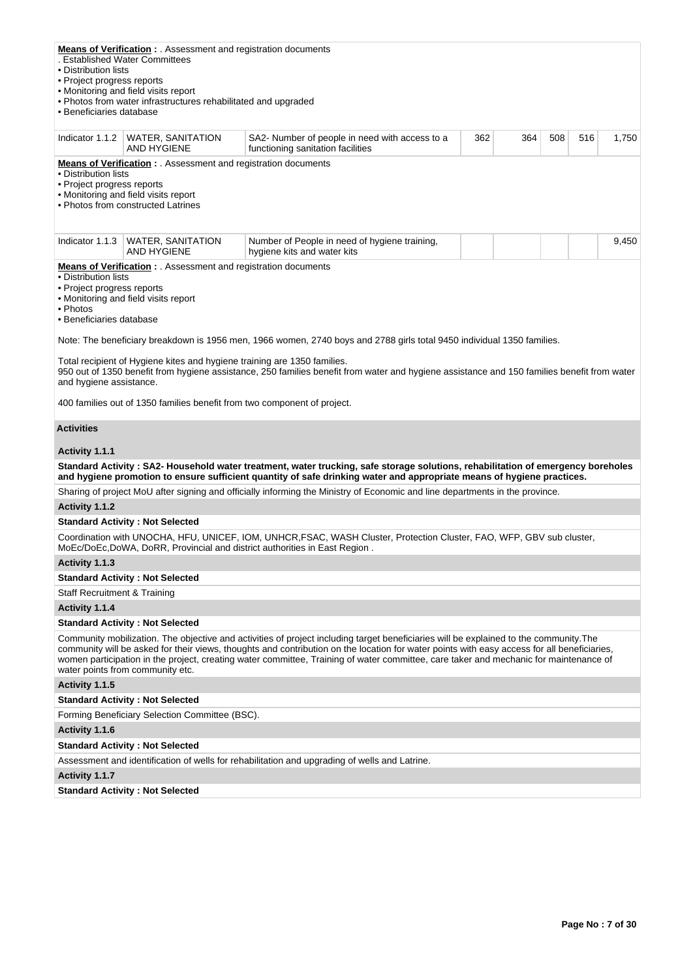| • Distribution lists<br>• Project progress reports<br>• Beneficiaries database                                                                                                                                                                                                                                                                                                                                                                                                                                                                                                               | <b>Means of Verification :</b> . Assessment and registration documents<br>. Established Water Committees<br>• Monitoring and field visits report<br>• Photos from water infrastructures rehabilitated and upgraded |                                                                                                                                                                                                                                                                                                                                                                                                                                |     |     |     |     |       |  |  |  |  |
|----------------------------------------------------------------------------------------------------------------------------------------------------------------------------------------------------------------------------------------------------------------------------------------------------------------------------------------------------------------------------------------------------------------------------------------------------------------------------------------------------------------------------------------------------------------------------------------------|--------------------------------------------------------------------------------------------------------------------------------------------------------------------------------------------------------------------|--------------------------------------------------------------------------------------------------------------------------------------------------------------------------------------------------------------------------------------------------------------------------------------------------------------------------------------------------------------------------------------------------------------------------------|-----|-----|-----|-----|-------|--|--|--|--|
|                                                                                                                                                                                                                                                                                                                                                                                                                                                                                                                                                                                              | Indicator 1.1.2   WATER, SANITATION<br><b>AND HYGIENE</b>                                                                                                                                                          | SA2- Number of people in need with access to a<br>functioning sanitation facilities                                                                                                                                                                                                                                                                                                                                            | 362 | 364 | 508 | 516 | 1,750 |  |  |  |  |
| <b>Means of Verification:</b> Assessment and registration documents<br>• Distribution lists<br>• Project progress reports<br>• Monitoring and field visits report<br>• Photos from constructed Latrines                                                                                                                                                                                                                                                                                                                                                                                      |                                                                                                                                                                                                                    |                                                                                                                                                                                                                                                                                                                                                                                                                                |     |     |     |     |       |  |  |  |  |
| Indicator 1.1.3                                                                                                                                                                                                                                                                                                                                                                                                                                                                                                                                                                              | <b>WATER, SANITATION</b><br>AND HYGIENE                                                                                                                                                                            | Number of People in need of hygiene training,<br>hygiene kits and water kits                                                                                                                                                                                                                                                                                                                                                   |     |     |     |     | 9,450 |  |  |  |  |
| <b>Means of Verification :</b> . Assessment and registration documents<br>• Distribution lists<br>• Project progress reports<br>• Monitoring and field visits report<br>• Photos<br>· Beneficiaries database<br>Note: The beneficiary breakdown is 1956 men, 1966 women, 2740 boys and 2788 girls total 9450 individual 1350 families.<br>Total recipient of Hygiene kites and hygiene training are 1350 families.<br>950 out of 1350 benefit from hygiene assistance, 250 families benefit from water and hygiene assistance and 150 families benefit from water<br>and hygiene assistance. |                                                                                                                                                                                                                    |                                                                                                                                                                                                                                                                                                                                                                                                                                |     |     |     |     |       |  |  |  |  |
|                                                                                                                                                                                                                                                                                                                                                                                                                                                                                                                                                                                              | 400 families out of 1350 families benefit from two component of project.                                                                                                                                           |                                                                                                                                                                                                                                                                                                                                                                                                                                |     |     |     |     |       |  |  |  |  |
| <b>Activities</b>                                                                                                                                                                                                                                                                                                                                                                                                                                                                                                                                                                            |                                                                                                                                                                                                                    |                                                                                                                                                                                                                                                                                                                                                                                                                                |     |     |     |     |       |  |  |  |  |
| Activity 1.1.1                                                                                                                                                                                                                                                                                                                                                                                                                                                                                                                                                                               |                                                                                                                                                                                                                    |                                                                                                                                                                                                                                                                                                                                                                                                                                |     |     |     |     |       |  |  |  |  |
|                                                                                                                                                                                                                                                                                                                                                                                                                                                                                                                                                                                              |                                                                                                                                                                                                                    | Standard Activity: SA2- Household water treatment, water trucking, safe storage solutions, rehabilitation of emergency boreholes<br>and hygiene promotion to ensure sufficient quantity of safe drinking water and appropriate means of hygiene practices.                                                                                                                                                                     |     |     |     |     |       |  |  |  |  |
|                                                                                                                                                                                                                                                                                                                                                                                                                                                                                                                                                                                              |                                                                                                                                                                                                                    | Sharing of project MoU after signing and officially informing the Ministry of Economic and line departments in the province.                                                                                                                                                                                                                                                                                                   |     |     |     |     |       |  |  |  |  |
| Activity 1.1.2                                                                                                                                                                                                                                                                                                                                                                                                                                                                                                                                                                               |                                                                                                                                                                                                                    |                                                                                                                                                                                                                                                                                                                                                                                                                                |     |     |     |     |       |  |  |  |  |
|                                                                                                                                                                                                                                                                                                                                                                                                                                                                                                                                                                                              | <b>Standard Activity: Not Selected</b>                                                                                                                                                                             |                                                                                                                                                                                                                                                                                                                                                                                                                                |     |     |     |     |       |  |  |  |  |
|                                                                                                                                                                                                                                                                                                                                                                                                                                                                                                                                                                                              |                                                                                                                                                                                                                    | Coordination with UNOCHA, HFU, UNICEF, IOM, UNHCR, FSAC, WASH Cluster, Protection Cluster, FAO, WFP, GBV sub cluster,<br>MoEc/DoEc,DoWA, DoRR, Provincial and district authorities in East Region.                                                                                                                                                                                                                             |     |     |     |     |       |  |  |  |  |
| Activity 1.1.3                                                                                                                                                                                                                                                                                                                                                                                                                                                                                                                                                                               |                                                                                                                                                                                                                    |                                                                                                                                                                                                                                                                                                                                                                                                                                |     |     |     |     |       |  |  |  |  |
|                                                                                                                                                                                                                                                                                                                                                                                                                                                                                                                                                                                              | <b>Standard Activity: Not Selected</b>                                                                                                                                                                             |                                                                                                                                                                                                                                                                                                                                                                                                                                |     |     |     |     |       |  |  |  |  |
| <b>Staff Recruitment &amp; Training</b>                                                                                                                                                                                                                                                                                                                                                                                                                                                                                                                                                      |                                                                                                                                                                                                                    |                                                                                                                                                                                                                                                                                                                                                                                                                                |     |     |     |     |       |  |  |  |  |
| Activity 1.1.4                                                                                                                                                                                                                                                                                                                                                                                                                                                                                                                                                                               |                                                                                                                                                                                                                    |                                                                                                                                                                                                                                                                                                                                                                                                                                |     |     |     |     |       |  |  |  |  |
|                                                                                                                                                                                                                                                                                                                                                                                                                                                                                                                                                                                              | <b>Standard Activity: Not Selected</b>                                                                                                                                                                             |                                                                                                                                                                                                                                                                                                                                                                                                                                |     |     |     |     |       |  |  |  |  |
|                                                                                                                                                                                                                                                                                                                                                                                                                                                                                                                                                                                              | water points from community etc.                                                                                                                                                                                   | Community mobilization. The objective and activities of project including target beneficiaries will be explained to the community. The<br>community will be asked for their views, thoughts and contribution on the location for water points with easy access for all beneficiaries,<br>women participation in the project, creating water committee, Training of water committee, care taker and mechanic for maintenance of |     |     |     |     |       |  |  |  |  |
| Activity 1.1.5                                                                                                                                                                                                                                                                                                                                                                                                                                                                                                                                                                               |                                                                                                                                                                                                                    |                                                                                                                                                                                                                                                                                                                                                                                                                                |     |     |     |     |       |  |  |  |  |
|                                                                                                                                                                                                                                                                                                                                                                                                                                                                                                                                                                                              | <b>Standard Activity: Not Selected</b>                                                                                                                                                                             |                                                                                                                                                                                                                                                                                                                                                                                                                                |     |     |     |     |       |  |  |  |  |
|                                                                                                                                                                                                                                                                                                                                                                                                                                                                                                                                                                                              | Forming Beneficiary Selection Committee (BSC).                                                                                                                                                                     |                                                                                                                                                                                                                                                                                                                                                                                                                                |     |     |     |     |       |  |  |  |  |
| Activity 1.1.6                                                                                                                                                                                                                                                                                                                                                                                                                                                                                                                                                                               |                                                                                                                                                                                                                    |                                                                                                                                                                                                                                                                                                                                                                                                                                |     |     |     |     |       |  |  |  |  |
|                                                                                                                                                                                                                                                                                                                                                                                                                                                                                                                                                                                              | <b>Standard Activity: Not Selected</b>                                                                                                                                                                             |                                                                                                                                                                                                                                                                                                                                                                                                                                |     |     |     |     |       |  |  |  |  |
|                                                                                                                                                                                                                                                                                                                                                                                                                                                                                                                                                                                              |                                                                                                                                                                                                                    | Assessment and identification of wells for rehabilitation and upgrading of wells and Latrine.                                                                                                                                                                                                                                                                                                                                  |     |     |     |     |       |  |  |  |  |
| Activity 1.1.7                                                                                                                                                                                                                                                                                                                                                                                                                                                                                                                                                                               |                                                                                                                                                                                                                    |                                                                                                                                                                                                                                                                                                                                                                                                                                |     |     |     |     |       |  |  |  |  |
|                                                                                                                                                                                                                                                                                                                                                                                                                                                                                                                                                                                              | <b>Standard Activity: Not Selected</b>                                                                                                                                                                             |                                                                                                                                                                                                                                                                                                                                                                                                                                |     |     |     |     |       |  |  |  |  |
|                                                                                                                                                                                                                                                                                                                                                                                                                                                                                                                                                                                              |                                                                                                                                                                                                                    |                                                                                                                                                                                                                                                                                                                                                                                                                                |     |     |     |     |       |  |  |  |  |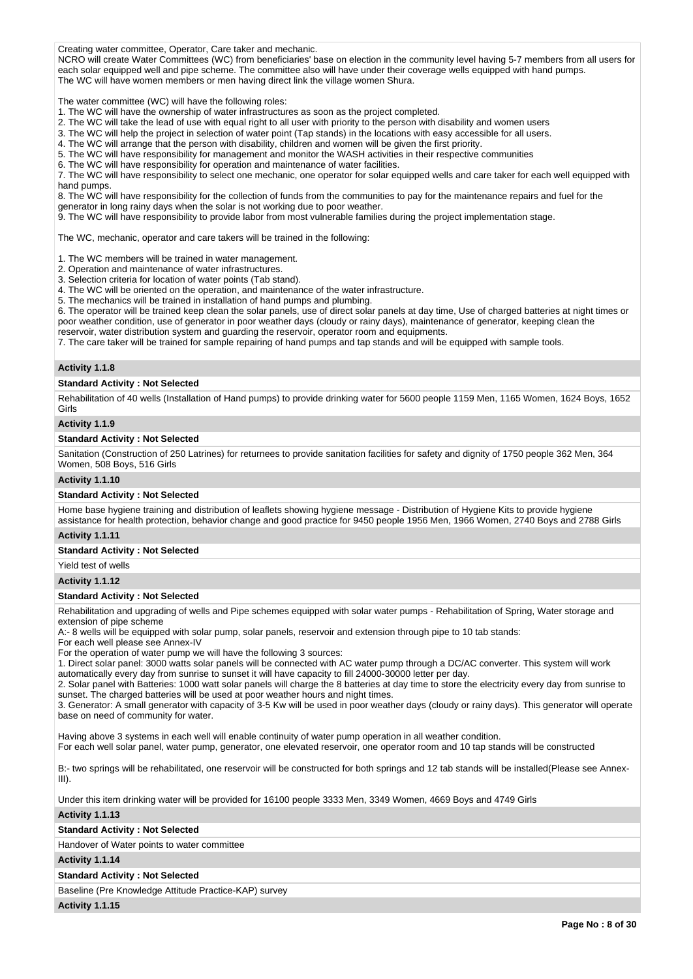Creating water committee, Operator, Care taker and mechanic.

NCRO will create Water Committees (WC) from beneficiaries' base on election in the community level having 5-7 members from all users for each solar equipped well and pipe scheme. The committee also will have under their coverage wells equipped with hand pumps. The WC will have women members or men having direct link the village women Shura.

The water committee (WC) will have the following roles:

- 1. The WC will have the ownership of water infrastructures as soon as the project completed.
- 2. The WC will take the lead of use with equal right to all user with priority to the person with disability and women users
- 3. The WC will help the project in selection of water point (Tap stands) in the locations with easy accessible for all users.
- 4. The WC will arrange that the person with disability, children and women will be given the first priority.
- 5. The WC will have responsibility for management and monitor the WASH activities in their respective communities
- 6. The WC will have responsibility for operation and maintenance of water facilities.

7. The WC will have responsibility to select one mechanic, one operator for solar equipped wells and care taker for each well equipped with hand pumps.

8. The WC will have responsibility for the collection of funds from the communities to pay for the maintenance repairs and fuel for the generator in long rainy days when the solar is not working due to poor weather.

9. The WC will have responsibility to provide labor from most vulnerable families during the project implementation stage.

The WC, mechanic, operator and care takers will be trained in the following:

1. The WC members will be trained in water management.

2. Operation and maintenance of water infrastructures.

3. Selection criteria for location of water points (Tab stand).

4. The WC will be oriented on the operation, and maintenance of the water infrastructure.

5. The mechanics will be trained in installation of hand pumps and plumbing.

6. The operator will be trained keep clean the solar panels, use of direct solar panels at day time, Use of charged batteries at night times or poor weather condition, use of generator in poor weather days (cloudy or rainy days), maintenance of generator, keeping clean the reservoir, water distribution system and guarding the reservoir, operator room and equipments.

7. The care taker will be trained for sample repairing of hand pumps and tap stands and will be equipped with sample tools.

#### **Activity 1.1.8**

#### **Standard Activity : Not Selected**

Rehabilitation of 40 wells (Installation of Hand pumps) to provide drinking water for 5600 people 1159 Men, 1165 Women, 1624 Boys, 1652 Girls

### **Activity 1.1.9**

#### **Standard Activity : Not Selected**

Sanitation (Construction of 250 Latrines) for returnees to provide sanitation facilities for safety and dignity of 1750 people 362 Men, 364 Women, 508 Boys, 516 Girls

#### **Activity 1.1.10**

### **Standard Activity : Not Selected**

Home base hygiene training and distribution of leaflets showing hygiene message - Distribution of Hygiene Kits to provide hygiene assistance for health protection, behavior change and good practice for 9450 people 1956 Men, 1966 Women, 2740 Boys and 2788 Girls

### **Activity 1.1.11**

**Standard Activity : Not Selected**

# Yield test of wells

#### **Activity 1.1.12**

#### **Standard Activity : Not Selected**

Rehabilitation and upgrading of wells and Pipe schemes equipped with solar water pumps - Rehabilitation of Spring, Water storage and extension of pipe scheme

A:- 8 wells will be equipped with solar pump, solar panels, reservoir and extension through pipe to 10 tab stands:

For each well please see Annex-IV

For the operation of water pump we will have the following 3 sources:

1. Direct solar panel: 3000 watts solar panels will be connected with AC water pump through a DC/AC converter. This system will work

automatically every day from sunrise to sunset it will have capacity to fill 24000-30000 letter per day.

2. Solar panel with Batteries: 1000 watt solar panels will charge the 8 batteries at day time to store the electricity every day from sunrise to sunset. The charged batteries will be used at poor weather hours and night times.

3. Generator: A small generator with capacity of 3-5 Kw will be used in poor weather days (cloudy or rainy days). This generator will operate base on need of community for water.

Having above 3 systems in each well will enable continuity of water pump operation in all weather condition.

For each well solar panel, water pump, generator, one elevated reservoir, one operator room and 10 tap stands will be constructed

B:- two springs will be rehabilitated, one reservoir will be constructed for both springs and 12 tab stands will be installed(Please see Annex-III).

Under this item drinking water will be provided for 16100 people 3333 Men, 3349 Women, 4669 Boys and 4749 Girls

#### **Activity 1.1.13**

### **Standard Activity : Not Selected**

Handover of Water points to water committee

#### **Activity 1.1.14**

#### **Standard Activity : Not Selected**

Baseline (Pre Knowledge Attitude Practice-KAP) survey

**Activity 1.1.15**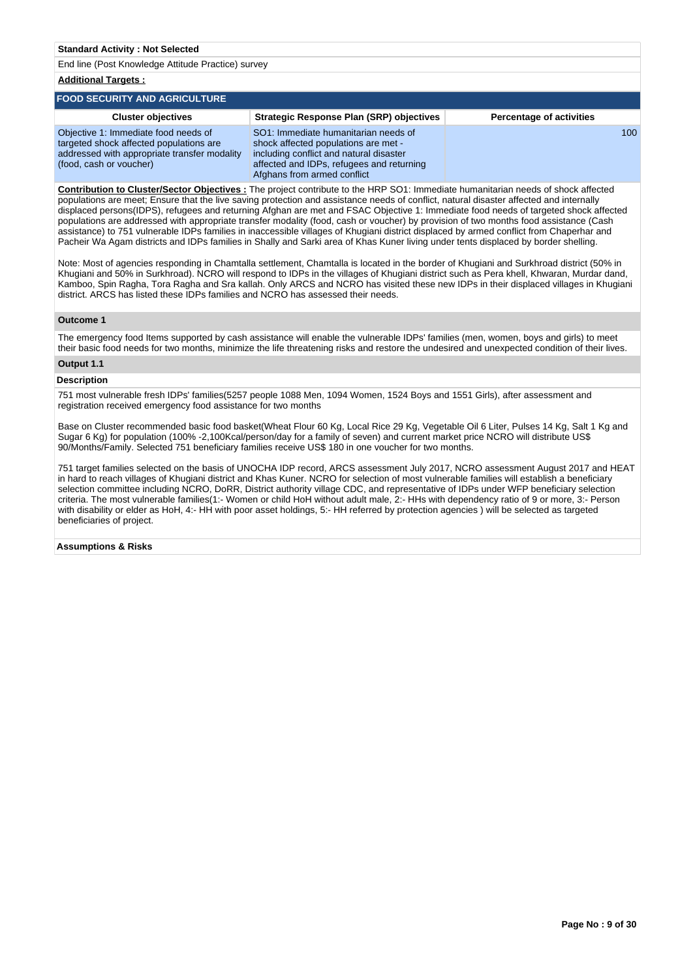**Additional Targets :**

#### **FOOD SECURITY AND AGRICULTURE Cluster objectives Strategic Response Plan (SRP) objectives Percentage of activities** Objective 1: Immediate food needs of targeted shock affected populations are addressed with appropriate transfer modality (food, cash or voucher) SO1: Immediate humanitarian needs of shock affected populations are met including conflict and natural disaster affected and IDPs, refugees and returning Afghans from armed conflict 100

**Contribution to Cluster/Sector Objectives :** The project contribute to the HRP SO1: Immediate humanitarian needs of shock affected populations are meet; Ensure that the live saving protection and assistance needs of conflict, natural disaster affected and internally displaced persons(IDPS), refugees and returning Afghan are met and FSAC Objective 1: Immediate food needs of targeted shock affected populations are addressed with appropriate transfer modality (food, cash or voucher) by provision of two months food assistance (Cash assistance) to 751 vulnerable IDPs families in inaccessible villages of Khugiani district displaced by armed conflict from Chaperhar and Pacheir Wa Agam districts and IDPs families in Shally and Sarki area of Khas Kuner living under tents displaced by border shelling.

Note: Most of agencies responding in Chamtalla settlement, Chamtalla is located in the border of Khugiani and Surkhroad district (50% in Khugiani and 50% in Surkhroad). NCRO will respond to IDPs in the villages of Khugiani district such as Pera khell, Khwaran, Murdar dand, Kamboo, Spin Ragha, Tora Ragha and Sra kallah. Only ARCS and NCRO has visited these new IDPs in their displaced villages in Khugiani district. ARCS has listed these IDPs families and NCRO has assessed their needs.

### **Outcome 1**

The emergency food Items supported by cash assistance will enable the vulnerable IDPs' families (men, women, boys and girls) to meet their basic food needs for two months, minimize the life threatening risks and restore the undesired and unexpected condition of their lives.

#### **Output 1.1**

#### **Description**

751 most vulnerable fresh IDPs' families(5257 people 1088 Men, 1094 Women, 1524 Boys and 1551 Girls), after assessment and registration received emergency food assistance for two months

Base on Cluster recommended basic food basket(Wheat Flour 60 Kg, Local Rice 29 Kg, Vegetable Oil 6 Liter, Pulses 14 Kg, Salt 1 Kg and Sugar 6 Kg) for population (100% -2,100Kcal/person/day for a family of seven) and current market price NCRO will distribute US\$ 90/Months/Family. Selected 751 beneficiary families receive US\$ 180 in one voucher for two months.

751 target families selected on the basis of UNOCHA IDP record, ARCS assessment July 2017, NCRO assessment August 2017 and HEAT in hard to reach villages of Khugiani district and Khas Kuner. NCRO for selection of most vulnerable families will establish a beneficiary selection committee including NCRO, DoRR, District authority village CDC, and representative of IDPs under WFP beneficiary selection criteria. The most vulnerable families(1:- Women or child HoH without adult male, 2:- HHs with dependency ratio of 9 or more, 3:- Person with disability or elder as HoH, 4:- HH with poor asset holdings, 5:- HH referred by protection agencies ) will be selected as targeted beneficiaries of project.

#### **Assumptions & Risks**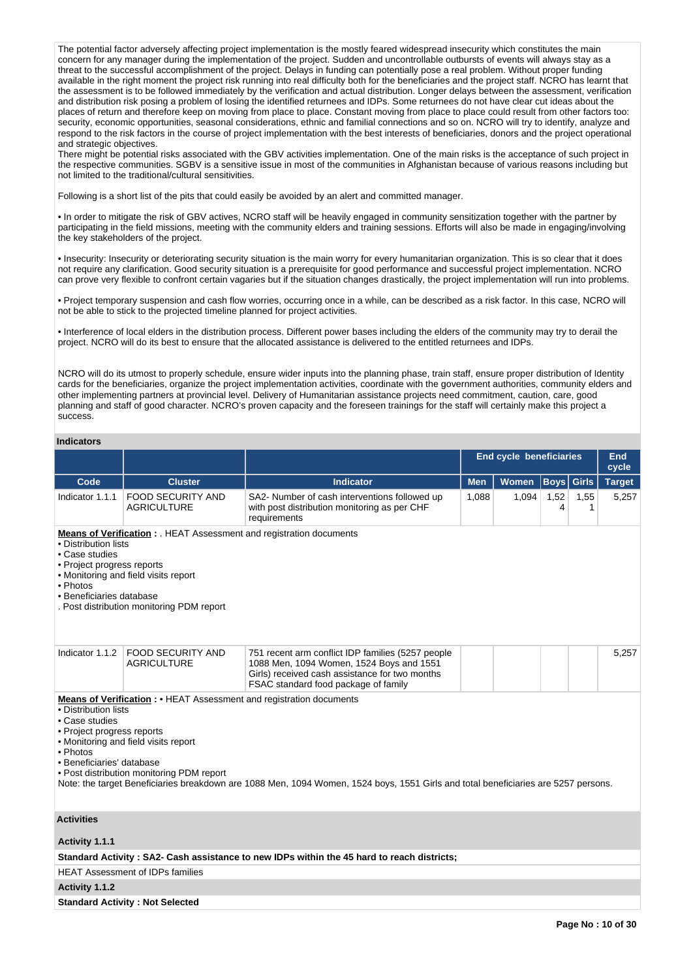The potential factor adversely affecting project implementation is the mostly feared widespread insecurity which constitutes the main concern for any manager during the implementation of the project. Sudden and uncontrollable outbursts of events will always stay as a threat to the successful accomplishment of the project. Delays in funding can potentially pose a real problem. Without proper funding available in the right moment the project risk running into real difficulty both for the beneficiaries and the project staff. NCRO has learnt that the assessment is to be followed immediately by the verification and actual distribution. Longer delays between the assessment, verification and distribution risk posing a problem of losing the identified returnees and IDPs. Some returnees do not have clear cut ideas about the places of return and therefore keep on moving from place to place. Constant moving from place to place could result from other factors too: security, economic opportunities, seasonal considerations, ethnic and familial connections and so on. NCRO will try to identify, analyze and respond to the risk factors in the course of project implementation with the best interests of beneficiaries, donors and the project operational and strategic objectives.

There might be potential risks associated with the GBV activities implementation. One of the main risks is the acceptance of such project in the respective communities. SGBV is a sensitive issue in most of the communities in Afghanistan because of various reasons including but not limited to the traditional/cultural sensitivities.

Following is a short list of the pits that could easily be avoided by an alert and committed manager.

• In order to mitigate the risk of GBV actives, NCRO staff will be heavily engaged in community sensitization together with the partner by participating in the field missions, meeting with the community elders and training sessions. Efforts will also be made in engaging/involving the key stakeholders of the project.

• Insecurity: Insecurity or deteriorating security situation is the main worry for every humanitarian organization. This is so clear that it does not require any clarification. Good security situation is a prerequisite for good performance and successful project implementation. NCRO can prove very flexible to confront certain vagaries but if the situation changes drastically, the project implementation will run into problems.

• Project temporary suspension and cash flow worries, occurring once in a while, can be described as a risk factor. In this case, NCRO will not be able to stick to the projected timeline planned for project activities.

• Interference of local elders in the distribution process. Different power bases including the elders of the community may try to derail the project. NCRO will do its best to ensure that the allocated assistance is delivered to the entitled returnees and IDPs.

NCRO will do its utmost to properly schedule, ensure wider inputs into the planning phase, train staff, ensure proper distribution of Identity cards for the beneficiaries, organize the project implementation activities, coordinate with the government authorities, community elders and other implementing partners at provincial level. Delivery of Humanitarian assistance projects need commitment, caution, care, good planning and staff of good character. NCRO's proven capacity and the foreseen trainings for the staff will certainly make this project a success.

### **Indicators**

|                                                                                                                                                                                                                                                                         |                                                                                                                                                                                                                                                                                                                                                                                   |                                                                                                                                                                                         | <b>End cycle beneficiaries</b><br>End<br>cycle |              |                   |           |               |  |  |  |  |
|-------------------------------------------------------------------------------------------------------------------------------------------------------------------------------------------------------------------------------------------------------------------------|-----------------------------------------------------------------------------------------------------------------------------------------------------------------------------------------------------------------------------------------------------------------------------------------------------------------------------------------------------------------------------------|-----------------------------------------------------------------------------------------------------------------------------------------------------------------------------------------|------------------------------------------------|--------------|-------------------|-----------|---------------|--|--|--|--|
| Code                                                                                                                                                                                                                                                                    | <b>Cluster</b>                                                                                                                                                                                                                                                                                                                                                                    | <b>Indicator</b>                                                                                                                                                                        | <b>Men</b>                                     | <b>Women</b> | <b>Boys</b> Girls |           | <b>Target</b> |  |  |  |  |
| Indicator 1.1.1                                                                                                                                                                                                                                                         | <b>FOOD SECURITY AND</b><br><b>AGRICULTURE</b>                                                                                                                                                                                                                                                                                                                                    | SA2- Number of cash interventions followed up<br>with post distribution monitoring as per CHF<br>requirements                                                                           | 1,088                                          | 1,094        | 1,52<br>4         | 1,55<br>1 | 5,257         |  |  |  |  |
| Means of Verification : . HEAT Assessment and registration documents<br>• Distribution lists<br>• Case studies<br>• Project progress reports<br>• Monitoring and field visits report<br>• Photos<br>• Beneficiaries database<br>Post distribution monitoring PDM report |                                                                                                                                                                                                                                                                                                                                                                                   |                                                                                                                                                                                         |                                                |              |                   |           |               |  |  |  |  |
| Indicator 1.1.2                                                                                                                                                                                                                                                         | <b>FOOD SECURITY AND</b><br><b>AGRICULTURE</b>                                                                                                                                                                                                                                                                                                                                    | 751 recent arm conflict IDP families (5257 people<br>1088 Men, 1094 Women, 1524 Boys and 1551<br>Girls) received cash assistance for two months<br>FSAC standard food package of family |                                                |              |                   |           | 5,257         |  |  |  |  |
| • Case studies<br>• Photos                                                                                                                                                                                                                                              | Means of Verification: • HEAT Assessment and registration documents<br>• Distribution lists<br>• Project progress reports<br>• Monitoring and field visits report<br>• Beneficiaries' database<br>. Post distribution monitoring PDM report<br>Note: the target Beneficiaries breakdown are 1088 Men, 1094 Women, 1524 boys, 1551 Girls and total beneficiaries are 5257 persons. |                                                                                                                                                                                         |                                                |              |                   |           |               |  |  |  |  |
| <b>Activities</b><br>Activity 1.1.1                                                                                                                                                                                                                                     |                                                                                                                                                                                                                                                                                                                                                                                   |                                                                                                                                                                                         |                                                |              |                   |           |               |  |  |  |  |
|                                                                                                                                                                                                                                                                         |                                                                                                                                                                                                                                                                                                                                                                                   | Standard Activity: SA2- Cash assistance to new IDPs within the 45 hard to reach districts;                                                                                              |                                                |              |                   |           |               |  |  |  |  |
|                                                                                                                                                                                                                                                                         | <b>HEAT Assessment of IDPs families</b>                                                                                                                                                                                                                                                                                                                                           |                                                                                                                                                                                         |                                                |              |                   |           |               |  |  |  |  |
| Activity 1.1.2                                                                                                                                                                                                                                                          |                                                                                                                                                                                                                                                                                                                                                                                   |                                                                                                                                                                                         |                                                |              |                   |           |               |  |  |  |  |
|                                                                                                                                                                                                                                                                         | <b>Standard Activity: Not Selected</b>                                                                                                                                                                                                                                                                                                                                            |                                                                                                                                                                                         |                                                |              |                   |           |               |  |  |  |  |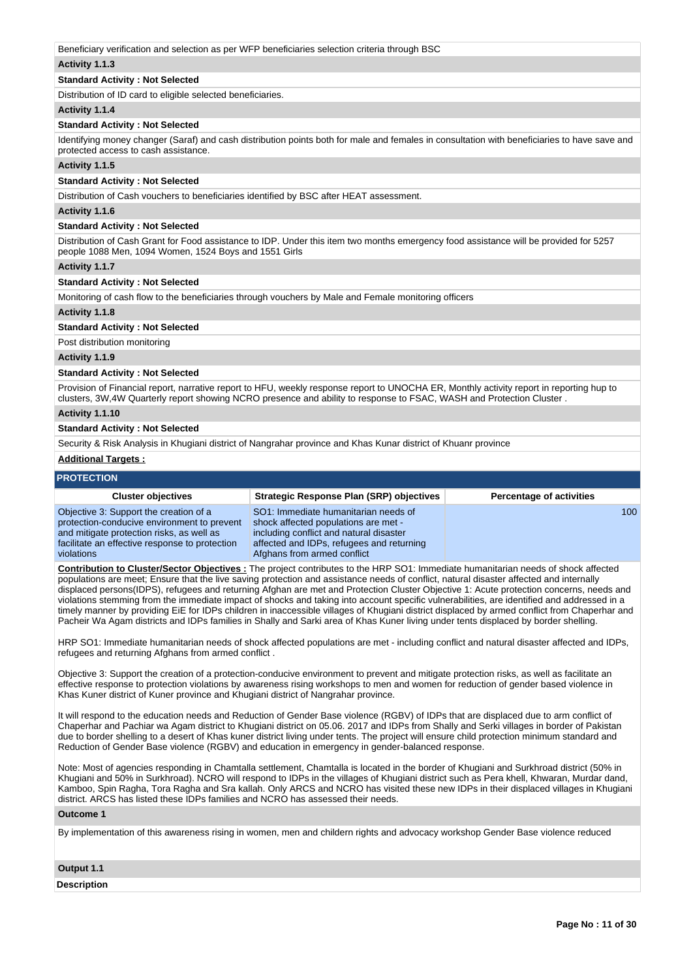Beneficiary verification and selection as per WFP beneficiaries selection criteria through BSC

### **Activity 1.1.3**

## **Standard Activity : Not Selected**

Distribution of ID card to eligible selected beneficiaries.

#### **Activity 1.1.4**

#### **Standard Activity : Not Selected**

Identifying money changer (Saraf) and cash distribution points both for male and females in consultation with beneficiaries to have save and protected access to cash assistance.

#### **Activity 1.1.5**

#### **Standard Activity : Not Selected**

Distribution of Cash vouchers to beneficiaries identified by BSC after HEAT assessment.

#### **Activity 1.1.6**

#### **Standard Activity : Not Selected**

Distribution of Cash Grant for Food assistance to IDP. Under this item two months emergency food assistance will be provided for 5257 people 1088 Men, 1094 Women, 1524 Boys and 1551 Girls

#### **Activity 1.1.7**

**Standard Activity : Not Selected**

Monitoring of cash flow to the beneficiaries through vouchers by Male and Female monitoring officers

#### **Activity 1.1.8**

#### **Standard Activity : Not Selected**

Post distribution monitoring

#### **Activity 1.1.9**

#### **Standard Activity : Not Selected**

Provision of Financial report, narrative report to HFU, weekly response report to UNOCHA ER, Monthly activity report in reporting hup to clusters, 3W,4W Quarterly report showing NCRO presence and ability to response to FSAC, WASH and Protection Cluster .

#### **Activity 1.1.10**

### **Standard Activity : Not Selected**

Security & Risk Analysis in Khugiani district of Nangrahar province and Khas Kunar district of Khuanr province

#### **Additional Targets :**

## **PROTECTION**

| <b>Cluster objectives</b>                                                                                                                                                                          | <b>Strategic Response Plan (SRP) objectives</b>                                                                                                                                                     | <b>Percentage of activities</b> |
|----------------------------------------------------------------------------------------------------------------------------------------------------------------------------------------------------|-----------------------------------------------------------------------------------------------------------------------------------------------------------------------------------------------------|---------------------------------|
| Objective 3: Support the creation of a<br>protection-conducive environment to prevent<br>and mitigate protection risks, as well as<br>facilitate an effective response to protection<br>violations | SO1: Immediate humanitarian needs of<br>shock affected populations are met -<br>including conflict and natural disaster<br>affected and IDPs, refugees and returning<br>Afghans from armed conflict | 100                             |

**Contribution to Cluster/Sector Objectives :** The project contributes to the HRP SO1: Immediate humanitarian needs of shock affected populations are meet; Ensure that the live saving protection and assistance needs of conflict, natural disaster affected and internally displaced persons(IDPS), refugees and returning Afghan are met and Protection Cluster Objective 1: Acute protection concerns, needs and violations stemming from the immediate impact of shocks and taking into account specific vulnerabilities, are identified and addressed in a timely manner by providing EiE for IDPs children in inaccessible villages of Khugiani district displaced by armed conflict from Chaperhar and Pacheir Wa Agam districts and IDPs families in Shally and Sarki area of Khas Kuner living under tents displaced by border shelling.

HRP SO1: Immediate humanitarian needs of shock affected populations are met - including conflict and natural disaster affected and IDPs, refugees and returning Afghans from armed conflict .

Objective 3: Support the creation of a protection-conducive environment to prevent and mitigate protection risks, as well as facilitate an effective response to protection violations by awareness rising workshops to men and women for reduction of gender based violence in Khas Kuner district of Kuner province and Khugiani district of Nangrahar province.

It will respond to the education needs and Reduction of Gender Base violence (RGBV) of IDPs that are displaced due to arm conflict of Chaperhar and Pachiar wa Agam district to Khugiani district on 05.06. 2017 and IDPs from Shally and Serki villages in border of Pakistan due to border shelling to a desert of Khas kuner district living under tents. The project will ensure child protection minimum standard and Reduction of Gender Base violence (RGBV) and education in emergency in gender-balanced response.

Note: Most of agencies responding in Chamtalla settlement, Chamtalla is located in the border of Khugiani and Surkhroad district (50% in Khugiani and 50% in Surkhroad). NCRO will respond to IDPs in the villages of Khugiani district such as Pera khell, Khwaran, Murdar dand, Kamboo, Spin Ragha, Tora Ragha and Sra kallah. Only ARCS and NCRO has visited these new IDPs in their displaced villages in Khugiani district. ARCS has listed these IDPs families and NCRO has assessed their needs.

#### **Outcome 1**

By implementation of this awareness rising in women, men and childern rights and advocacy workshop Gender Base violence reduced

#### **Output 1.1**

**Description**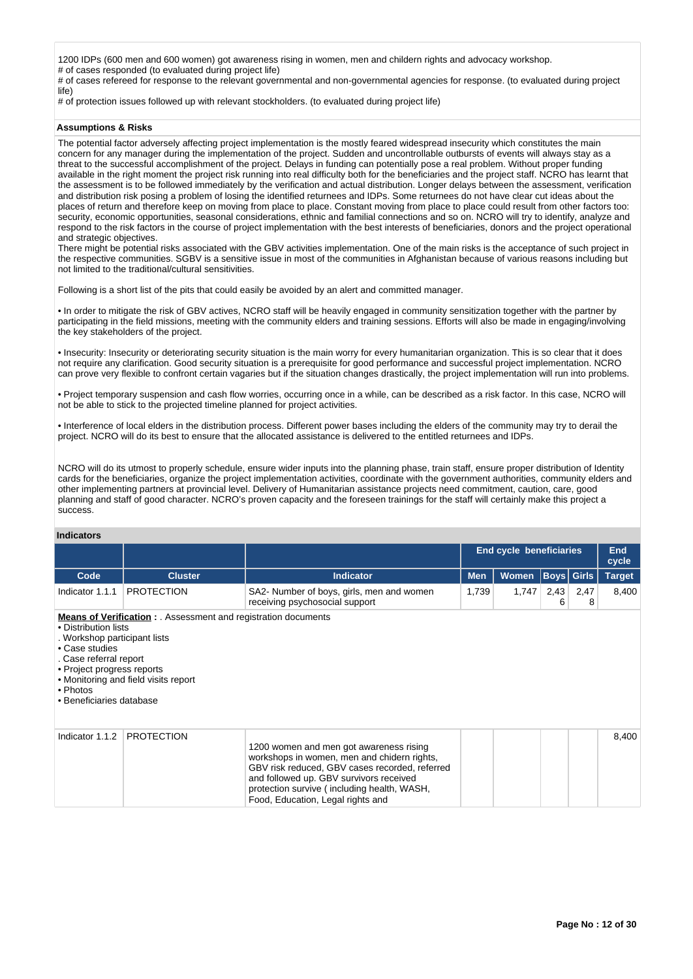1200 IDPs (600 men and 600 women) got awareness rising in women, men and childern rights and advocacy workshop. # of cases responded (to evaluated during project life)

# of cases refereed for response to the relevant governmental and non-governmental agencies for response. (to evaluated during project life)

# of protection issues followed up with relevant stockholders. (to evaluated during project life)

### **Assumptions & Risks**

The potential factor adversely affecting project implementation is the mostly feared widespread insecurity which constitutes the main concern for any manager during the implementation of the project. Sudden and uncontrollable outbursts of events will always stay as a threat to the successful accomplishment of the project. Delays in funding can potentially pose a real problem. Without proper funding available in the right moment the project risk running into real difficulty both for the beneficiaries and the project staff. NCRO has learnt that the assessment is to be followed immediately by the verification and actual distribution. Longer delays between the assessment, verification and distribution risk posing a problem of losing the identified returnees and IDPs. Some returnees do not have clear cut ideas about the places of return and therefore keep on moving from place to place. Constant moving from place to place could result from other factors too: security, economic opportunities, seasonal considerations, ethnic and familial connections and so on. NCRO will try to identify, analyze and respond to the risk factors in the course of project implementation with the best interests of beneficiaries, donors and the project operational and strategic objectives.

There might be potential risks associated with the GBV activities implementation. One of the main risks is the acceptance of such project in the respective communities. SGBV is a sensitive issue in most of the communities in Afghanistan because of various reasons including but not limited to the traditional/cultural sensitivities.

Following is a short list of the pits that could easily be avoided by an alert and committed manager.

• In order to mitigate the risk of GBV actives, NCRO staff will be heavily engaged in community sensitization together with the partner by participating in the field missions, meeting with the community elders and training sessions. Efforts will also be made in engaging/involving the key stakeholders of the project.

• Insecurity: Insecurity or deteriorating security situation is the main worry for every humanitarian organization. This is so clear that it does not require any clarification. Good security situation is a prerequisite for good performance and successful project implementation. NCRO can prove very flexible to confront certain vagaries but if the situation changes drastically, the project implementation will run into problems.

• Project temporary suspension and cash flow worries, occurring once in a while, can be described as a risk factor. In this case, NCRO will not be able to stick to the projected timeline planned for project activities.

• Interference of local elders in the distribution process. Different power bases including the elders of the community may try to derail the project. NCRO will do its best to ensure that the allocated assistance is delivered to the entitled returnees and IDPs.

NCRO will do its utmost to properly schedule, ensure wider inputs into the planning phase, train staff, ensure proper distribution of Identity cards for the beneficiaries, organize the project implementation activities, coordinate with the government authorities, community elders and other implementing partners at provincial level. Delivery of Humanitarian assistance projects need commitment, caution, care, good planning and staff of good character. NCRO's proven capacity and the foreseen trainings for the staff will certainly make this project a success.

#### **Indicators**

|                                                                                                                                                                        |                                                                                                                |                                                                                                                                                                                                                                                                         |            | <b>End cycle beneficiaries</b> |           |           |       |
|------------------------------------------------------------------------------------------------------------------------------------------------------------------------|----------------------------------------------------------------------------------------------------------------|-------------------------------------------------------------------------------------------------------------------------------------------------------------------------------------------------------------------------------------------------------------------------|------------|--------------------------------|-----------|-----------|-------|
| Code                                                                                                                                                                   | <b>Cluster</b>                                                                                                 | <b>Indicator</b>                                                                                                                                                                                                                                                        | <b>Men</b> | <b>Boys</b> Girls<br>Women     |           |           |       |
| Indicator 1.1.1                                                                                                                                                        | <b>PROTECTION</b>                                                                                              | SA2- Number of boys, girls, men and women<br>receiving psychosocial support                                                                                                                                                                                             | 1,739      | 1,747                          | 2,43<br>6 | 2,47<br>8 | 8,400 |
| • Distribution lists<br>. Workshop participant lists<br>• Case studies<br>. Case referral report<br>• Project progress reports<br>• Photos<br>• Beneficiaries database | <b>Means of Verification :</b> . Assessment and registration documents<br>• Monitoring and field visits report |                                                                                                                                                                                                                                                                         |            |                                |           |           |       |
| Indicator 1.1.2                                                                                                                                                        | <b>PROTECTION</b>                                                                                              | 1200 women and men got awareness rising<br>workshops in women, men and chidern rights,<br>GBV risk reduced, GBV cases recorded, referred<br>and followed up. GBV survivors received<br>protection survive (including health, WASH,<br>Food, Education, Legal rights and |            |                                |           |           | 8,400 |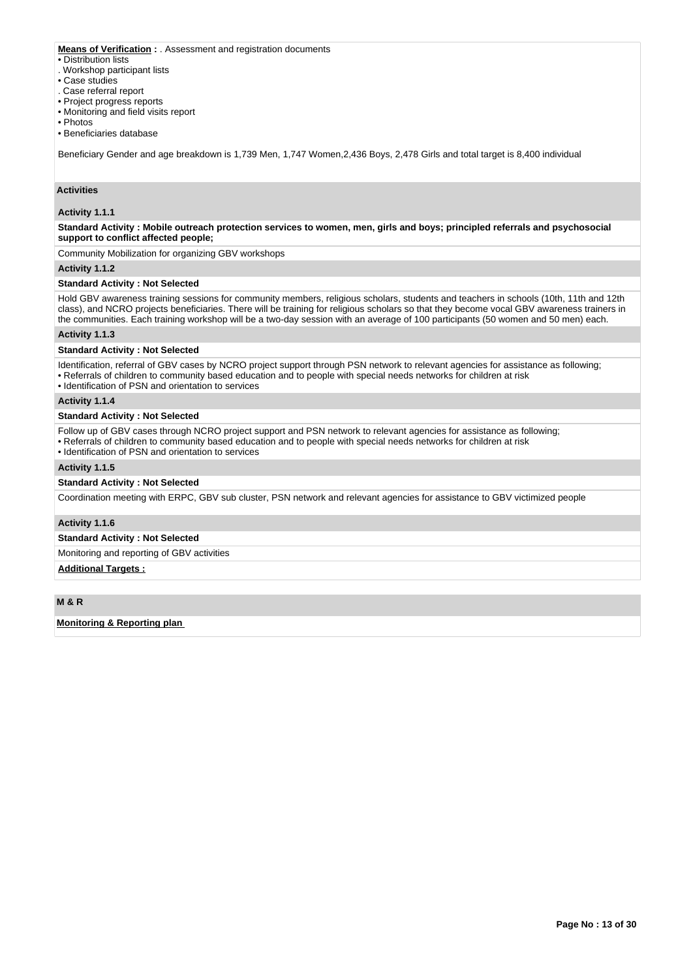### **Means of Verification :** . Assessment and registration documents

#### • Distribution lists

- . Workshop participant lists
- Case studies
- . Case referral report
- Project progress reports
- Monitoring and field visits report
- Photos
- Beneficiaries database

Beneficiary Gender and age breakdown is 1,739 Men, 1,747 Women,2,436 Boys, 2,478 Girls and total target is 8,400 individual

## **Activities**

#### **Activity 1.1.1**

**Standard Activity : Mobile outreach protection services to women, men, girls and boys; principled referrals and psychosocial support to conflict affected people;**

Community Mobilization for organizing GBV workshops

### **Activity 1.1.2**

#### **Standard Activity : Not Selected**

Hold GBV awareness training sessions for community members, religious scholars, students and teachers in schools (10th, 11th and 12th class), and NCRO projects beneficiaries. There will be training for religious scholars so that they become vocal GBV awareness trainers in the communities. Each training workshop will be a two-day session with an average of 100 participants (50 women and 50 men) each.

### **Activity 1.1.3**

### **Standard Activity : Not Selected**

Identification, referral of GBV cases by NCRO project support through PSN network to relevant agencies for assistance as following;

- Referrals of children to community based education and to people with special needs networks for children at risk
- Identification of PSN and orientation to services

### **Activity 1.1.4**

#### **Standard Activity : Not Selected**

Follow up of GBV cases through NCRO project support and PSN network to relevant agencies for assistance as following;

- Referrals of children to community based education and to people with special needs networks for children at risk
- Identification of PSN and orientation to services

#### **Activity 1.1.5**

# **Standard Activity : Not Selected**

Coordination meeting with ERPC, GBV sub cluster, PSN network and relevant agencies for assistance to GBV victimized people

### **Activity 1.1.6**

### **Standard Activity : Not Selected**

Monitoring and reporting of GBV activities

### **Additional Targets :**

**M & R**

### **Monitoring & Reporting plan**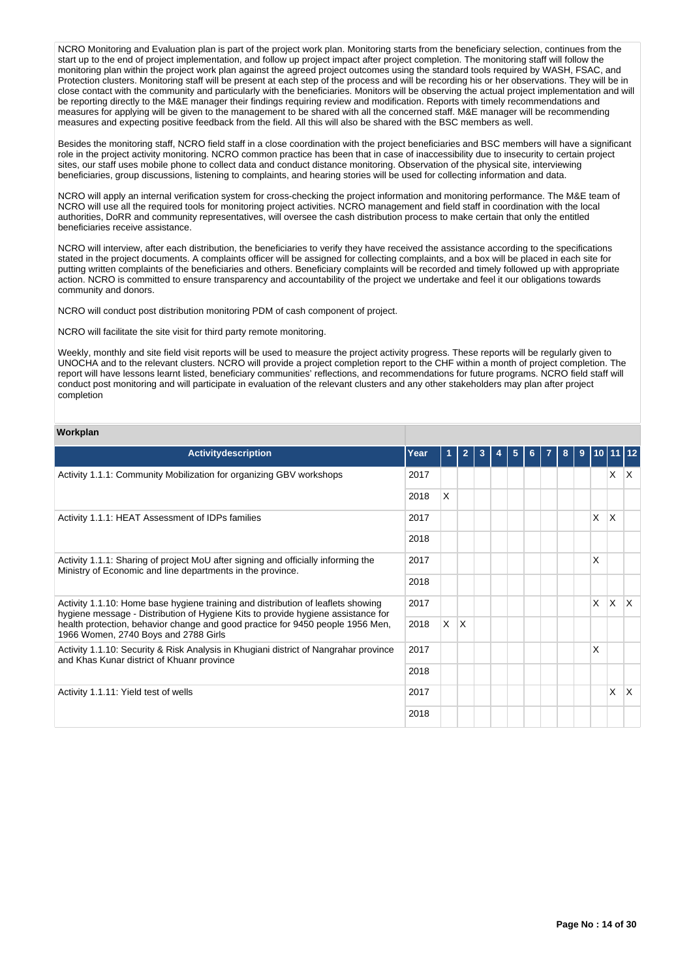NCRO Monitoring and Evaluation plan is part of the project work plan. Monitoring starts from the beneficiary selection, continues from the start up to the end of project implementation, and follow up project impact after project completion. The monitoring staff will follow the monitoring plan within the project work plan against the agreed project outcomes using the standard tools required by WASH, FSAC, and Protection clusters. Monitoring staff will be present at each step of the process and will be recording his or her observations. They will be in close contact with the community and particularly with the beneficiaries. Monitors will be observing the actual project implementation and will be reporting directly to the M&E manager their findings requiring review and modification. Reports with timely recommendations and measures for applying will be given to the management to be shared with all the concerned staff. M&E manager will be recommending measures and expecting positive feedback from the field. All this will also be shared with the BSC members as well.

Besides the monitoring staff, NCRO field staff in a close coordination with the project beneficiaries and BSC members will have a significant role in the project activity monitoring. NCRO common practice has been that in case of inaccessibility due to insecurity to certain project sites, our staff uses mobile phone to collect data and conduct distance monitoring. Observation of the physical site, interviewing beneficiaries, group discussions, listening to complaints, and hearing stories will be used for collecting information and data.

NCRO will apply an internal verification system for cross-checking the project information and monitoring performance. The M&E team of NCRO will use all the required tools for monitoring project activities. NCRO management and field staff in coordination with the local authorities, DoRR and community representatives, will oversee the cash distribution process to make certain that only the entitled beneficiaries receive assistance.

NCRO will interview, after each distribution, the beneficiaries to verify they have received the assistance according to the specifications stated in the project documents. A complaints officer will be assigned for collecting complaints, and a box will be placed in each site for putting written complaints of the beneficiaries and others. Beneficiary complaints will be recorded and timely followed up with appropriate action. NCRO is committed to ensure transparency and accountability of the project we undertake and feel it our obligations towards community and donors.

NCRO will conduct post distribution monitoring PDM of cash component of project.

NCRO will facilitate the site visit for third party remote monitoring.

Weekly, monthly and site field visit reports will be used to measure the project activity progress. These reports will be regularly given to UNOCHA and to the relevant clusters. NCRO will provide a project completion report to the CHF within a month of project completion. The report will have lessons learnt listed, beneficiary communities' reflections, and recommendations for future programs. NCRO field staff will conduct post monitoring and will participate in evaluation of the relevant clusters and any other stakeholders may plan after project completion

#### **Workplan**

| <b>Activitydescription</b>                                                                                                                                           | Year |          |     | 3 | 5 | 6. | 8 | $\bf{9}$ | 10   11 |   |     |
|----------------------------------------------------------------------------------------------------------------------------------------------------------------------|------|----------|-----|---|---|----|---|----------|---------|---|-----|
| Activity 1.1.1: Community Mobilization for organizing GBV workshops                                                                                                  | 2017 |          |     |   |   |    |   |          |         | X | ΙX. |
|                                                                                                                                                                      | 2018 | X        |     |   |   |    |   |          |         |   |     |
| Activity 1.1.1: HEAT Assessment of IDPs families                                                                                                                     | 2017 |          |     |   |   |    |   |          | X       | X |     |
|                                                                                                                                                                      | 2018 |          |     |   |   |    |   |          |         |   |     |
| Activity 1.1.1: Sharing of project MoU after signing and officially informing the<br>Ministry of Economic and line departments in the province.                      | 2017 |          |     |   |   |    |   |          | X       |   |     |
|                                                                                                                                                                      | 2018 |          |     |   |   |    |   |          |         |   |     |
| Activity 1.1.10: Home base hygiene training and distribution of leaflets showing<br>hygiene message - Distribution of Hygiene Kits to provide hygiene assistance for | 2017 |          |     |   |   |    |   |          | X       | X | ΙX  |
| health protection, behavior change and good practice for 9450 people 1956 Men,<br>1966 Women, 2740 Boys and 2788 Girls                                               | 2018 | <b>X</b> | ΙX. |   |   |    |   |          |         |   |     |
| Activity 1.1.10: Security & Risk Analysis in Khugiani district of Nangrahar province<br>and Khas Kunar district of Khuanr province                                   | 2017 |          |     |   |   |    |   |          | X       |   |     |
|                                                                                                                                                                      | 2018 |          |     |   |   |    |   |          |         |   |     |
| Activity 1.1.11: Yield test of wells                                                                                                                                 | 2017 |          |     |   |   |    |   |          |         | X | ΙX  |
|                                                                                                                                                                      | 2018 |          |     |   |   |    |   |          |         |   |     |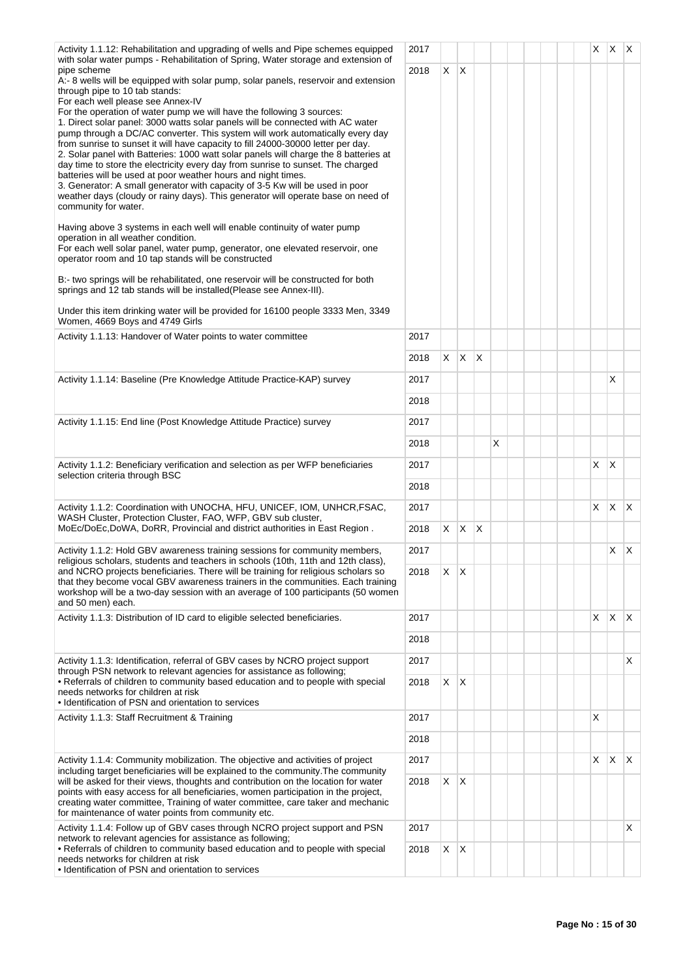| Activity 1.1.12: Rehabilitation and upgrading of wells and Pipe schemes equipped<br>with solar water pumps - Rehabilitation of Spring, Water storage and extension of                                                                                                                                                                                                                                                                                                                                                                                                                                                                                                                                                                                                                                                                                                                                                                                                                                                                                                                                                                                                                                                                                                                                                                                                    | 2017 |    |              |              |   |  |  | X. | $X$ $X$      |              |
|--------------------------------------------------------------------------------------------------------------------------------------------------------------------------------------------------------------------------------------------------------------------------------------------------------------------------------------------------------------------------------------------------------------------------------------------------------------------------------------------------------------------------------------------------------------------------------------------------------------------------------------------------------------------------------------------------------------------------------------------------------------------------------------------------------------------------------------------------------------------------------------------------------------------------------------------------------------------------------------------------------------------------------------------------------------------------------------------------------------------------------------------------------------------------------------------------------------------------------------------------------------------------------------------------------------------------------------------------------------------------|------|----|--------------|--------------|---|--|--|----|--------------|--------------|
| pipe scheme<br>A:- 8 wells will be equipped with solar pump, solar panels, reservoir and extension<br>through pipe to 10 tab stands:<br>For each well please see Annex-IV<br>For the operation of water pump we will have the following 3 sources:<br>1. Direct solar panel: 3000 watts solar panels will be connected with AC water<br>pump through a DC/AC converter. This system will work automatically every day<br>from sunrise to sunset it will have capacity to fill 24000-30000 letter per day.<br>2. Solar panel with Batteries: 1000 watt solar panels will charge the 8 batteries at<br>day time to store the electricity every day from sunrise to sunset. The charged<br>batteries will be used at poor weather hours and night times.<br>3. Generator: A small generator with capacity of 3-5 Kw will be used in poor<br>weather days (cloudy or rainy days). This generator will operate base on need of<br>community for water.<br>Having above 3 systems in each well will enable continuity of water pump<br>operation in all weather condition.<br>For each well solar panel, water pump, generator, one elevated reservoir, one<br>operator room and 10 tap stands will be constructed<br>B:- two springs will be rehabilitated, one reservoir will be constructed for both<br>springs and 12 tab stands will be installed (Please see Annex-III). | 2018 | X  | $\mathsf{X}$ |              |   |  |  |    |              |              |
| Under this item drinking water will be provided for 16100 people 3333 Men, 3349<br>Women, 4669 Boys and 4749 Girls                                                                                                                                                                                                                                                                                                                                                                                                                                                                                                                                                                                                                                                                                                                                                                                                                                                                                                                                                                                                                                                                                                                                                                                                                                                       |      |    |              |              |   |  |  |    |              |              |
| Activity 1.1.13: Handover of Water points to water committee                                                                                                                                                                                                                                                                                                                                                                                                                                                                                                                                                                                                                                                                                                                                                                                                                                                                                                                                                                                                                                                                                                                                                                                                                                                                                                             | 2017 |    |              |              |   |  |  |    |              |              |
|                                                                                                                                                                                                                                                                                                                                                                                                                                                                                                                                                                                                                                                                                                                                                                                                                                                                                                                                                                                                                                                                                                                                                                                                                                                                                                                                                                          | 2018 | X. | $X$ $X$      |              |   |  |  |    |              |              |
| Activity 1.1.14: Baseline (Pre Knowledge Attitude Practice-KAP) survey                                                                                                                                                                                                                                                                                                                                                                                                                                                                                                                                                                                                                                                                                                                                                                                                                                                                                                                                                                                                                                                                                                                                                                                                                                                                                                   | 2017 |    |              |              |   |  |  |    | X            |              |
|                                                                                                                                                                                                                                                                                                                                                                                                                                                                                                                                                                                                                                                                                                                                                                                                                                                                                                                                                                                                                                                                                                                                                                                                                                                                                                                                                                          | 2018 |    |              |              |   |  |  |    |              |              |
| Activity 1.1.15: End line (Post Knowledge Attitude Practice) survey                                                                                                                                                                                                                                                                                                                                                                                                                                                                                                                                                                                                                                                                                                                                                                                                                                                                                                                                                                                                                                                                                                                                                                                                                                                                                                      | 2017 |    |              |              |   |  |  |    |              |              |
|                                                                                                                                                                                                                                                                                                                                                                                                                                                                                                                                                                                                                                                                                                                                                                                                                                                                                                                                                                                                                                                                                                                                                                                                                                                                                                                                                                          | 2018 |    |              |              | х |  |  |    |              |              |
| Activity 1.1.2: Beneficiary verification and selection as per WFP beneficiaries                                                                                                                                                                                                                                                                                                                                                                                                                                                                                                                                                                                                                                                                                                                                                                                                                                                                                                                                                                                                                                                                                                                                                                                                                                                                                          | 2017 |    |              |              |   |  |  | X. | $\mathsf{X}$ |              |
| selection criteria through BSC                                                                                                                                                                                                                                                                                                                                                                                                                                                                                                                                                                                                                                                                                                                                                                                                                                                                                                                                                                                                                                                                                                                                                                                                                                                                                                                                           | 2018 |    |              |              |   |  |  |    |              |              |
| Activity 1.1.2: Coordination with UNOCHA, HFU, UNICEF, IOM, UNHCR, FSAC,                                                                                                                                                                                                                                                                                                                                                                                                                                                                                                                                                                                                                                                                                                                                                                                                                                                                                                                                                                                                                                                                                                                                                                                                                                                                                                 | 2017 |    |              |              |   |  |  | X. | $X$ $X$      |              |
| WASH Cluster, Protection Cluster, FAO, WFP, GBV sub cluster,<br>MoEc/DoEc,DoWA, DoRR, Provincial and district authorities in East Region.                                                                                                                                                                                                                                                                                                                                                                                                                                                                                                                                                                                                                                                                                                                                                                                                                                                                                                                                                                                                                                                                                                                                                                                                                                | 2018 | X. | X.           | $\mathsf{X}$ |   |  |  |    |              |              |
| Activity 1.1.2: Hold GBV awareness training sessions for community members,                                                                                                                                                                                                                                                                                                                                                                                                                                                                                                                                                                                                                                                                                                                                                                                                                                                                                                                                                                                                                                                                                                                                                                                                                                                                                              | 2017 |    |              |              |   |  |  |    | $X \mid X$   |              |
| religious scholars, students and teachers in schools (10th, 11th and 12th class),<br>and NCRO projects beneficiaries. There will be training for religious scholars so<br>that they become vocal GBV awareness trainers in the communities. Each training<br>workshop will be a two-day session with an average of 100 participants (50 women<br>and 50 men) each.                                                                                                                                                                                                                                                                                                                                                                                                                                                                                                                                                                                                                                                                                                                                                                                                                                                                                                                                                                                                       | 2018 | X  | ΙX           |              |   |  |  |    |              |              |
| Activity 1.1.3: Distribution of ID card to eligible selected beneficiaries.                                                                                                                                                                                                                                                                                                                                                                                                                                                                                                                                                                                                                                                                                                                                                                                                                                                                                                                                                                                                                                                                                                                                                                                                                                                                                              | 2017 |    |              |              |   |  |  | X. | $\mathsf{X}$ | $\mathsf{X}$ |
|                                                                                                                                                                                                                                                                                                                                                                                                                                                                                                                                                                                                                                                                                                                                                                                                                                                                                                                                                                                                                                                                                                                                                                                                                                                                                                                                                                          | 2018 |    |              |              |   |  |  |    |              |              |
| Activity 1.1.3: Identification, referral of GBV cases by NCRO project support<br>through PSN network to relevant agencies for assistance as following;                                                                                                                                                                                                                                                                                                                                                                                                                                                                                                                                                                                                                                                                                                                                                                                                                                                                                                                                                                                                                                                                                                                                                                                                                   | 2017 |    |              |              |   |  |  |    |              | X            |
| • Referrals of children to community based education and to people with special<br>needs networks for children at risk<br>• Identification of PSN and orientation to services                                                                                                                                                                                                                                                                                                                                                                                                                                                                                                                                                                                                                                                                                                                                                                                                                                                                                                                                                                                                                                                                                                                                                                                            | 2018 | X  | $\mathsf{X}$ |              |   |  |  |    |              |              |
| Activity 1.1.3: Staff Recruitment & Training                                                                                                                                                                                                                                                                                                                                                                                                                                                                                                                                                                                                                                                                                                                                                                                                                                                                                                                                                                                                                                                                                                                                                                                                                                                                                                                             | 2017 |    |              |              |   |  |  | X  |              |              |
|                                                                                                                                                                                                                                                                                                                                                                                                                                                                                                                                                                                                                                                                                                                                                                                                                                                                                                                                                                                                                                                                                                                                                                                                                                                                                                                                                                          | 2018 |    |              |              |   |  |  |    |              |              |
| Activity 1.1.4: Community mobilization. The objective and activities of project                                                                                                                                                                                                                                                                                                                                                                                                                                                                                                                                                                                                                                                                                                                                                                                                                                                                                                                                                                                                                                                                                                                                                                                                                                                                                          | 2017 |    |              |              |   |  |  | X. | ΙX.          | $\mathsf{X}$ |
| including target beneficiaries will be explained to the community. The community<br>will be asked for their views, thoughts and contribution on the location for water<br>points with easy access for all beneficiaries, women participation in the project,<br>creating water committee, Training of water committee, care taker and mechanic<br>for maintenance of water points from community etc.                                                                                                                                                                                                                                                                                                                                                                                                                                                                                                                                                                                                                                                                                                                                                                                                                                                                                                                                                                    | 2018 | X. | ΙX.          |              |   |  |  |    |              |              |
| Activity 1.1.4: Follow up of GBV cases through NCRO project support and PSN<br>network to relevant agencies for assistance as following;                                                                                                                                                                                                                                                                                                                                                                                                                                                                                                                                                                                                                                                                                                                                                                                                                                                                                                                                                                                                                                                                                                                                                                                                                                 | 2017 |    |              |              |   |  |  |    |              | X            |
| • Referrals of children to community based education and to people with special<br>needs networks for children at risk<br>• Identification of PSN and orientation to services                                                                                                                                                                                                                                                                                                                                                                                                                                                                                                                                                                                                                                                                                                                                                                                                                                                                                                                                                                                                                                                                                                                                                                                            | 2018 | X  | $\mathsf{X}$ |              |   |  |  |    |              |              |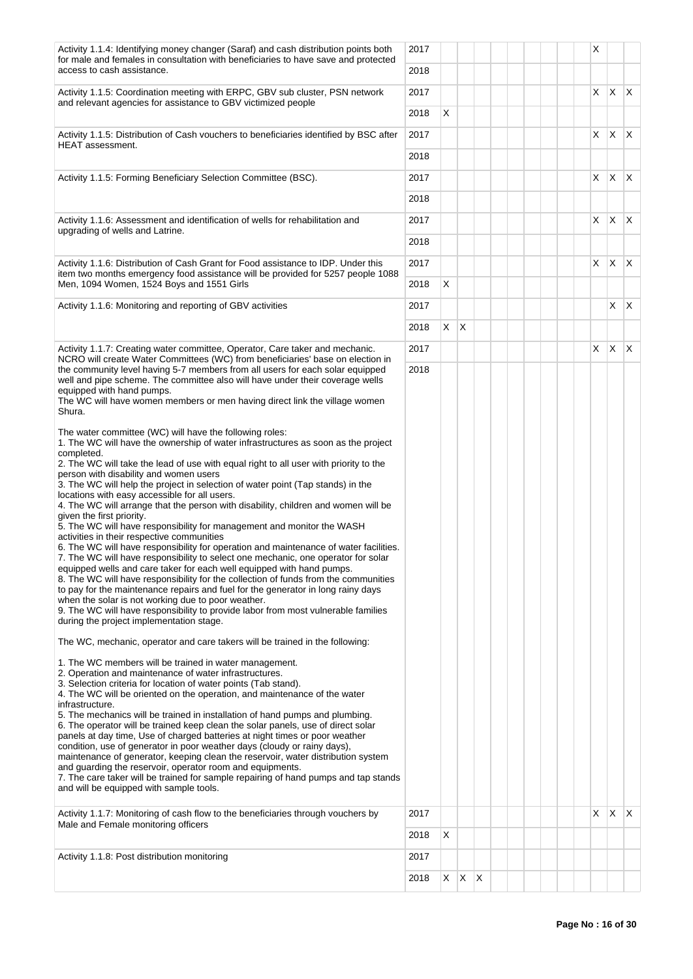| Activity 1.1.4: Identifying money changer (Saraf) and cash distribution points both<br>for male and females in consultation with beneficiaries to have save and protected  | 2017 |            |   |              |  |  |  | X                 |              |    |
|----------------------------------------------------------------------------------------------------------------------------------------------------------------------------|------|------------|---|--------------|--|--|--|-------------------|--------------|----|
| access to cash assistance.                                                                                                                                                 | 2018 |            |   |              |  |  |  |                   |              |    |
| Activity 1.1.5: Coordination meeting with ERPC, GBV sub cluster, PSN network<br>and relevant agencies for assistance to GBV victimized people                              | 2017 |            |   |              |  |  |  | $x \mid x \mid x$ |              |    |
|                                                                                                                                                                            | 2018 | X          |   |              |  |  |  |                   |              |    |
| Activity 1.1.5: Distribution of Cash vouchers to beneficiaries identified by BSC after                                                                                     | 2017 |            |   |              |  |  |  | X                 | $\mathsf{X}$ | X. |
| HEAT assessment.                                                                                                                                                           | 2018 |            |   |              |  |  |  |                   |              |    |
| Activity 1.1.5: Forming Beneficiary Selection Committee (BSC).                                                                                                             | 2017 |            |   |              |  |  |  | X                 | $X$ $X$      |    |
|                                                                                                                                                                            | 2018 |            |   |              |  |  |  |                   |              |    |
| Activity 1.1.6: Assessment and identification of wells for rehabilitation and                                                                                              | 2017 |            |   |              |  |  |  | X.                | $X$ $X$      |    |
| upgrading of wells and Latrine.                                                                                                                                            | 2018 |            |   |              |  |  |  |                   |              |    |
| Activity 1.1.6: Distribution of Cash Grant for Food assistance to IDP. Under this                                                                                          | 2017 |            |   |              |  |  |  | X                 | IX.          | X. |
| item two months emergency food assistance will be provided for 5257 people 1088<br>Men, 1094 Women, 1524 Boys and 1551 Girls                                               | 2018 | X          |   |              |  |  |  |                   |              |    |
| Activity 1.1.6: Monitoring and reporting of GBV activities                                                                                                                 | 2017 |            |   |              |  |  |  |                   | X.           | X. |
|                                                                                                                                                                            | 2018 | $X \mid X$ |   |              |  |  |  |                   |              |    |
| Activity 1.1.7: Creating water committee, Operator, Care taker and mechanic.                                                                                               | 2017 |            |   |              |  |  |  | X                 | $\mathsf{X}$ | X. |
| NCRO will create Water Committees (WC) from beneficiaries' base on election in<br>the community level having 5-7 members from all users for each solar equipped            | 2018 |            |   |              |  |  |  |                   |              |    |
| well and pipe scheme. The committee also will have under their coverage wells<br>equipped with hand pumps.                                                                 |      |            |   |              |  |  |  |                   |              |    |
| The WC will have women members or men having direct link the village women<br>Shura.                                                                                       |      |            |   |              |  |  |  |                   |              |    |
| The water committee (WC) will have the following roles:                                                                                                                    |      |            |   |              |  |  |  |                   |              |    |
| 1. The WC will have the ownership of water infrastructures as soon as the project<br>completed.                                                                            |      |            |   |              |  |  |  |                   |              |    |
| 2. The WC will take the lead of use with equal right to all user with priority to the<br>person with disability and women users                                            |      |            |   |              |  |  |  |                   |              |    |
| 3. The WC will help the project in selection of water point (Tap stands) in the<br>locations with easy accessible for all users.                                           |      |            |   |              |  |  |  |                   |              |    |
| 4. The WC will arrange that the person with disability, children and women will be<br>given the first priority.                                                            |      |            |   |              |  |  |  |                   |              |    |
| 5. The WC will have responsibility for management and monitor the WASH<br>activities in their respective communities                                                       |      |            |   |              |  |  |  |                   |              |    |
| 6. The WC will have responsibility for operation and maintenance of water facilities.<br>7. The WC will have responsibility to select one mechanic, one operator for solar |      |            |   |              |  |  |  |                   |              |    |
| equipped wells and care taker for each well equipped with hand pumps.<br>8. The WC will have responsibility for the collection of funds from the communities               |      |            |   |              |  |  |  |                   |              |    |
| to pay for the maintenance repairs and fuel for the generator in long rainy days<br>when the solar is not working due to poor weather.                                     |      |            |   |              |  |  |  |                   |              |    |
| 9. The WC will have responsibility to provide labor from most vulnerable families<br>during the project implementation stage.                                              |      |            |   |              |  |  |  |                   |              |    |
| The WC, mechanic, operator and care takers will be trained in the following:                                                                                               |      |            |   |              |  |  |  |                   |              |    |
| 1. The WC members will be trained in water management.                                                                                                                     |      |            |   |              |  |  |  |                   |              |    |
| 2. Operation and maintenance of water infrastructures.                                                                                                                     |      |            |   |              |  |  |  |                   |              |    |
| 3. Selection criteria for location of water points (Tab stand).<br>4. The WC will be oriented on the operation, and maintenance of the water<br>infrastructure.            |      |            |   |              |  |  |  |                   |              |    |
| 5. The mechanics will be trained in installation of hand pumps and plumbing.                                                                                               |      |            |   |              |  |  |  |                   |              |    |
| 6. The operator will be trained keep clean the solar panels, use of direct solar<br>panels at day time, Use of charged batteries at night times or poor weather            |      |            |   |              |  |  |  |                   |              |    |
| condition, use of generator in poor weather days (cloudy or rainy days),<br>maintenance of generator, keeping clean the reservoir, water distribution system               |      |            |   |              |  |  |  |                   |              |    |
| and guarding the reservoir, operator room and equipments.<br>7. The care taker will be trained for sample repairing of hand pumps and tap stands                           |      |            |   |              |  |  |  |                   |              |    |
| and will be equipped with sample tools.                                                                                                                                    |      |            |   |              |  |  |  |                   |              |    |
| Activity 1.1.7: Monitoring of cash flow to the beneficiaries through vouchers by<br>Male and Female monitoring officers                                                    | 2017 |            |   |              |  |  |  | X                 | $\mathsf{X}$ | X. |
|                                                                                                                                                                            | 2018 | X          |   |              |  |  |  |                   |              |    |
| Activity 1.1.8: Post distribution monitoring                                                                                                                               | 2017 |            |   |              |  |  |  |                   |              |    |
|                                                                                                                                                                            | 2018 | X          | X | $\mathsf{X}$ |  |  |  |                   |              |    |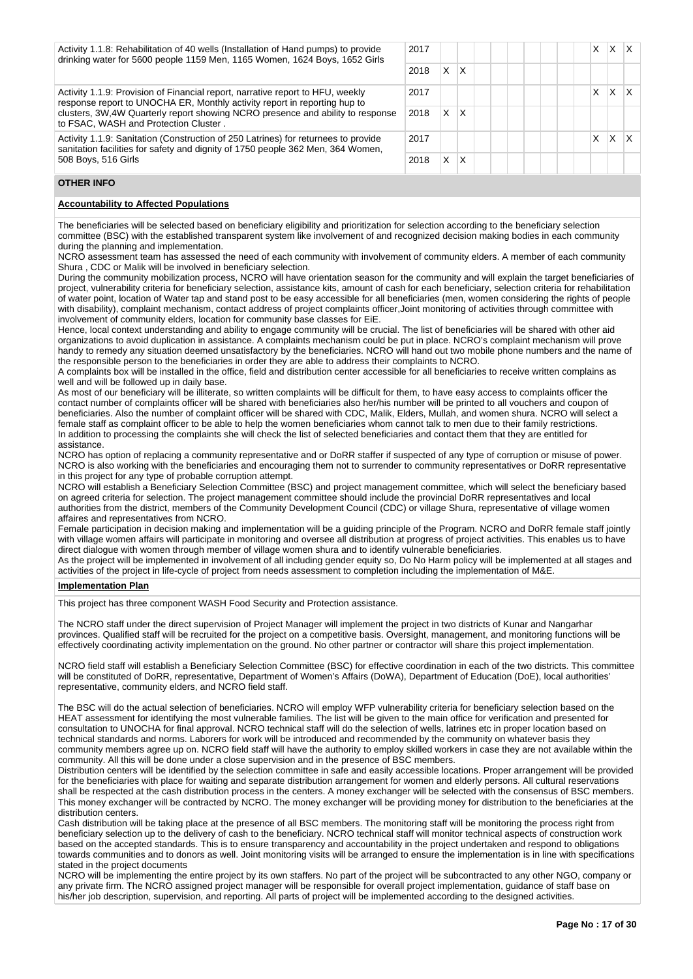| Activity 1.1.8: Rehabilitation of 40 wells (Installation of Hand pumps) to provide<br>drinking water for 5600 people 1159 Men, 1165 Women, 1624 Boys, 1652 Girls      | 2017 |   |   |  |  | x | x |  |
|-----------------------------------------------------------------------------------------------------------------------------------------------------------------------|------|---|---|--|--|---|---|--|
|                                                                                                                                                                       | 2018 | X | X |  |  |   |   |  |
| Activity 1.1.9: Provision of Financial report, narrative report to HFU, weekly<br>response report to UNOCHA ER, Monthly activity report in reporting hup to           | 2017 |   |   |  |  |   | X |  |
| clusters, 3W, 4W Quarterly report showing NCRO presence and ability to response<br>to FSAC, WASH and Protection Cluster.                                              | 2018 | X | X |  |  |   |   |  |
| Activity 1.1.9: Sanitation (Construction of 250 Latrines) for returnees to provide<br>sanitation facilities for safety and dignity of 1750 people 362 Men, 364 Women, | 2017 |   |   |  |  | X | X |  |
| 508 Boys, 516 Girls                                                                                                                                                   | 2018 | X | X |  |  |   |   |  |

### **OTHER INFO**

#### **Accountability to Affected Populations**

The beneficiaries will be selected based on beneficiary eligibility and prioritization for selection according to the beneficiary selection committee (BSC) with the established transparent system like involvement of and recognized decision making bodies in each community during the planning and implementation.

NCRO assessment team has assessed the need of each community with involvement of community elders. A member of each community Shura , CDC or Malik will be involved in beneficiary selection.

During the community mobilization process, NCRO will have orientation season for the community and will explain the target beneficiaries of project, vulnerability criteria for beneficiary selection, assistance kits, amount of cash for each beneficiary, selection criteria for rehabilitation of water point, location of Water tap and stand post to be easy accessible for all beneficiaries (men, women considering the rights of people with disability), complaint mechanism, contact address of project complaints officer,Joint monitoring of activities through committee with involvement of community elders, location for community base classes for EiE.

Hence, local context understanding and ability to engage community will be crucial. The list of beneficiaries will be shared with other aid organizations to avoid duplication in assistance. A complaints mechanism could be put in place. NCRO's complaint mechanism will prove handy to remedy any situation deemed unsatisfactory by the beneficiaries. NCRO will hand out two mobile phone numbers and the name of the responsible person to the beneficiaries in order they are able to address their complaints to NCRO.

A complaints box will be installed in the office, field and distribution center accessible for all beneficiaries to receive written complains as well and will be followed up in daily base.

As most of our beneficiary will be illiterate, so written complaints will be difficult for them, to have easy access to complaints officer the contact number of complaints officer will be shared with beneficiaries also her/his number will be printed to all vouchers and coupon of beneficiaries. Also the number of complaint officer will be shared with CDC, Malik, Elders, Mullah, and women shura. NCRO will select a female staff as complaint officer to be able to help the women beneficiaries whom cannot talk to men due to their family restrictions. In addition to processing the complaints she will check the list of selected beneficiaries and contact them that they are entitled for assistance.

NCRO has option of replacing a community representative and or DoRR staffer if suspected of any type of corruption or misuse of power. NCRO is also working with the beneficiaries and encouraging them not to surrender to community representatives or DoRR representative in this project for any type of probable corruption attempt.

NCRO will establish a Beneficiary Selection Committee (BSC) and project management committee, which will select the beneficiary based on agreed criteria for selection. The project management committee should include the provincial DoRR representatives and local authorities from the district, members of the Community Development Council (CDC) or village Shura, representative of village women affaires and representatives from NCRO.

Female participation in decision making and implementation will be a guiding principle of the Program. NCRO and DoRR female staff jointly with village women affairs will participate in monitoring and oversee all distribution at progress of project activities. This enables us to have direct dialogue with women through member of village women shura and to identify vulnerable beneficiaries.

As the project will be implemented in involvement of all including gender equity so, Do No Harm policy will be implemented at all stages and activities of the project in life-cycle of project from needs assessment to completion including the implementation of M&E.

### **Implementation Plan**

This project has three component WASH Food Security and Protection assistance.

The NCRO staff under the direct supervision of Project Manager will implement the project in two districts of Kunar and Nangarhar provinces. Qualified staff will be recruited for the project on a competitive basis. Oversight, management, and monitoring functions will be effectively coordinating activity implementation on the ground. No other partner or contractor will share this project implementation.

NCRO field staff will establish a Beneficiary Selection Committee (BSC) for effective coordination in each of the two districts. This committee will be constituted of DoRR, representative, Department of Women's Affairs (DoWA), Department of Education (DoE), local authorities' representative, community elders, and NCRO field staff.

The BSC will do the actual selection of beneficiaries. NCRO will employ WFP vulnerability criteria for beneficiary selection based on the HEAT assessment for identifying the most vulnerable families. The list will be given to the main office for verification and presented for consultation to UNOCHA for final approval. NCRO technical staff will do the selection of wells, latrines etc in proper location based on technical standards and norms. Laborers for work will be introduced and recommended by the community on whatever basis they community members agree up on. NCRO field staff will have the authority to employ skilled workers in case they are not available within the community. All this will be done under a close supervision and in the presence of BSC members.

Distribution centers will be identified by the selection committee in safe and easily accessible locations. Proper arrangement will be provided for the beneficiaries with place for waiting and separate distribution arrangement for women and elderly persons. All cultural reservations shall be respected at the cash distribution process in the centers. A money exchanger will be selected with the consensus of BSC members. This money exchanger will be contracted by NCRO. The money exchanger will be providing money for distribution to the beneficiaries at the distribution centers.

Cash distribution will be taking place at the presence of all BSC members. The monitoring staff will be monitoring the process right from beneficiary selection up to the delivery of cash to the beneficiary. NCRO technical staff will monitor technical aspects of construction work based on the accepted standards. This is to ensure transparency and accountability in the project undertaken and respond to obligations towards communities and to donors as well. Joint monitoring visits will be arranged to ensure the implementation is in line with specifications stated in the project documents

NCRO will be implementing the entire project by its own staffers. No part of the project will be subcontracted to any other NGO, company or any private firm. The NCRO assigned project manager will be responsible for overall project implementation, guidance of staff base on his/her job description, supervision, and reporting. All parts of project will be implemented according to the designed activities.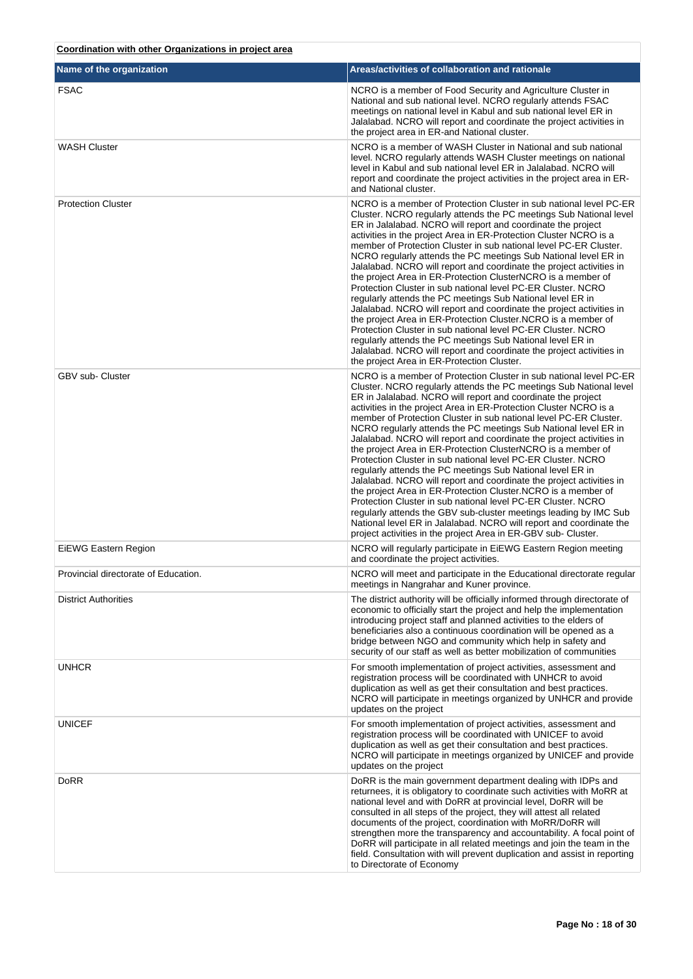#### **Name of the organization Areas/activities of collaboration and rationale** FSAC **TEAC ISLAC IS A TEACH ISLAC IS A MORT OF THE SAC** IS A member of Food Security and Agriculture Cluster in National and sub national level. NCRO regularly attends FSAC meetings on national level in Kabul and sub national level ER in Jalalabad. NCRO will report and coordinate the project activities in the project area in ER-and National cluster. WASH Cluster Number of WASH Cluster in National and sub national and sub national and sub national level. NCRO regularly attends WASH Cluster meetings on national level in Kabul and sub national level ER in Jalalabad. NCRO will report and coordinate the project activities in the project area in ERand National cluster. Protection Cluster NCRO is a member of Protection Cluster in sub national level PC-ER Cluster. NCRO regularly attends the PC meetings Sub National level ER in Jalalabad. NCRO will report and coordinate the project activities in the project Area in ER-Protection Cluster NCRO is a member of Protection Cluster in sub national level PC-ER Cluster. NCRO regularly attends the PC meetings Sub National level ER in Jalalabad. NCRO will report and coordinate the project activities in the project Area in ER-Protection ClusterNCRO is a member of Protection Cluster in sub national level PC-ER Cluster. NCRO regularly attends the PC meetings Sub National level ER in Jalalabad. NCRO will report and coordinate the project activities in the project Area in ER-Protection Cluster.NCRO is a member of Protection Cluster in sub national level PC-ER Cluster. NCRO regularly attends the PC meetings Sub National level ER in Jalalabad. NCRO will report and coordinate the project activities in the project Area in ER-Protection Cluster. GBV sub- Cluster Number of Protection Cluster in sub national level PC-ER Cluster. NCRO regularly attends the PC meetings Sub National level ER in Jalalabad. NCRO will report and coordinate the project activities in the project Area in ER-Protection Cluster NCRO is a member of Protection Cluster in sub national level PC-ER Cluster. NCRO regularly attends the PC meetings Sub National level ER in Jalalabad. NCRO will report and coordinate the project activities in the project Area in ER-Protection ClusterNCRO is a member of Protection Cluster in sub national level PC-ER Cluster. NCRO regularly attends the PC meetings Sub National level ER in Jalalabad. NCRO will report and coordinate the project activities in the project Area in ER-Protection Cluster.NCRO is a member of Protection Cluster in sub national level PC-ER Cluster. NCRO regularly attends the GBV sub-cluster meetings leading by IMC Sub National level ER in Jalalabad. NCRO will report and coordinate the project activities in the project Area in ER-GBV sub- Cluster. EIEWG Eastern Region North American NCRO will regularly participate in EIEWG Eastern Region meeting and coordinate the project activities. Provincial directorate of Education. The extended in the Educational directorate regular in the Educational directorate regular meetings in Nangrahar and Kuner province. District Authorities The district authority will be officially informed through directorate of economic to officially start the project and help the implementation introducing project staff and planned activities to the elders of beneficiaries also a continuous coordination will be opened as a bridge between NGO and community which help in safety and security of our staff as well as better mobilization of communities UNHCR **For smooth implementation of project activities**, assessment and registration process will be coordinated with UNHCR to avoid duplication as well as get their consultation and best practices. NCRO will participate in meetings organized by UNHCR and provide updates on the project UNICEF **For smooth implementation of project activities**, assessment and registration process will be coordinated with UNICEF to avoid duplication as well as get their consultation and best practices. NCRO will participate in meetings organized by UNICEF and provide updates on the project DoRR is the main government department dealing with IDPs and returnees, it is obligatory to coordinate such activities with MoRR at national level and with DoRR at provincial level, DoRR will be consulted in all steps of the project, they will attest all related documents of the project, coordination with MoRR/DoRR will strengthen more the transparency and accountability. A focal point of DoRR will participate in all related meetings and join the team in the field. Consultation with will prevent duplication and assist in reporting

to Directorate of Economy

**Coordination with other Organizations in project area**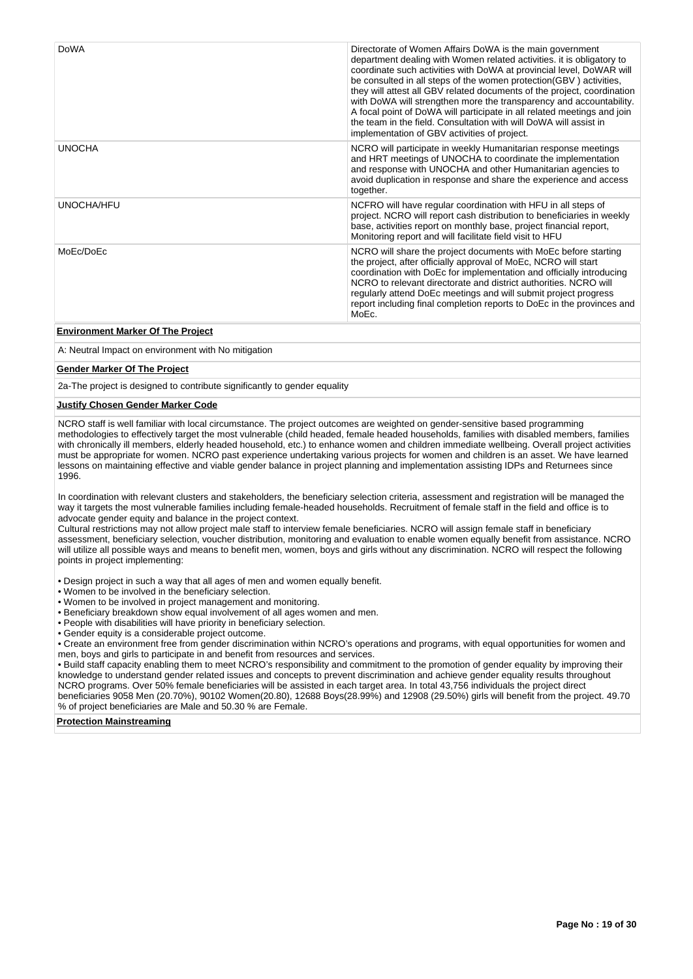| <b>DoWA</b>   | Directorate of Women Affairs DoWA is the main government<br>department dealing with Women related activities. it is obligatory to<br>coordinate such activities with DoWA at provincial level, DoWAR will<br>be consulted in all steps of the women protection (GBV) activities,<br>they will attest all GBV related documents of the project, coordination<br>with DoWA will strengthen more the transparency and accountability.<br>A focal point of DoWA will participate in all related meetings and join<br>the team in the field. Consultation with will DoWA will assist in<br>implementation of GBV activities of project. |
|---------------|------------------------------------------------------------------------------------------------------------------------------------------------------------------------------------------------------------------------------------------------------------------------------------------------------------------------------------------------------------------------------------------------------------------------------------------------------------------------------------------------------------------------------------------------------------------------------------------------------------------------------------|
| <b>UNOCHA</b> | NCRO will participate in weekly Humanitarian response meetings<br>and HRT meetings of UNOCHA to coordinate the implementation<br>and response with UNOCHA and other Humanitarian agencies to<br>avoid duplication in response and share the experience and access<br>together.                                                                                                                                                                                                                                                                                                                                                     |
| UNOCHA/HFU    | NCFRO will have regular coordination with HFU in all steps of<br>project. NCRO will report cash distribution to beneficiaries in weekly<br>base, activities report on monthly base, project financial report,<br>Monitoring report and will facilitate field visit to HFU                                                                                                                                                                                                                                                                                                                                                          |
| MoEc/DoEc     | NCRO will share the project documents with MoEc before starting<br>the project, after officially approval of MoEc, NCRO will start<br>coordination with DoEc for implementation and officially introducing<br>NCRO to relevant directorate and district authorities. NCRO will<br>regularly attend DoEc meetings and will submit project progress<br>report including final completion reports to DoEc in the provinces and<br>MoEc.                                                                                                                                                                                               |

### **Environment Marker Of The Project**

A: Neutral Impact on environment with No mitigation

#### **Gender Marker Of The Project**

2a-The project is designed to contribute significantly to gender equality

#### **Justify Chosen Gender Marker Code**

NCRO staff is well familiar with local circumstance. The project outcomes are weighted on gender-sensitive based programming methodologies to effectively target the most vulnerable (child headed, female headed households, families with disabled members, families with chronically ill members, elderly headed household, etc.) to enhance women and children immediate wellbeing. Overall project activities must be appropriate for women. NCRO past experience undertaking various projects for women and children is an asset. We have learned lessons on maintaining effective and viable gender balance in project planning and implementation assisting IDPs and Returnees since 1996.

In coordination with relevant clusters and stakeholders, the beneficiary selection criteria, assessment and registration will be managed the way it targets the most vulnerable families including female-headed households. Recruitment of female staff in the field and office is to advocate gender equity and balance in the project context.

Cultural restrictions may not allow project male staff to interview female beneficiaries. NCRO will assign female staff in beneficiary assessment, beneficiary selection, voucher distribution, monitoring and evaluation to enable women equally benefit from assistance. NCRO will utilize all possible ways and means to benefit men, women, boys and girls without any discrimination. NCRO will respect the following points in project implementing:

• Design project in such a way that all ages of men and women equally benefit.

- Women to be involved in the beneficiary selection.
- Women to be involved in project management and monitoring.
- Beneficiary breakdown show equal involvement of all ages women and men.
- People with disabilities will have priority in beneficiary selection.
- Gender equity is a considerable project outcome.

• Create an environment free from gender discrimination within NCRO's operations and programs, with equal opportunities for women and men, boys and girls to participate in and benefit from resources and services.

• Build staff capacity enabling them to meet NCRO's responsibility and commitment to the promotion of gender equality by improving their knowledge to understand gender related issues and concepts to prevent discrimination and achieve gender equality results throughout NCRO programs. Over 50% female beneficiaries will be assisted in each target area. In total 43,756 individuals the project direct beneficiaries 9058 Men (20.70%), 90102 Women(20.80), 12688 Boys(28.99%) and 12908 (29.50%) girls will benefit from the project. 49.70 % of project beneficiaries are Male and 50.30 % are Female.

#### **Protection Mainstreaming**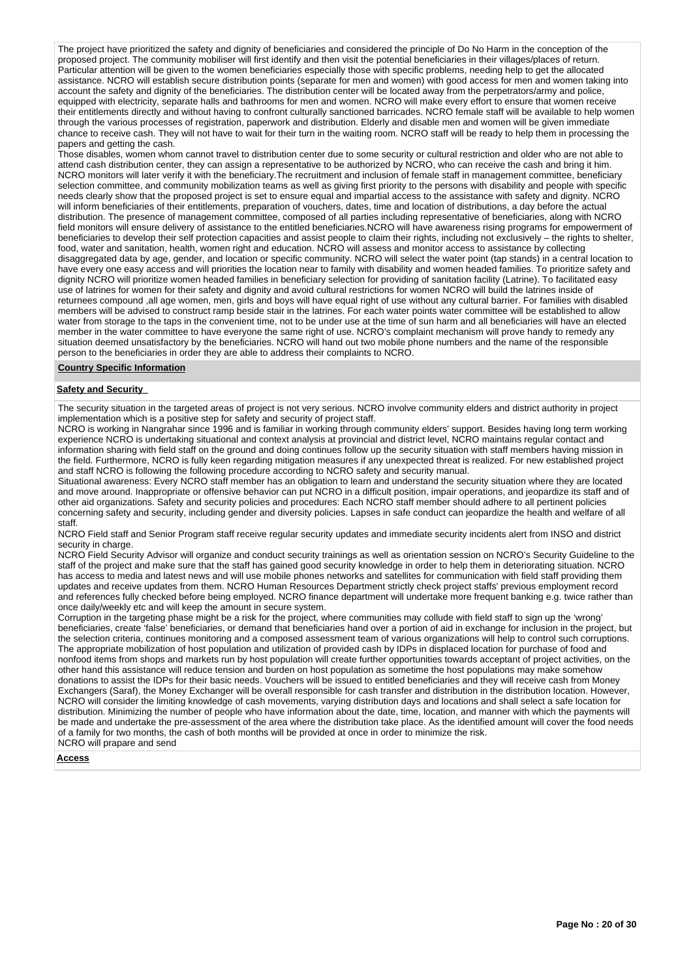The project have prioritized the safety and dignity of beneficiaries and considered the principle of Do No Harm in the conception of the proposed project. The community mobiliser will first identify and then visit the potential beneficiaries in their villages/places of return. Particular attention will be given to the women beneficiaries especially those with specific problems, needing help to get the allocated assistance. NCRO will establish secure distribution points (separate for men and women) with good access for men and women taking into account the safety and dignity of the beneficiaries. The distribution center will be located away from the perpetrators/army and police, equipped with electricity, separate halls and bathrooms for men and women. NCRO will make every effort to ensure that women receive their entitlements directly and without having to confront culturally sanctioned barricades. NCRO female staff will be available to help women through the various processes of registration, paperwork and distribution. Elderly and disable men and women will be given immediate chance to receive cash. They will not have to wait for their turn in the waiting room. NCRO staff will be ready to help them in processing the papers and getting the cash.

Those disables, women whom cannot travel to distribution center due to some security or cultural restriction and older who are not able to attend cash distribution center, they can assign a representative to be authorized by NCRO, who can receive the cash and bring it him. NCRO monitors will later verify it with the beneficiary.The recruitment and inclusion of female staff in management committee, beneficiary selection committee, and community mobilization teams as well as giving first priority to the persons with disability and people with specific needs clearly show that the proposed project is set to ensure equal and impartial access to the assistance with safety and dignity. NCRO will inform beneficiaries of their entitlements, preparation of vouchers, dates, time and location of distributions, a day before the actual distribution. The presence of management committee, composed of all parties including representative of beneficiaries, along with NCRO field monitors will ensure delivery of assistance to the entitled beneficiaries.NCRO will have awareness rising programs for empowerment of beneficiaries to develop their self protection capacities and assist people to claim their rights, including not exclusively – the rights to shelter, food, water and sanitation, health, women right and education. NCRO will assess and monitor access to assistance by collecting disaggregated data by age, gender, and location or specific community. NCRO will select the water point (tap stands) in a central location to have every one easy access and will priorities the location near to family with disability and women headed families. To prioritize safety and dignity NCRO will prioritize women headed families in beneficiary selection for providing of sanitation facility (Latrine). To facilitated easy use of latrines for women for their safety and dignity and avoid cultural restrictions for women NCRO will build the latrines inside of returnees compound ,all age women, men, girls and boys will have equal right of use without any cultural barrier. For families with disabled members will be advised to construct ramp beside stair in the latrines. For each water points water committee will be established to allow water from storage to the taps in the convenient time, not to be under use at the time of sun harm and all beneficiaries will have an elected member in the water committee to have everyone the same right of use. NCRO's complaint mechanism will prove handy to remedy any situation deemed unsatisfactory by the beneficiaries. NCRO will hand out two mobile phone numbers and the name of the responsible person to the beneficiaries in order they are able to address their complaints to NCRO.

#### **Country Specific Information**

#### **Safety and Security**

The security situation in the targeted areas of project is not very serious. NCRO involve community elders and district authority in project implementation which is a positive step for safety and security of project staff.

NCRO is working in Nangrahar since 1996 and is familiar in working through community elders' support. Besides having long term working experience NCRO is undertaking situational and context analysis at provincial and district level, NCRO maintains regular contact and information sharing with field staff on the ground and doing continues follow up the security situation with staff members having mission in the field. Furthermore, NCRO is fully keen regarding mitigation measures if any unexpected threat is realized. For new established project and staff NCRO is following the following procedure according to NCRO safety and security manual.

Situational awareness: Every NCRO staff member has an obligation to learn and understand the security situation where they are located and move around. Inappropriate or offensive behavior can put NCRO in a difficult position, impair operations, and jeopardize its staff and of other aid organizations. Safety and security policies and procedures: Each NCRO staff member should adhere to all pertinent policies concerning safety and security, including gender and diversity policies. Lapses in safe conduct can jeopardize the health and welfare of all staff.

NCRO Field staff and Senior Program staff receive regular security updates and immediate security incidents alert from INSO and district security in charge.

NCRO Field Security Advisor will organize and conduct security trainings as well as orientation session on NCRO's Security Guideline to the staff of the project and make sure that the staff has gained good security knowledge in order to help them in deteriorating situation. NCRO has access to media and latest news and will use mobile phones networks and satellites for communication with field staff providing them updates and receive updates from them. NCRO Human Resources Department strictly check project staffs' previous employment record and references fully checked before being employed. NCRO finance department will undertake more frequent banking e.g. twice rather than once daily/weekly etc and will keep the amount in secure system.

Corruption in the targeting phase might be a risk for the project, where communities may collude with field staff to sign up the 'wrong' beneficiaries, create 'false' beneficiaries, or demand that beneficiaries hand over a portion of aid in exchange for inclusion in the project, but the selection criteria, continues monitoring and a composed assessment team of various organizations will help to control such corruptions. The appropriate mobilization of host population and utilization of provided cash by IDPs in displaced location for purchase of food and nonfood items from shops and markets run by host population will create further opportunities towards acceptant of project activities, on the other hand this assistance will reduce tension and burden on host population as sometime the host populations may make somehow donations to assist the IDPs for their basic needs. Vouchers will be issued to entitled beneficiaries and they will receive cash from Money Exchangers (Saraf), the Money Exchanger will be overall responsible for cash transfer and distribution in the distribution location. However, NCRO will consider the limiting knowledge of cash movements, varying distribution days and locations and shall select a safe location for distribution. Minimizing the number of people who have information about the date, time, location, and manner with which the payments will be made and undertake the pre-assessment of the area where the distribution take place. As the identified amount will cover the food needs of a family for two months, the cash of both months will be provided at once in order to minimize the risk. NCRO will prapare and send

#### **Access**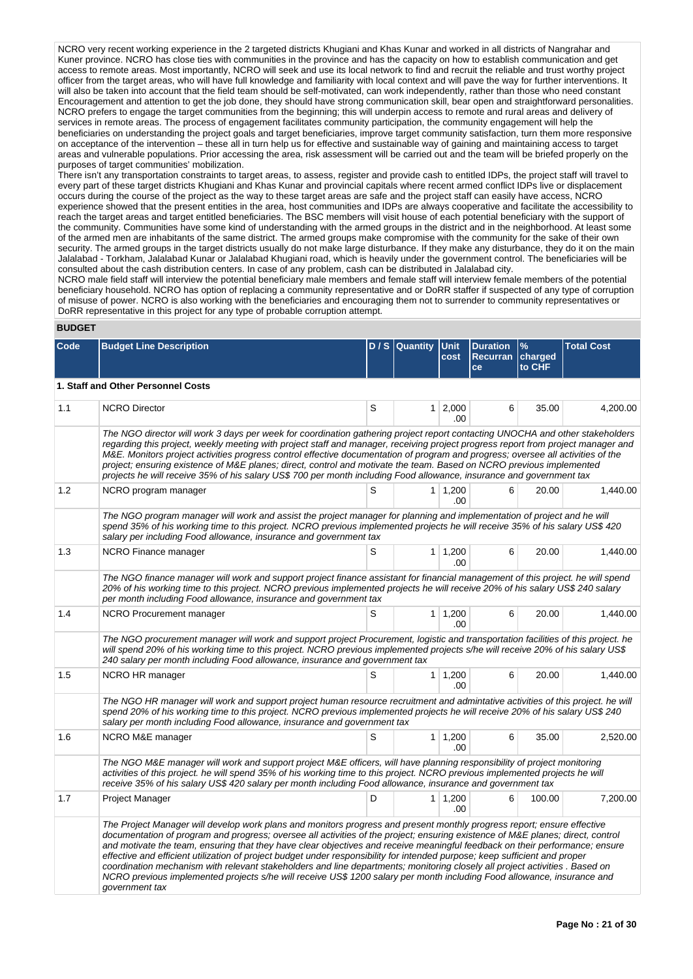NCRO very recent working experience in the 2 targeted districts Khugiani and Khas Kunar and worked in all districts of Nangrahar and Kuner province. NCRO has close ties with communities in the province and has the capacity on how to establish communication and get access to remote areas. Most importantly, NCRO will seek and use its local network to find and recruit the reliable and trust worthy project officer from the target areas, who will have full knowledge and familiarity with local context and will pave the way for further interventions. It will also be taken into account that the field team should be self-motivated, can work independently, rather than those who need constant Encouragement and attention to get the job done, they should have strong communication skill, bear open and straightforward personalities. NCRO prefers to engage the target communities from the beginning; this will underpin access to remote and rural areas and delivery of services in remote areas. The process of engagement facilitates community participation, the community engagement will help the beneficiaries on understanding the project goals and target beneficiaries, improve target community satisfaction, turn them more responsive on acceptance of the intervention – these all in turn help us for effective and sustainable way of gaining and maintaining access to target areas and vulnerable populations. Prior accessing the area, risk assessment will be carried out and the team will be briefed properly on the purposes of target communities' mobilization.

There isn't any transportation constraints to target areas, to assess, register and provide cash to entitled IDPs, the project staff will travel to every part of these target districts Khugiani and Khas Kunar and provincial capitals where recent armed conflict IDPs live or displacement occurs during the course of the project as the way to these target areas are safe and the project staff can easily have access, NCRO experience showed that the present entities in the area, host communities and IDPs are always cooperative and facilitate the accessibility to reach the target areas and target entitled beneficiaries. The BSC members will visit house of each potential beneficiary with the support of the community. Communities have some kind of understanding with the armed groups in the district and in the neighborhood. At least some of the armed men are inhabitants of the same district. The armed groups make compromise with the community for the sake of their own security. The armed groups in the target districts usually do not make large disturbance. If they make any disturbance, they do it on the main Jalalabad - Torkham, Jalalabad Kunar or Jalalabad Khugiani road, which is heavily under the government control. The beneficiaries will be consulted about the cash distribution centers. In case of any problem, cash can be distributed in Jalalabad city.

NCRO male field staff will interview the potential beneficiary male members and female staff will interview female members of the potential beneficiary household. NCRO has option of replacing a community representative and or DoRR staffer if suspected of any type of corruption of misuse of power. NCRO is also working with the beneficiaries and encouraging them not to surrender to community representatives or DoRR representative in this project for any type of probable corruption attempt.

### **BUDGET**

| Code | <b>Budget Line Description</b>                                                                                                                                                                                                                                                                                                                                                                                                                                                                                                                                                                                                                                                                                                                                                                         |   | D/S Quantity   | <b>Unit</b><br>cost    | <b>Duration</b><br>Recurran<br>ce | $\frac{9}{6}$<br>charged<br>to CHF | <b>Total Cost</b> |
|------|--------------------------------------------------------------------------------------------------------------------------------------------------------------------------------------------------------------------------------------------------------------------------------------------------------------------------------------------------------------------------------------------------------------------------------------------------------------------------------------------------------------------------------------------------------------------------------------------------------------------------------------------------------------------------------------------------------------------------------------------------------------------------------------------------------|---|----------------|------------------------|-----------------------------------|------------------------------------|-------------------|
|      | 1. Staff and Other Personnel Costs                                                                                                                                                                                                                                                                                                                                                                                                                                                                                                                                                                                                                                                                                                                                                                     |   |                |                        |                                   |                                    |                   |
| 1.1  | <b>NCRO Director</b>                                                                                                                                                                                                                                                                                                                                                                                                                                                                                                                                                                                                                                                                                                                                                                                   | S |                | 1 2,000<br>.00         | 6                                 | 35.00                              | 4,200.00          |
|      | The NGO director will work 3 days per week for coordination gathering project report contacting UNOCHA and other stakeholders<br>regarding this project, weekly meeting with project staff and manager, receiving project progress report from project manager and<br>M&E. Monitors project activities progress control effective documentation of program and progress; oversee all activities of the<br>project; ensuring existence of M&E planes; direct, control and motivate the team. Based on NCRO previous implemented<br>projects he will receive 35% of his salary US\$ 700 per month including Food allowance, insurance and government tax                                                                                                                                                 |   |                |                        |                                   |                                    |                   |
| 1.2  | NCRO program manager                                                                                                                                                                                                                                                                                                                                                                                                                                                                                                                                                                                                                                                                                                                                                                                   | S |                | $1 \mid 1,200$<br>.00  | 6                                 | 20.00                              | 1,440.00          |
|      | The NGO program manager will work and assist the project manager for planning and implementation of project and he will<br>spend 35% of his working time to this project. NCRO previous implemented projects he will receive 35% of his salary US\$ 420<br>salary per including Food allowance, insurance and government tax                                                                                                                                                                                                                                                                                                                                                                                                                                                                           |   |                |                        |                                   |                                    |                   |
| 1.3  | NCRO Finance manager                                                                                                                                                                                                                                                                                                                                                                                                                                                                                                                                                                                                                                                                                                                                                                                   | S |                | $1 \mid 1,200$<br>.00  | 6                                 | 20.00                              | 1,440.00          |
|      | The NGO finance manager will work and support project finance assistant for financial management of this project. he will spend<br>20% of his working time to this project. NCRO previous implemented projects he will receive 20% of his salary US\$ 240 salary<br>per month including Food allowance, insurance and government tax                                                                                                                                                                                                                                                                                                                                                                                                                                                                   |   |                |                        |                                   |                                    |                   |
| 1.4  | NCRO Procurement manager                                                                                                                                                                                                                                                                                                                                                                                                                                                                                                                                                                                                                                                                                                                                                                               | S | 1 <sup>1</sup> | 1,200<br>.00           | 6                                 | 20.00                              | 1,440.00          |
|      | The NGO procurement manager will work and support project Procurement, logistic and transportation facilities of this project. he<br>will spend 20% of his working time to this project. NCRO previous implemented projects s/he will receive 20% of his salary US\$<br>240 salary per month including Food allowance, insurance and government tax                                                                                                                                                                                                                                                                                                                                                                                                                                                    |   |                |                        |                                   |                                    |                   |
| 1.5  | NCRO HR manager                                                                                                                                                                                                                                                                                                                                                                                                                                                                                                                                                                                                                                                                                                                                                                                        | S |                | $1 \mid 1,200$<br>.00  | 6                                 | 20.00                              | 1,440.00          |
|      | The NGO HR manager will work and support project human resource recruitment and admintative activities of this project. he will<br>spend 20% of his working time to this project. NCRO previous implemented projects he will receive 20% of his salary US\$ 240<br>salary per month including Food allowance, insurance and government tax                                                                                                                                                                                                                                                                                                                                                                                                                                                             |   |                |                        |                                   |                                    |                   |
| 1.6  | NCRO M&E manager                                                                                                                                                                                                                                                                                                                                                                                                                                                                                                                                                                                                                                                                                                                                                                                       | S |                | $1 \mid 1,200$<br>.00. | 6                                 | 35.00                              | 2,520.00          |
|      | The NGO M&E manager will work and support project M&E officers, will have planning responsibility of project monitoring<br>activities of this project. he will spend 35% of his working time to this project. NCRO previous implemented projects he will<br>receive 35% of his salary US\$ 420 salary per month including Food allowance, insurance and government tax                                                                                                                                                                                                                                                                                                                                                                                                                                 |   |                |                        |                                   |                                    |                   |
| 1.7  | Project Manager                                                                                                                                                                                                                                                                                                                                                                                                                                                                                                                                                                                                                                                                                                                                                                                        | D |                | $1 \mid 1,200$<br>.00  | 6                                 | 100.00                             | 7,200.00          |
|      | The Project Manager will develop work plans and monitors progress and present monthly progress report; ensure effective<br>documentation of program and progress; oversee all activities of the project; ensuring existence of M&E planes; direct, control<br>and motivate the team, ensuring that they have clear objectives and receive meaningful feedback on their performance; ensure<br>effective and efficient utilization of project budget under responsibility for intended purpose; keep sufficient and proper<br>coordination mechanism with relevant stakeholders and line departments; monitoring closely all project activities . Based on<br>NCRO previous implemented projects s/he will receive US\$ 1200 salary per month including Food allowance, insurance and<br>government tax |   |                |                        |                                   |                                    |                   |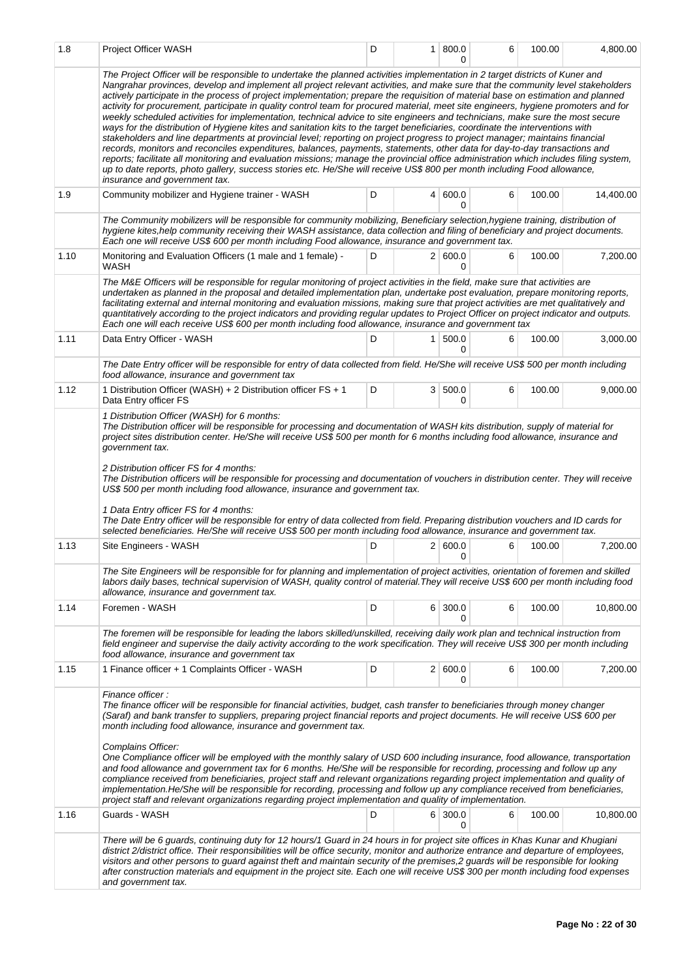| 1.8  | Project Officer WASH                                                                                                                                                                                                                                                                                                                                                                                                                                                                                                                                                                                                                                                                                                                                                                                                                                                                                                                                                                                                                                                                                                                                                                                                                                                                                                                                                              | D | 1 <sup>1</sup> | 800.0<br>0     | 6 | 100.00 | 4,800.00  |
|------|-----------------------------------------------------------------------------------------------------------------------------------------------------------------------------------------------------------------------------------------------------------------------------------------------------------------------------------------------------------------------------------------------------------------------------------------------------------------------------------------------------------------------------------------------------------------------------------------------------------------------------------------------------------------------------------------------------------------------------------------------------------------------------------------------------------------------------------------------------------------------------------------------------------------------------------------------------------------------------------------------------------------------------------------------------------------------------------------------------------------------------------------------------------------------------------------------------------------------------------------------------------------------------------------------------------------------------------------------------------------------------------|---|----------------|----------------|---|--------|-----------|
|      | The Project Officer will be responsible to undertake the planned activities implementation in 2 target districts of Kuner and<br>Nangrahar provinces, develop and implement all project relevant activities, and make sure that the community level stakeholders<br>actively participate in the process of project implementation; prepare the requisition of material base on estimation and planned<br>activity for procurement, participate in quality control team for procured material, meet site engineers, hygiene promoters and for<br>weekly scheduled activities for implementation, technical advice to site engineers and technicians, make sure the most secure<br>ways for the distribution of Hygiene kites and sanitation kits to the target beneficiaries, coordinate the interventions with<br>stakeholders and line departments at provincial level; reporting on project progress to project manager; maintains financial<br>records, monitors and reconciles expenditures, balances, payments, statements, other data for day-to-day transactions and<br>reports; facilitate all monitoring and evaluation missions; manage the provincial office administration which includes filing system,<br>up to date reports, photo gallery, success stories etc. He/She will receive US\$ 800 per month including Food allowance,<br>insurance and government tax. |   |                |                |   |        |           |
| 1.9  | Community mobilizer and Hygiene trainer - WASH                                                                                                                                                                                                                                                                                                                                                                                                                                                                                                                                                                                                                                                                                                                                                                                                                                                                                                                                                                                                                                                                                                                                                                                                                                                                                                                                    | D |                | 4   600.0<br>0 | 6 | 100.00 | 14,400.00 |
|      | The Community mobilizers will be responsible for community mobilizing, Beneficiary selection, hygiene training, distribution of<br>hygiene kites, help community receiving their WASH assistance, data collection and filing of beneficiary and project documents.<br>Each one will receive US\$ 600 per month including Food allowance, insurance and government tax.                                                                                                                                                                                                                                                                                                                                                                                                                                                                                                                                                                                                                                                                                                                                                                                                                                                                                                                                                                                                            |   |                |                |   |        |           |
| 1.10 | Monitoring and Evaluation Officers (1 male and 1 female) -<br><b>WASH</b>                                                                                                                                                                                                                                                                                                                                                                                                                                                                                                                                                                                                                                                                                                                                                                                                                                                                                                                                                                                                                                                                                                                                                                                                                                                                                                         | D |                | 2   600.0<br>0 | 6 | 100.00 | 7,200.00  |
|      | The M&E Officers will be responsible for reqular monitoring of project activities in the field, make sure that activities are<br>undertaken as planned in the proposal and detailed implementation plan, undertake post evaluation, prepare monitoring reports,<br>facilitating external and internal monitoring and evaluation missions, making sure that project activities are met qualitatively and<br>quantitatively according to the project indicators and providing regular updates to Project Officer on project indicator and outputs.<br>Each one will each receive US\$ 600 per month including food allowance, insurance and government tax                                                                                                                                                                                                                                                                                                                                                                                                                                                                                                                                                                                                                                                                                                                          |   |                |                |   |        |           |
| 1.11 | Data Entry Officer - WASH<br>The Date Entry officer will be responsible for entry of data collected from field. He/She will receive US\$ 500 per month including                                                                                                                                                                                                                                                                                                                                                                                                                                                                                                                                                                                                                                                                                                                                                                                                                                                                                                                                                                                                                                                                                                                                                                                                                  | D | 1.             | 500.0<br>0     | 6 | 100.00 | 3,000.00  |
| 1.12 | food allowance, insurance and government tax<br>1 Distribution Officer (WASH) + 2 Distribution officer FS + 1                                                                                                                                                                                                                                                                                                                                                                                                                                                                                                                                                                                                                                                                                                                                                                                                                                                                                                                                                                                                                                                                                                                                                                                                                                                                     | D |                | 3   500.0      | 6 | 100.00 | 9,000.00  |
|      | Data Entry officer FS<br>1 Distribution Officer (WASH) for 6 months:                                                                                                                                                                                                                                                                                                                                                                                                                                                                                                                                                                                                                                                                                                                                                                                                                                                                                                                                                                                                                                                                                                                                                                                                                                                                                                              |   |                | 0              |   |        |           |
|      | 2 Distribution officer FS for 4 months:<br>The Distribution officers will be responsible for processing and documentation of vouchers in distribution center. They will receive<br>US\$ 500 per month including food allowance, insurance and government tax.<br>1 Data Entry officer FS for 4 months:<br>The Date Entry officer will be responsible for entry of data collected from field. Preparing distribution vouchers and ID cards for<br>selected beneficiaries. He/She will receive US\$ 500 per month including food allowance, insurance and government tax.                                                                                                                                                                                                                                                                                                                                                                                                                                                                                                                                                                                                                                                                                                                                                                                                           |   |                |                |   |        |           |
| 1.13 | Site Engineers - WASH                                                                                                                                                                                                                                                                                                                                                                                                                                                                                                                                                                                                                                                                                                                                                                                                                                                                                                                                                                                                                                                                                                                                                                                                                                                                                                                                                             | D |                | 2   600.0<br>0 | 6 | 100.00 | 7,200.00  |
|      | The Site Engineers will be responsible for for planning and implementation of project activities, orientation of foremen and skilled<br>labors daily bases, technical supervision of WASH, quality control of material. They will receive US\$ 600 per month including food<br>allowance, insurance and government tax.                                                                                                                                                                                                                                                                                                                                                                                                                                                                                                                                                                                                                                                                                                                                                                                                                                                                                                                                                                                                                                                           |   |                |                |   |        |           |
| 1.14 | Foremen - WASH                                                                                                                                                                                                                                                                                                                                                                                                                                                                                                                                                                                                                                                                                                                                                                                                                                                                                                                                                                                                                                                                                                                                                                                                                                                                                                                                                                    | D |                | 6 300.0<br>0   | 6 | 100.00 | 10,800.00 |
|      | The foremen will be responsible for leading the labors skilled/unskilled, receiving daily work plan and technical instruction from<br>field engineer and supervise the daily activity according to the work specification. They will receive US\$ 300 per month including<br>food allowance, insurance and government tax                                                                                                                                                                                                                                                                                                                                                                                                                                                                                                                                                                                                                                                                                                                                                                                                                                                                                                                                                                                                                                                         |   |                |                |   |        |           |
| 1.15 | 1 Finance officer + 1 Complaints Officer - WASH                                                                                                                                                                                                                                                                                                                                                                                                                                                                                                                                                                                                                                                                                                                                                                                                                                                                                                                                                                                                                                                                                                                                                                                                                                                                                                                                   | D |                | 2   600.0<br>0 | 6 | 100.00 | 7,200.00  |
|      | Finance officer:<br>The finance officer will be responsible for financial activities, budget, cash transfer to beneficiaries through money changer<br>(Saraf) and bank transfer to suppliers, preparing project financial reports and project documents. He will receive US\$ 600 per<br>month including food allowance, insurance and government tax.<br>Complains Officer:<br>One Compliance officer will be employed with the monthly salary of USD 600 including insurance, food allowance, transportation<br>and food allowance and government tax for 6 months. He/She will be responsible for recording, processing and follow up any<br>compliance received from beneficiaries, project staff and relevant organizations regarding project implementation and quality of<br>implementation.He/She will be responsible for recording, processing and follow up any compliance received from beneficiaries,<br>project staff and relevant organizations regarding project implementation and quality of implementation.                                                                                                                                                                                                                                                                                                                                                     |   |                |                |   |        |           |
| 1.16 | Guards - WASH                                                                                                                                                                                                                                                                                                                                                                                                                                                                                                                                                                                                                                                                                                                                                                                                                                                                                                                                                                                                                                                                                                                                                                                                                                                                                                                                                                     | D |                | 6 300.0<br>0   | 6 | 100.00 | 10,800.00 |
|      | There will be 6 guards, continuing duty for 12 hours/1 Guard in 24 hours in for project site offices in Khas Kunar and Khugiani<br>district 2/district office. Their responsibilities will be office security, monitor and authorize entrance and departure of employees,<br>visitors and other persons to guard against theft and maintain security of the premises,2 guards will be responsible for looking<br>after construction materials and equipment in the project site. Each one will receive US\$ 300 per month including food expenses<br>and government tax.                                                                                                                                                                                                                                                                                                                                                                                                                                                                                                                                                                                                                                                                                                                                                                                                          |   |                |                |   |        |           |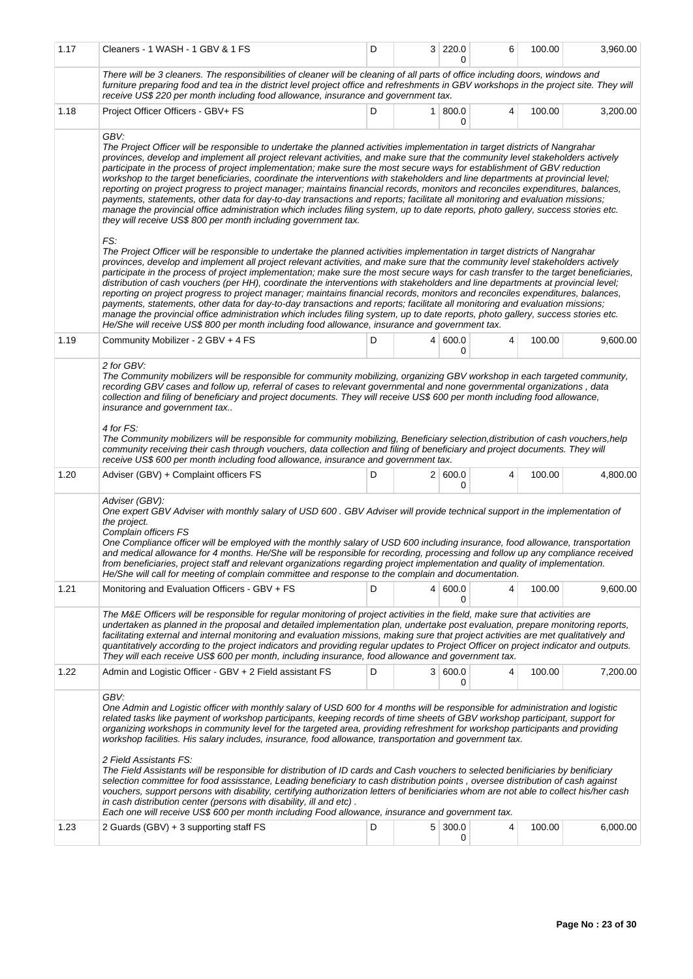| 1.17 | Cleaners - 1 WASH - 1 GBV & 1 FS                                                                                                                                                                                                                                                                                                                                                                                                                                                                                                                                                                                                                                                                                                                                                                                                                                                                                                                                                                                                                         | D | 3 220.0           | 6 | 100.00 | 3,960.00 |
|------|----------------------------------------------------------------------------------------------------------------------------------------------------------------------------------------------------------------------------------------------------------------------------------------------------------------------------------------------------------------------------------------------------------------------------------------------------------------------------------------------------------------------------------------------------------------------------------------------------------------------------------------------------------------------------------------------------------------------------------------------------------------------------------------------------------------------------------------------------------------------------------------------------------------------------------------------------------------------------------------------------------------------------------------------------------|---|-------------------|---|--------|----------|
|      | There will be 3 cleaners. The responsibilities of cleaner will be cleaning of all parts of office including doors, windows and<br>furniture preparing food and tea in the district level project office and refreshments in GBV workshops in the project site. They will<br>receive US\$ 220 per month including food allowance, insurance and government tax.                                                                                                                                                                                                                                                                                                                                                                                                                                                                                                                                                                                                                                                                                           |   |                   |   |        |          |
| 1.18 | Project Officer Officers - GBV+ FS                                                                                                                                                                                                                                                                                                                                                                                                                                                                                                                                                                                                                                                                                                                                                                                                                                                                                                                                                                                                                       | D | $1 \, 800.0$<br>0 | 4 | 100.00 | 3,200.00 |
|      | GBV:<br>The Project Officer will be responsible to undertake the planned activities implementation in target districts of Nangrahar<br>provinces, develop and implement all project relevant activities, and make sure that the community level stakeholders actively<br>participate in the process of project implementation; make sure the most secure ways for establishment of GBV reduction<br>workshop to the target beneficiaries, coordinate the interventions with stakeholders and line departments at provincial level;<br>reporting on project progress to project manager; maintains financial records, monitors and reconciles expenditures, balances,<br>payments, statements, other data for day-to-day transactions and reports; facilitate all monitoring and evaluation missions;<br>manage the provincial office administration which includes filing system, up to date reports, photo gallery, success stories etc.<br>they will receive US\$ 800 per month including government tax.                                              |   |                   |   |        |          |
|      | FS:<br>The Project Officer will be responsible to undertake the planned activities implementation in target districts of Nangrahar<br>provinces, develop and implement all project relevant activities, and make sure that the community level stakeholders actively<br>participate in the process of project implementation; make sure the most secure ways for cash transfer to the target beneficiaries,<br>distribution of cash vouchers (per HH), coordinate the interventions with stakeholders and line departments at provincial level;<br>reporting on project progress to project manager; maintains financial records, monitors and reconciles expenditures, balances,<br>payments, statements, other data for day-to-day transactions and reports; facilitate all monitoring and evaluation missions;<br>manage the provincial office administration which includes filing system, up to date reports, photo gallery, success stories etc.<br>He/She will receive US\$ 800 per month including food allowance, insurance and government tax. |   |                   |   |        |          |
| 1.19 | Community Mobilizer - 2 GBV + 4 FS                                                                                                                                                                                                                                                                                                                                                                                                                                                                                                                                                                                                                                                                                                                                                                                                                                                                                                                                                                                                                       | D | 4   600.0<br>0    | 4 | 100.00 | 9,600.00 |
|      | 2 for GBV:<br>The Community mobilizers will be responsible for community mobilizing, organizing GBV workshop in each targeted community,<br>recording GBV cases and follow up, referral of cases to relevant governmental and none governmental organizations, data<br>collection and filing of beneficiary and project documents. They will receive US\$ 600 per month including food allowance,<br>insurance and government tax<br>4 for FS:<br>The Community mobilizers will be responsible for community mobilizing, Beneficiary selection, distribution of cash vouchers, help<br>community receiving their cash through vouchers, data collection and filing of beneficiary and project documents. They will<br>receive US\$ 600 per month including food allowance, insurance and government tax.                                                                                                                                                                                                                                                 |   |                   |   |        |          |
| 1.20 | Adviser (GBV) + Complaint officers FS                                                                                                                                                                                                                                                                                                                                                                                                                                                                                                                                                                                                                                                                                                                                                                                                                                                                                                                                                                                                                    | D | 2   600.0<br>0    | 4 | 100.00 | 4,800.00 |
|      | Adviser (GBV):<br>One expert GBV Adviser with monthly salary of USD 600. GBV Adviser will provide technical support in the implementation of<br>the project.<br>Complain officers FS<br>One Compliance officer will be employed with the monthly salary of USD 600 including insurance, food allowance, transportation<br>and medical allowance for 4 months. He/She will be responsible for recording, processing and follow up any compliance received<br>from beneficiaries, project staff and relevant organizations regarding project implementation and quality of implementation.<br>He/She will call for meeting of complain committee and response to the complain and documentation.                                                                                                                                                                                                                                                                                                                                                           |   |                   |   |        |          |
| 1.21 | Monitoring and Evaluation Officers - GBV + FS                                                                                                                                                                                                                                                                                                                                                                                                                                                                                                                                                                                                                                                                                                                                                                                                                                                                                                                                                                                                            | D | 4   600.0<br>0    | 4 | 100.00 | 9,600.00 |
|      | The M&E Officers will be responsible for regular monitoring of project activities in the field, make sure that activities are<br>undertaken as planned in the proposal and detailed implementation plan, undertake post evaluation, prepare monitoring reports,<br>facilitating external and internal monitoring and evaluation missions, making sure that project activities are met qualitatively and<br>quantitatively according to the project indicators and providing regular updates to Project Officer on project indicator and outputs.<br>They will each receive US\$ 600 per month, including insurance, food allowance and government tax.                                                                                                                                                                                                                                                                                                                                                                                                   |   |                   |   |        |          |
| 1.22 | Admin and Logistic Officer - GBV + 2 Field assistant FS                                                                                                                                                                                                                                                                                                                                                                                                                                                                                                                                                                                                                                                                                                                                                                                                                                                                                                                                                                                                  | D | 3   600.0<br>0    | 4 | 100.00 | 7,200.00 |
|      | GBV:<br>One Admin and Logistic officer with monthly salary of USD 600 for 4 months will be responsible for administration and logistic<br>related tasks like payment of workshop participants, keeping records of time sheets of GBV workshop participant, support for<br>organizing workshops in community level for the targeted area, providing refreshment for workshop participants and providing<br>workshop facilities. His salary includes, insurance, food allowance, transportation and government tax.<br>2 Field Assistants FS:<br>The Field Assistants will be responsible for distribution of ID cards and Cash vouchers to selected benificiaries by benificiary<br>selection committee for food assisstance, Leading beneficiary to cash distribution points, oversee distribution of cash against<br>vouchers, support persons with disability, certifying authorization letters of benificiaries whom are not able to collect his/her cash                                                                                             |   |                   |   |        |          |
|      | in cash distribution center (persons with disability, ill and etc).<br>Each one will receive US\$ 600 per month including Food allowance, insurance and government tax.                                                                                                                                                                                                                                                                                                                                                                                                                                                                                                                                                                                                                                                                                                                                                                                                                                                                                  |   |                   |   |        |          |
| 1.23 | 2 Guards (GBV) + 3 supporting staff FS                                                                                                                                                                                                                                                                                                                                                                                                                                                                                                                                                                                                                                                                                                                                                                                                                                                                                                                                                                                                                   | D | 5 300.0<br>0      | 4 | 100.00 | 6,000.00 |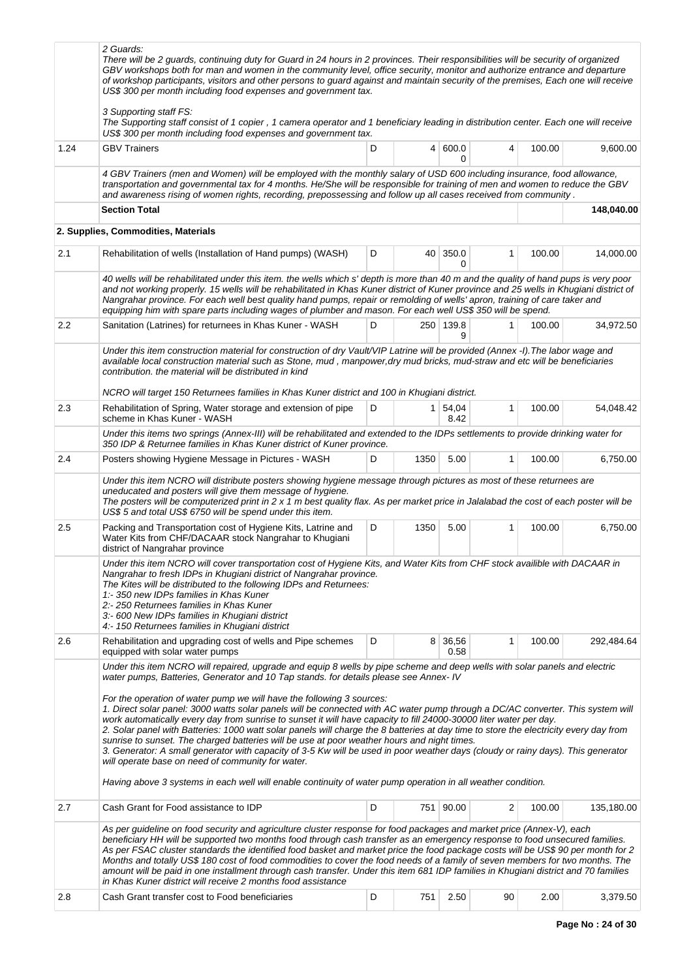|      | 2 Guards:<br>There will be 2 guards, continuing duty for Guard in 24 hours in 2 provinces. Their responsibilities will be security of organized<br>GBV workshops both for man and women in the community level, office security, monitor and authorize entrance and departure<br>of workshop participants, visitors and other persons to guard against and maintain security of the premises, Each one will receive<br>US\$ 300 per month including food expenses and government tax.<br>3 Supporting staff FS:<br>The Supporting staff consist of 1 copier, 1 camera operator and 1 beneficiary leading in distribution center. Each one will receive                                                                                                                                                                                                                                                                                                                                                                                                                                                 |   |      |                      |    |        |            |
|------|--------------------------------------------------------------------------------------------------------------------------------------------------------------------------------------------------------------------------------------------------------------------------------------------------------------------------------------------------------------------------------------------------------------------------------------------------------------------------------------------------------------------------------------------------------------------------------------------------------------------------------------------------------------------------------------------------------------------------------------------------------------------------------------------------------------------------------------------------------------------------------------------------------------------------------------------------------------------------------------------------------------------------------------------------------------------------------------------------------|---|------|----------------------|----|--------|------------|
| 1.24 | US\$ 300 per month including food expenses and government tax.<br><b>GBV Trainers</b>                                                                                                                                                                                                                                                                                                                                                                                                                                                                                                                                                                                                                                                                                                                                                                                                                                                                                                                                                                                                                  | D |      | 4   600.0<br>0       | 4  | 100.00 | 9,600.00   |
|      | 4 GBV Trainers (men and Women) will be employed with the monthly salary of USD 600 including insurance, food allowance,<br>transportation and governmental tax for 4 months. He/She will be responsible for training of men and women to reduce the GBV<br>and awareness rising of women rights, recording, prepossessing and follow up all cases received from community.                                                                                                                                                                                                                                                                                                                                                                                                                                                                                                                                                                                                                                                                                                                             |   |      |                      |    |        |            |
|      | <b>Section Total</b>                                                                                                                                                                                                                                                                                                                                                                                                                                                                                                                                                                                                                                                                                                                                                                                                                                                                                                                                                                                                                                                                                   |   |      |                      |    |        | 148,040.00 |
|      | 2. Supplies, Commodities, Materials                                                                                                                                                                                                                                                                                                                                                                                                                                                                                                                                                                                                                                                                                                                                                                                                                                                                                                                                                                                                                                                                    |   |      |                      |    |        |            |
| 2.1  | Rehabilitation of wells (Installation of Hand pumps) (WASH)                                                                                                                                                                                                                                                                                                                                                                                                                                                                                                                                                                                                                                                                                                                                                                                                                                                                                                                                                                                                                                            | D |      | 40 350.0<br>$\Omega$ | 1  | 100.00 | 14,000.00  |
|      | 40 wells will be rehabilitated under this item. the wells which s' depth is more than 40 m and the quality of hand pups is very poor<br>and not working properly. 15 wells will be rehabilitated in Khas Kuner district of Kuner province and 25 wells in Khugiani district of<br>Nangrahar province. For each well best quality hand pumps, repair or remolding of wells' apron, training of care taker and<br>equipping him with spare parts including wages of plumber and mason. For each well US\$ 350 will be spend.                                                                                                                                                                                                                                                                                                                                                                                                                                                                                                                                                                             |   |      |                      |    |        |            |
| 2.2  | Sanitation (Latrines) for returnees in Khas Kuner - WASH                                                                                                                                                                                                                                                                                                                                                                                                                                                                                                                                                                                                                                                                                                                                                                                                                                                                                                                                                                                                                                               | D |      | 250 139.8<br>9       | 1  | 100.00 | 34,972.50  |
|      | Under this item construction material for construction of dry Vault/VIP Latrine will be provided (Annex -I). The labor wage and<br>available local construction material such as Stone, mud, manpower, dry mud bricks, mud-straw and etc will be beneficiaries<br>contribution, the material will be distributed in kind                                                                                                                                                                                                                                                                                                                                                                                                                                                                                                                                                                                                                                                                                                                                                                               |   |      |                      |    |        |            |
| 2.3  | NCRO will target 150 Returnees families in Khas Kuner district and 100 in Khugiani district.<br>Rehabilitation of Spring, Water storage and extension of pipe<br>scheme in Khas Kuner - WASH                                                                                                                                                                                                                                                                                                                                                                                                                                                                                                                                                                                                                                                                                                                                                                                                                                                                                                           | D |      | 1 54,04<br>8.42      | 1  | 100.00 | 54,048.42  |
|      | Under this items two springs (Annex-III) will be rehabilitated and extended to the IDPs settlements to provide drinking water for<br>350 IDP & Returnee families in Khas Kuner district of Kuner province.                                                                                                                                                                                                                                                                                                                                                                                                                                                                                                                                                                                                                                                                                                                                                                                                                                                                                             |   |      |                      |    |        |            |
| 2.4  | Posters showing Hygiene Message in Pictures - WASH                                                                                                                                                                                                                                                                                                                                                                                                                                                                                                                                                                                                                                                                                                                                                                                                                                                                                                                                                                                                                                                     | D | 1350 | 5.00                 | 1  | 100.00 | 6,750.00   |
|      | Under this item NCRO will distribute posters showing hygiene message through pictures as most of these returnees are<br>uneducated and posters will give them message of hygiene.<br>The posters will be computerized print in 2 x 1 m best quality flax. As per market price in Jalalabad the cost of each poster will be<br>US\$ 5 and total US\$ 6750 will be spend under this item.                                                                                                                                                                                                                                                                                                                                                                                                                                                                                                                                                                                                                                                                                                                |   |      |                      |    |        |            |
| 2.5  | Packing and Transportation cost of Hygiene Kits, Latrine and<br>Water Kits from CHF/DACAAR stock Nangrahar to Khugiani<br>district of Nangrahar province                                                                                                                                                                                                                                                                                                                                                                                                                                                                                                                                                                                                                                                                                                                                                                                                                                                                                                                                               | D | 1350 | 5.00                 | 1  | 100.00 | 6,750.00   |
|      | Under this item NCRO will cover transportation cost of Hygiene Kits, and Water Kits from CHF stock availible with DACAAR in<br>Nangrahar to fresh IDPs in Khugiani district of Nangrahar province.<br>The Kites will be distributed to the following IDPs and Returnees:<br>1:-350 new IDPs families in Khas Kuner<br>2:- 250 Returnees families in Khas Kuner<br>3:-600 New IDPs families in Khugiani district<br>4:- 150 Returnees families in Khugiani district                                                                                                                                                                                                                                                                                                                                                                                                                                                                                                                                                                                                                                     |   |      |                      |    |        |            |
| 2.6  | Rehabilitation and upgrading cost of wells and Pipe schemes<br>equipped with solar water pumps                                                                                                                                                                                                                                                                                                                                                                                                                                                                                                                                                                                                                                                                                                                                                                                                                                                                                                                                                                                                         | D |      | 8 36,56<br>0.58      | 1  | 100.00 | 292,484.64 |
|      | Under this item NCRO will repaired, upgrade and equip 8 wells by pipe scheme and deep wells with solar panels and electric<br>water pumps, Batteries, Generator and 10 Tap stands. for details please see Annex- IV<br>For the operation of water pump we will have the following 3 sources:<br>1. Direct solar panel: 3000 watts solar panels will be connected with AC water pump through a DC/AC converter. This system will<br>work automatically every day from sunrise to sunset it will have capacity to fill 24000-30000 liter water per day.<br>2. Solar panel with Batteries: 1000 watt solar panels will charge the 8 batteries at day time to store the electricity every day from<br>sunrise to sunset. The charged batteries will be use at poor weather hours and night times.<br>3. Generator: A small generator with capacity of 3-5 Kw will be used in poor weather days (cloudy or rainy days). This generator<br>will operate base on need of community for water.<br>Having above 3 systems in each well will enable continuity of water pump operation in all weather condition. |   |      |                      |    |        |            |
| 2.7  | Cash Grant for Food assistance to IDP                                                                                                                                                                                                                                                                                                                                                                                                                                                                                                                                                                                                                                                                                                                                                                                                                                                                                                                                                                                                                                                                  | D |      | 751 90.00            | 2  | 100.00 | 135,180.00 |
|      | As per guideline on food security and agriculture cluster response for food packages and market price (Annex-V), each<br>beneficiary HH will be supported two months food through cash transfer as an emergency response to food unsecured families.<br>As per FSAC cluster standards the identified food basket and market price the food package costs will be US\$ 90 per month for 2<br>Months and totally US\$ 180 cost of food commodities to cover the food needs of a family of seven members for two months. The<br>amount will be paid in one installment through cash transfer. Under this item 681 IDP families in Khugiani district and 70 families<br>in Khas Kuner district will receive 2 months food assistance                                                                                                                                                                                                                                                                                                                                                                       |   |      |                      |    |        |            |
| 2.8  | Cash Grant transfer cost to Food beneficiaries                                                                                                                                                                                                                                                                                                                                                                                                                                                                                                                                                                                                                                                                                                                                                                                                                                                                                                                                                                                                                                                         | D | 751  | 2.50                 | 90 | 2.00   | 3,379.50   |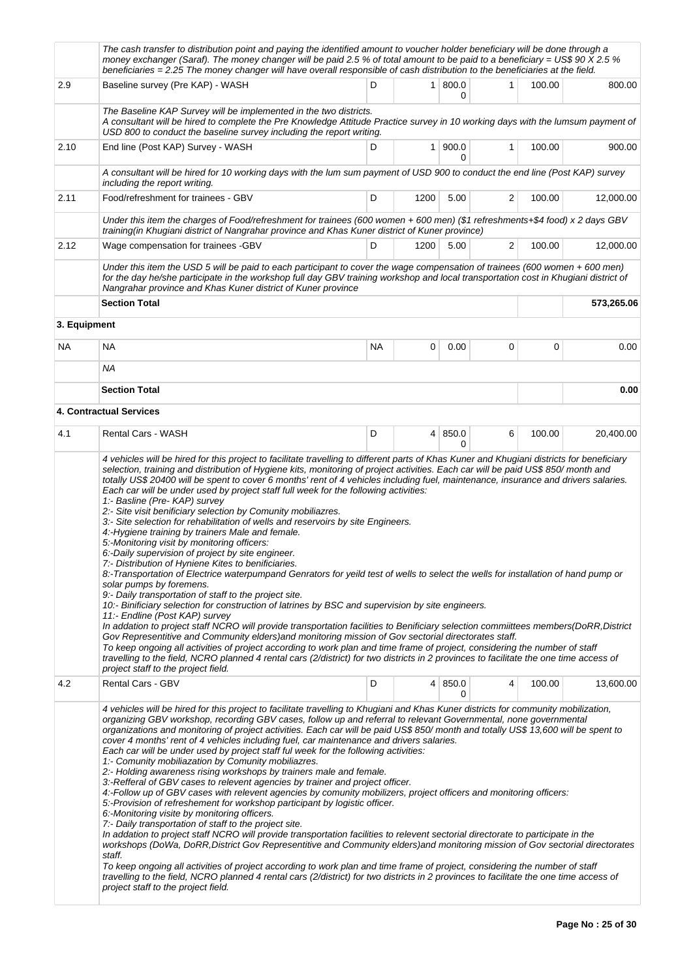|      | The cash transfer to distribution point and paying the identified amount to voucher holder beneficiary will be done through a<br>money exchanger (Saraf). The money changer will be paid 2.5 % of total amount to be paid to a beneficiary = US\$ 90 X 2.5 %<br>beneficiaries = 2.25 The money changer will have overall responsible of cash distribution to the beneficiaries at the field.                                                                                                                                                                                                                                                                                                                                                                                                                                                                                                                                                                                                                                                                                                                                                                                                                                                                                                                                                                                                                                |           |                |              |   |        |            |
|------|-----------------------------------------------------------------------------------------------------------------------------------------------------------------------------------------------------------------------------------------------------------------------------------------------------------------------------------------------------------------------------------------------------------------------------------------------------------------------------------------------------------------------------------------------------------------------------------------------------------------------------------------------------------------------------------------------------------------------------------------------------------------------------------------------------------------------------------------------------------------------------------------------------------------------------------------------------------------------------------------------------------------------------------------------------------------------------------------------------------------------------------------------------------------------------------------------------------------------------------------------------------------------------------------------------------------------------------------------------------------------------------------------------------------------------|-----------|----------------|--------------|---|--------|------------|
| 2.9  | Baseline survey (Pre KAP) - WASH                                                                                                                                                                                                                                                                                                                                                                                                                                                                                                                                                                                                                                                                                                                                                                                                                                                                                                                                                                                                                                                                                                                                                                                                                                                                                                                                                                                            | D         | 1 <sup>1</sup> | 800.0<br>0   | 1 | 100.00 | 800.00     |
|      | The Baseline KAP Survey will be implemented in the two districts.<br>A consultant will be hired to complete the Pre Knowledge Attitude Practice survey in 10 working days with the lumsum payment of<br>USD 800 to conduct the baseline survey including the report writing.                                                                                                                                                                                                                                                                                                                                                                                                                                                                                                                                                                                                                                                                                                                                                                                                                                                                                                                                                                                                                                                                                                                                                |           |                |              |   |        |            |
| 2.10 | End line (Post KAP) Survey - WASH                                                                                                                                                                                                                                                                                                                                                                                                                                                                                                                                                                                                                                                                                                                                                                                                                                                                                                                                                                                                                                                                                                                                                                                                                                                                                                                                                                                           | D         | 1 <sup>1</sup> | 900.0<br>0   | 1 | 100.00 | 900.00     |
|      | A consultant will be hired for 10 working days with the lum sum payment of USD 900 to conduct the end line (Post KAP) survey<br>including the report writing.                                                                                                                                                                                                                                                                                                                                                                                                                                                                                                                                                                                                                                                                                                                                                                                                                                                                                                                                                                                                                                                                                                                                                                                                                                                               |           |                |              |   |        |            |
| 2.11 | Food/refreshment for trainees - GBV                                                                                                                                                                                                                                                                                                                                                                                                                                                                                                                                                                                                                                                                                                                                                                                                                                                                                                                                                                                                                                                                                                                                                                                                                                                                                                                                                                                         | D         | 1200           | 5.00         | 2 | 100.00 | 12,000.00  |
|      | Under this item the charges of Food/refreshment for trainees (600 women + 600 men) (\$1 refreshments+\$4 food) x 2 days GBV<br>training(in Khugiani district of Nangrahar province and Khas Kuner district of Kuner province)                                                                                                                                                                                                                                                                                                                                                                                                                                                                                                                                                                                                                                                                                                                                                                                                                                                                                                                                                                                                                                                                                                                                                                                               |           |                |              |   |        |            |
| 2.12 | Wage compensation for trainees -GBV                                                                                                                                                                                                                                                                                                                                                                                                                                                                                                                                                                                                                                                                                                                                                                                                                                                                                                                                                                                                                                                                                                                                                                                                                                                                                                                                                                                         | D         | 1200           | 5.00         | 2 | 100.00 | 12,000.00  |
|      | Under this item the USD 5 will be paid to each participant to cover the wage compensation of trainees (600 women + 600 men)<br>for the day he/she participate in the workshop full day GBV training workshop and local transportation cost in Khugiani district of<br>Nangrahar province and Khas Kuner district of Kuner province                                                                                                                                                                                                                                                                                                                                                                                                                                                                                                                                                                                                                                                                                                                                                                                                                                                                                                                                                                                                                                                                                          |           |                |              |   |        |            |
|      | <b>Section Total</b>                                                                                                                                                                                                                                                                                                                                                                                                                                                                                                                                                                                                                                                                                                                                                                                                                                                                                                                                                                                                                                                                                                                                                                                                                                                                                                                                                                                                        |           |                |              |   |        | 573,265.06 |
|      | 3. Equipment                                                                                                                                                                                                                                                                                                                                                                                                                                                                                                                                                                                                                                                                                                                                                                                                                                                                                                                                                                                                                                                                                                                                                                                                                                                                                                                                                                                                                |           |                |              |   |        |            |
| NA   | <b>NA</b>                                                                                                                                                                                                                                                                                                                                                                                                                                                                                                                                                                                                                                                                                                                                                                                                                                                                                                                                                                                                                                                                                                                                                                                                                                                                                                                                                                                                                   | <b>NA</b> | 0              | 0.00         | 0 | 0      | 0.00       |
|      | ΝA                                                                                                                                                                                                                                                                                                                                                                                                                                                                                                                                                                                                                                                                                                                                                                                                                                                                                                                                                                                                                                                                                                                                                                                                                                                                                                                                                                                                                          |           |                |              |   |        |            |
|      | <b>Section Total</b><br>4. Contractual Services                                                                                                                                                                                                                                                                                                                                                                                                                                                                                                                                                                                                                                                                                                                                                                                                                                                                                                                                                                                                                                                                                                                                                                                                                                                                                                                                                                             |           |                |              |   |        | 0.00       |
| 4.1  | Rental Cars - WASH                                                                                                                                                                                                                                                                                                                                                                                                                                                                                                                                                                                                                                                                                                                                                                                                                                                                                                                                                                                                                                                                                                                                                                                                                                                                                                                                                                                                          | D         | 4 <sup>1</sup> | 850.0        | 6 | 100.00 | 20,400.00  |
|      |                                                                                                                                                                                                                                                                                                                                                                                                                                                                                                                                                                                                                                                                                                                                                                                                                                                                                                                                                                                                                                                                                                                                                                                                                                                                                                                                                                                                                             |           |                | O            |   |        |            |
|      | Each car will be under used by project staff full week for the following activities:<br>1:- Basline (Pre- KAP) survey<br>2:- Site visit benificiary selection by Comunity mobiliazres.<br>3:- Site selection for rehabilitation of wells and reservoirs by site Engineers.<br>4:-Hygiene training by trainers Male and female.<br>5:-Monitoring visit by monitoring officers:<br>6:-Daily supervision of project by site engineer.<br>7:- Distribution of Hyniene Kites to benificiaries.<br>8:-Transportation of Electrice waterpumpand Genrators for yeild test of wells to select the wells for installation of hand pump or<br>solar pumps by foremens.<br>9:- Daily transportation of staff to the project site.<br>10:- Binificiary selection for construction of latrines by BSC and supervision by site engineers.<br>11:- Endline (Post KAP) survey<br>In addation to project staff NCRO will provide transportation facilities to Benificiary selection committees members(DoRR, District<br>Gov Representitive and Community elders) and monitoring mission of Gov sectorial directorates staff.<br>To keep ongoing all activities of project according to work plan and time frame of project, considering the number of staff<br>travelling to the field, NCRO planned 4 rental cars (2/district) for two districts in 2 provinces to facilitate the one time access of<br>project staff to the project field. |           |                |              |   |        |            |
| 4.2  | <b>Rental Cars - GBV</b>                                                                                                                                                                                                                                                                                                                                                                                                                                                                                                                                                                                                                                                                                                                                                                                                                                                                                                                                                                                                                                                                                                                                                                                                                                                                                                                                                                                                    | D         |                | 4 850.0<br>0 | 4 | 100.00 | 13,600.00  |
|      | 4 vehicles will be hired for this project to facilitate travelling to Khugiani and Khas Kuner districts for community mobilization,<br>organizing GBV workshop, recording GBV cases, follow up and referral to relevant Governmental, none governmental<br>organizations and monitoring of project activities. Each car will be paid US\$ 850/month and totally US\$ 13,600 will be spent to<br>cover 4 months' rent of 4 vehicles including fuel, car maintenance and drivers salaries.<br>Each car will be under used by project staff ful week for the following activities:<br>1: Comunity mobiliazation by Comunity mobiliazres.<br>2.- Holding awareness rising workshops by trainers male and female.<br>3:-Refferal of GBV cases to relevent agencies by trainer and project officer.<br>4:-Follow up of GBV cases with relevent agencies by comunity mobilizers, project officers and monitoring officers:<br>5:-Provision of refreshement for workshop participant by logistic officer.<br>6:-Monitoring visite by monitoring officers.<br>7:- Daily transportation of staff to the project site.<br>In addation to project staff NCRO will provide transportation facilities to relevent sectorial directorate to participate in the                                                                                                                                                                             |           |                |              |   |        |            |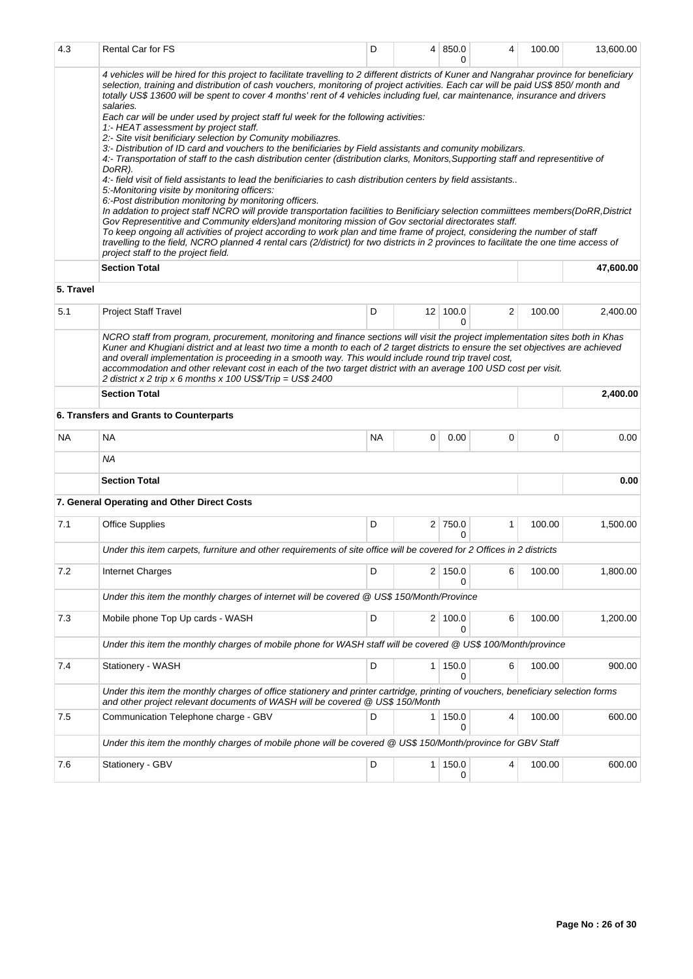| 4.3       | Rental Car for FS                                                                                                                                                                                                                                                                                                                                                                                                                                                                                                                                                                                                                                                                                                                                                                                                                                                                                                                                                                                                                                                                                                                                                                                                                                                                                                                                                                                                                                                                                                                                                                                                                                                                         | D         |   | 4   850.0<br>O  | 4 | 100.00 | 13,600.00 |
|-----------|-------------------------------------------------------------------------------------------------------------------------------------------------------------------------------------------------------------------------------------------------------------------------------------------------------------------------------------------------------------------------------------------------------------------------------------------------------------------------------------------------------------------------------------------------------------------------------------------------------------------------------------------------------------------------------------------------------------------------------------------------------------------------------------------------------------------------------------------------------------------------------------------------------------------------------------------------------------------------------------------------------------------------------------------------------------------------------------------------------------------------------------------------------------------------------------------------------------------------------------------------------------------------------------------------------------------------------------------------------------------------------------------------------------------------------------------------------------------------------------------------------------------------------------------------------------------------------------------------------------------------------------------------------------------------------------------|-----------|---|-----------------|---|--------|-----------|
|           | 4 vehicles will be hired for this project to facilitate travelling to 2 different districts of Kuner and Nangrahar province for beneficiary<br>selection, training and distribution of cash vouchers, monitoring of project activities. Each car will be paid US\$ 850/month and<br>totally US\$ 13600 will be spent to cover 4 months' rent of 4 vehicles including fuel, car maintenance, insurance and drivers<br>salaries.<br>Each car will be under used by project staff ful week for the following activities:<br>1:- HEAT assessment by project staff.<br>2:- Site visit benificiary selection by Comunity mobiliazres.<br>3:- Distribution of ID card and vouchers to the benificiaries by Field assistants and comunity mobilizars.<br>4:- Transportation of staff to the cash distribution center (distribution clarks, Monitors, Supporting staff and representitive of<br>DoRR).<br>4:- field visit of field assistants to lead the benificiaries to cash distribution centers by field assistants<br>5. Monitoring visite by monitoring officers:<br>6:-Post distribution monitoring by monitoring officers.<br>In addation to project staff NCRO will provide transportation facilities to Benificiary selection commiittees members(DoRR,District<br>Gov Representitive and Community elders) and monitoring mission of Gov sectorial directorates staff.<br>To keep ongoing all activities of project according to work plan and time frame of project, considering the number of staff<br>travelling to the field, NCRO planned 4 rental cars (2/district) for two districts in 2 provinces to facilitate the one time access of<br>project staff to the project field. |           |   |                 |   |        |           |
| 5. Travel | <b>Section Total</b>                                                                                                                                                                                                                                                                                                                                                                                                                                                                                                                                                                                                                                                                                                                                                                                                                                                                                                                                                                                                                                                                                                                                                                                                                                                                                                                                                                                                                                                                                                                                                                                                                                                                      |           |   |                 |   |        | 47,600.00 |
|           |                                                                                                                                                                                                                                                                                                                                                                                                                                                                                                                                                                                                                                                                                                                                                                                                                                                                                                                                                                                                                                                                                                                                                                                                                                                                                                                                                                                                                                                                                                                                                                                                                                                                                           |           |   |                 |   |        |           |
| 5.1       | <b>Project Staff Travel</b>                                                                                                                                                                                                                                                                                                                                                                                                                                                                                                                                                                                                                                                                                                                                                                                                                                                                                                                                                                                                                                                                                                                                                                                                                                                                                                                                                                                                                                                                                                                                                                                                                                                               | D         |   | $12$ 100.0<br>0 | 2 | 100.00 | 2,400.00  |
|           | NCRO staff from program, procurement, monitoring and finance sections will visit the project implementation sites both in Khas<br>Kuner and Khugiani district and at least two time a month to each of 2 target districts to ensure the set objectives are achieved<br>and overall implementation is proceeding in a smooth way. This would include round trip travel cost,<br>accommodation and other relevant cost in each of the two target district with an average 100 USD cost per visit.<br>2 district x 2 trip x 6 months x 100 US\$/Trip = US\$ 2400                                                                                                                                                                                                                                                                                                                                                                                                                                                                                                                                                                                                                                                                                                                                                                                                                                                                                                                                                                                                                                                                                                                             |           |   |                 |   |        |           |
|           | <b>Section Total</b>                                                                                                                                                                                                                                                                                                                                                                                                                                                                                                                                                                                                                                                                                                                                                                                                                                                                                                                                                                                                                                                                                                                                                                                                                                                                                                                                                                                                                                                                                                                                                                                                                                                                      |           |   |                 |   |        | 2,400.00  |
|           | 6. Transfers and Grants to Counterparts                                                                                                                                                                                                                                                                                                                                                                                                                                                                                                                                                                                                                                                                                                                                                                                                                                                                                                                                                                                                                                                                                                                                                                                                                                                                                                                                                                                                                                                                                                                                                                                                                                                   |           |   |                 |   |        |           |
| <b>NA</b> | <b>NA</b>                                                                                                                                                                                                                                                                                                                                                                                                                                                                                                                                                                                                                                                                                                                                                                                                                                                                                                                                                                                                                                                                                                                                                                                                                                                                                                                                                                                                                                                                                                                                                                                                                                                                                 | <b>NA</b> | 0 | 0.00            | 0 | 0      | 0.00      |
|           | <b>NA</b>                                                                                                                                                                                                                                                                                                                                                                                                                                                                                                                                                                                                                                                                                                                                                                                                                                                                                                                                                                                                                                                                                                                                                                                                                                                                                                                                                                                                                                                                                                                                                                                                                                                                                 |           |   |                 |   |        |           |
|           | <b>Section Total</b>                                                                                                                                                                                                                                                                                                                                                                                                                                                                                                                                                                                                                                                                                                                                                                                                                                                                                                                                                                                                                                                                                                                                                                                                                                                                                                                                                                                                                                                                                                                                                                                                                                                                      |           |   |                 |   |        | 0.00      |
|           | 7. General Operating and Other Direct Costs                                                                                                                                                                                                                                                                                                                                                                                                                                                                                                                                                                                                                                                                                                                                                                                                                                                                                                                                                                                                                                                                                                                                                                                                                                                                                                                                                                                                                                                                                                                                                                                                                                               |           |   |                 |   |        |           |
| 7.1       | <b>Office Supplies</b>                                                                                                                                                                                                                                                                                                                                                                                                                                                                                                                                                                                                                                                                                                                                                                                                                                                                                                                                                                                                                                                                                                                                                                                                                                                                                                                                                                                                                                                                                                                                                                                                                                                                    | D         |   | 2 750.0<br>0    | 1 | 100.00 | 1,500.00  |
|           | Under this item carpets, furniture and other requirements of site office will be covered for 2 Offices in 2 districts                                                                                                                                                                                                                                                                                                                                                                                                                                                                                                                                                                                                                                                                                                                                                                                                                                                                                                                                                                                                                                                                                                                                                                                                                                                                                                                                                                                                                                                                                                                                                                     |           |   |                 |   |        |           |
| 7.2       | Internet Charges                                                                                                                                                                                                                                                                                                                                                                                                                                                                                                                                                                                                                                                                                                                                                                                                                                                                                                                                                                                                                                                                                                                                                                                                                                                                                                                                                                                                                                                                                                                                                                                                                                                                          | D         | 2 | 150.0<br>0      | 6 | 100.00 | 1,800.00  |
|           | Under this item the monthly charges of internet will be covered @ US\$ 150/Month/Province                                                                                                                                                                                                                                                                                                                                                                                                                                                                                                                                                                                                                                                                                                                                                                                                                                                                                                                                                                                                                                                                                                                                                                                                                                                                                                                                                                                                                                                                                                                                                                                                 |           |   |                 |   |        |           |
| 7.3       | Mobile phone Top Up cards - WASH                                                                                                                                                                                                                                                                                                                                                                                                                                                                                                                                                                                                                                                                                                                                                                                                                                                                                                                                                                                                                                                                                                                                                                                                                                                                                                                                                                                                                                                                                                                                                                                                                                                          | D         |   | 2 100.0<br>0    | 6 | 100.00 | 1,200.00  |
|           | Under this item the monthly charges of mobile phone for WASH staff will be covered @ US\$ 100/Month/province                                                                                                                                                                                                                                                                                                                                                                                                                                                                                                                                                                                                                                                                                                                                                                                                                                                                                                                                                                                                                                                                                                                                                                                                                                                                                                                                                                                                                                                                                                                                                                              |           |   |                 |   |        |           |
| 7.4       | Stationery - WASH                                                                                                                                                                                                                                                                                                                                                                                                                                                                                                                                                                                                                                                                                                                                                                                                                                                                                                                                                                                                                                                                                                                                                                                                                                                                                                                                                                                                                                                                                                                                                                                                                                                                         | D         | 1 | 150.0<br>0      | 6 | 100.00 | 900.00    |
|           | Under this item the monthly charges of office stationery and printer cartridge, printing of vouchers, beneficiary selection forms<br>and other project relevant documents of WASH will be covered @ US\$ 150/Month                                                                                                                                                                                                                                                                                                                                                                                                                                                                                                                                                                                                                                                                                                                                                                                                                                                                                                                                                                                                                                                                                                                                                                                                                                                                                                                                                                                                                                                                        |           |   |                 |   |        |           |
| 7.5       | Communication Telephone charge - GBV                                                                                                                                                                                                                                                                                                                                                                                                                                                                                                                                                                                                                                                                                                                                                                                                                                                                                                                                                                                                                                                                                                                                                                                                                                                                                                                                                                                                                                                                                                                                                                                                                                                      | D         |   | 1   150.0<br>0  | 4 | 100.00 | 600.00    |
|           | Under this item the monthly charges of mobile phone will be covered @ US\$ 150/Month/province for GBV Staff                                                                                                                                                                                                                                                                                                                                                                                                                                                                                                                                                                                                                                                                                                                                                                                                                                                                                                                                                                                                                                                                                                                                                                                                                                                                                                                                                                                                                                                                                                                                                                               |           |   |                 |   |        |           |
| 7.6       | Stationery - GBV                                                                                                                                                                                                                                                                                                                                                                                                                                                                                                                                                                                                                                                                                                                                                                                                                                                                                                                                                                                                                                                                                                                                                                                                                                                                                                                                                                                                                                                                                                                                                                                                                                                                          | D         | 1 | 150.0<br>0      | 4 | 100.00 | 600.00    |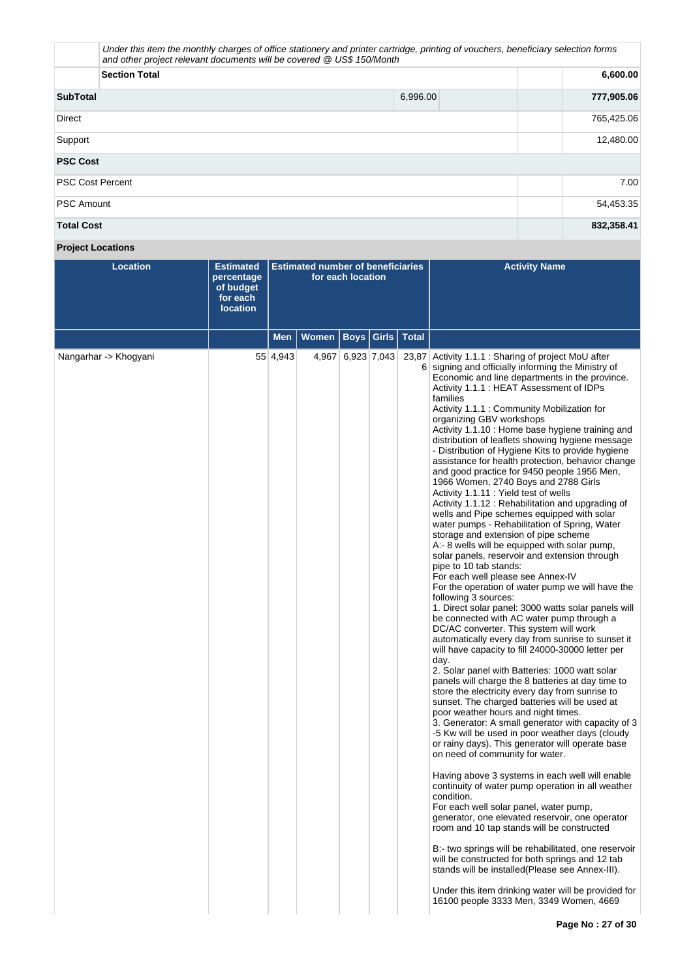| Under this item the monthly charges of office stationery and printer cartridge, printing of vouchers, beneficiary selection forms<br>and other project relevant documents will be covered @ US\$ 150/Month |          |            |
|------------------------------------------------------------------------------------------------------------------------------------------------------------------------------------------------------------|----------|------------|
| <b>Section Total</b>                                                                                                                                                                                       |          | 6,600.00   |
| <b>SubTotal</b>                                                                                                                                                                                            | 6,996.00 | 777,905.06 |
| <b>Direct</b>                                                                                                                                                                                              |          | 765,425.06 |
| Support                                                                                                                                                                                                    |          | 12,480.00  |
| <b>PSC Cost</b>                                                                                                                                                                                            |          |            |
| <b>PSC Cost Percent</b>                                                                                                                                                                                    |          | 7.00       |
| <b>PSC Amount</b>                                                                                                                                                                                          |          | 54,453.35  |
| <b>Total Cost</b>                                                                                                                                                                                          |          | 832,358.41 |

# **Project Locations**

| <b>Location</b>       | <b>Estimated</b><br>percentage<br>of budget<br>for each<br><b>location</b> |          | <b>Estimated number of beneficiaries</b><br>for each location |                   |              |              | <b>Activity Name</b>                                                                                                                                                                                                                                                                                                                                                                                                                                                                                                                                                                                                                                                                                                                                                                                                                                                                                                                                                                                                                                                                                                                                                                                                                                                                                                                                                                                                                                                                                                                                                                                                                                                                                                                                                                                                                                                                                                                                                                                                                                                                                                                                                                                                                                                                                                                        |
|-----------------------|----------------------------------------------------------------------------|----------|---------------------------------------------------------------|-------------------|--------------|--------------|---------------------------------------------------------------------------------------------------------------------------------------------------------------------------------------------------------------------------------------------------------------------------------------------------------------------------------------------------------------------------------------------------------------------------------------------------------------------------------------------------------------------------------------------------------------------------------------------------------------------------------------------------------------------------------------------------------------------------------------------------------------------------------------------------------------------------------------------------------------------------------------------------------------------------------------------------------------------------------------------------------------------------------------------------------------------------------------------------------------------------------------------------------------------------------------------------------------------------------------------------------------------------------------------------------------------------------------------------------------------------------------------------------------------------------------------------------------------------------------------------------------------------------------------------------------------------------------------------------------------------------------------------------------------------------------------------------------------------------------------------------------------------------------------------------------------------------------------------------------------------------------------------------------------------------------------------------------------------------------------------------------------------------------------------------------------------------------------------------------------------------------------------------------------------------------------------------------------------------------------------------------------------------------------------------------------------------------------|
|                       |                                                                            | Men      | Women                                                         |                   | Boys   Girls | <b>Total</b> |                                                                                                                                                                                                                                                                                                                                                                                                                                                                                                                                                                                                                                                                                                                                                                                                                                                                                                                                                                                                                                                                                                                                                                                                                                                                                                                                                                                                                                                                                                                                                                                                                                                                                                                                                                                                                                                                                                                                                                                                                                                                                                                                                                                                                                                                                                                                             |
| Nangarhar -> Khogyani |                                                                            | 55 4,943 |                                                               | 4,967 6,923 7,043 |              |              | 23,87 Activity 1.1.1 : Sharing of project MoU after<br>6 signing and officially informing the Ministry of<br>Economic and line departments in the province.<br>Activity 1.1.1: HEAT Assessment of IDPs<br>families<br>Activity 1.1.1 : Community Mobilization for<br>organizing GBV workshops<br>Activity 1.1.10 : Home base hygiene training and<br>distribution of leaflets showing hygiene message<br>- Distribution of Hygiene Kits to provide hygiene<br>assistance for health protection, behavior change<br>and good practice for 9450 people 1956 Men,<br>1966 Women, 2740 Boys and 2788 Girls<br>Activity 1.1.11 : Yield test of wells<br>Activity 1.1.12: Rehabilitation and upgrading of<br>wells and Pipe schemes equipped with solar<br>water pumps - Rehabilitation of Spring, Water<br>storage and extension of pipe scheme<br>A:- 8 wells will be equipped with solar pump,<br>solar panels, reservoir and extension through<br>pipe to 10 tab stands:<br>For each well please see Annex-IV<br>For the operation of water pump we will have the<br>following 3 sources:<br>1. Direct solar panel: 3000 watts solar panels will<br>be connected with AC water pump through a<br>DC/AC converter. This system will work<br>automatically every day from sunrise to sunset it<br>will have capacity to fill 24000-30000 letter per<br>day.<br>2. Solar panel with Batteries: 1000 watt solar<br>panels will charge the 8 batteries at day time to<br>store the electricity every day from sunrise to<br>sunset. The charged batteries will be used at<br>poor weather hours and night times.<br>3. Generator: A small generator with capacity of 3<br>-5 Kw will be used in poor weather days (cloudy<br>or rainy days). This generator will operate base<br>on need of community for water.<br>Having above 3 systems in each well will enable<br>continuity of water pump operation in all weather<br>condition.<br>For each well solar panel, water pump,<br>generator, one elevated reservoir, one operator<br>room and 10 tap stands will be constructed<br>B:- two springs will be rehabilitated, one reservoir<br>will be constructed for both springs and 12 tab<br>stands will be installed (Please see Annex-III).<br>Under this item drinking water will be provided for<br>16100 people 3333 Men, 3349 Women, 4669 |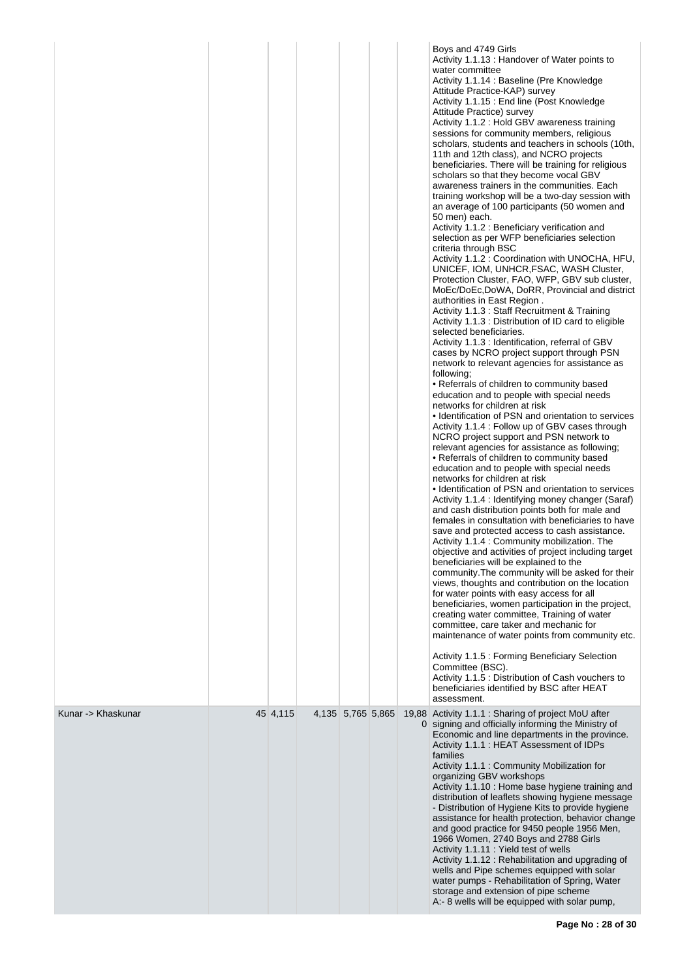|                    |          |                   |  | Boys and 4749 Girls<br>Activity 1.1.13: Handover of Water points to<br>water committee<br>Activity 1.1.14 : Baseline (Pre Knowledge)<br>Attitude Practice-KAP) survey<br>Activity 1.1.15 : End line (Post Knowledge<br>Attitude Practice) survey<br>Activity 1.1.2 : Hold GBV awareness training<br>sessions for community members, religious<br>scholars, students and teachers in schools (10th,<br>11th and 12th class), and NCRO projects<br>beneficiaries. There will be training for religious<br>scholars so that they become vocal GBV<br>awareness trainers in the communities. Each<br>training workshop will be a two-day session with<br>an average of 100 participants (50 women and<br>50 men) each.<br>Activity 1.1.2 : Beneficiary verification and<br>selection as per WFP beneficiaries selection<br>criteria through BSC<br>Activity 1.1.2 : Coordination with UNOCHA, HFU,<br>UNICEF, IOM, UNHCR, FSAC, WASH Cluster,<br>Protection Cluster, FAO, WFP, GBV sub cluster,<br>MoEc/DoEc,DoWA, DoRR, Provincial and district<br>authorities in East Region.<br>Activity 1.1.3: Staff Recruitment & Training<br>Activity 1.1.3 : Distribution of ID card to eligible<br>selected beneficiaries.<br>Activity 1.1.3 : Identification, referral of GBV<br>cases by NCRO project support through PSN<br>network to relevant agencies for assistance as<br>following:<br>• Referrals of children to community based<br>education and to people with special needs<br>networks for children at risk<br>• Identification of PSN and orientation to services<br>Activity 1.1.4 : Follow up of GBV cases through<br>NCRO project support and PSN network to<br>relevant agencies for assistance as following;<br>• Referrals of children to community based<br>education and to people with special needs<br>networks for children at risk<br>• Identification of PSN and orientation to services<br>Activity 1.1.4 : Identifying money changer (Saraf)<br>and cash distribution points both for male and<br>females in consultation with beneficiaries to have<br>save and protected access to cash assistance.<br>Activity 1.1.4 : Community mobilization. The<br>objective and activities of project including target<br>beneficiaries will be explained to the<br>community. The community will be asked for their<br>views, thoughts and contribution on the location<br>for water points with easy access for all<br>beneficiaries, women participation in the project,<br>creating water committee, Training of water<br>committee, care taker and mechanic for<br>maintenance of water points from community etc.<br>Activity 1.1.5 : Forming Beneficiary Selection<br>Committee (BSC).<br>Activity 1.1.5 : Distribution of Cash vouchers to<br>beneficiaries identified by BSC after HEAT<br>assessment. |
|--------------------|----------|-------------------|--|-------------------------------------------------------------------------------------------------------------------------------------------------------------------------------------------------------------------------------------------------------------------------------------------------------------------------------------------------------------------------------------------------------------------------------------------------------------------------------------------------------------------------------------------------------------------------------------------------------------------------------------------------------------------------------------------------------------------------------------------------------------------------------------------------------------------------------------------------------------------------------------------------------------------------------------------------------------------------------------------------------------------------------------------------------------------------------------------------------------------------------------------------------------------------------------------------------------------------------------------------------------------------------------------------------------------------------------------------------------------------------------------------------------------------------------------------------------------------------------------------------------------------------------------------------------------------------------------------------------------------------------------------------------------------------------------------------------------------------------------------------------------------------------------------------------------------------------------------------------------------------------------------------------------------------------------------------------------------------------------------------------------------------------------------------------------------------------------------------------------------------------------------------------------------------------------------------------------------------------------------------------------------------------------------------------------------------------------------------------------------------------------------------------------------------------------------------------------------------------------------------------------------------------------------------------------------------------------------------------------------------------------------------------------------------------------------------------------------------------------------------------------------------------------------------------------------|
| Kunar -> Khaskunar | 45 4,115 | 4,135 5,765 5,865 |  | 19,88 Activity 1.1.1 : Sharing of project MoU after<br>0 signing and officially informing the Ministry of<br>Economic and line departments in the province.<br>Activity 1.1.1 : HEAT Assessment of IDPs<br>families<br>Activity 1.1.1 : Community Mobilization for<br>organizing GBV workshops<br>Activity 1.1.10 : Home base hygiene training and<br>distribution of leaflets showing hygiene message<br>- Distribution of Hygiene Kits to provide hygiene<br>assistance for health protection, behavior change<br>and good practice for 9450 people 1956 Men,<br>1966 Women, 2740 Boys and 2788 Girls<br>Activity 1.1.11 : Yield test of wells<br>Activity 1.1.12: Rehabilitation and upgrading of<br>wells and Pipe schemes equipped with solar<br>water pumps - Rehabilitation of Spring, Water<br>storage and extension of pipe scheme<br>A:- 8 wells will be equipped with solar pump,                                                                                                                                                                                                                                                                                                                                                                                                                                                                                                                                                                                                                                                                                                                                                                                                                                                                                                                                                                                                                                                                                                                                                                                                                                                                                                                                                                                                                                                                                                                                                                                                                                                                                                                                                                                                                                                                                                                            |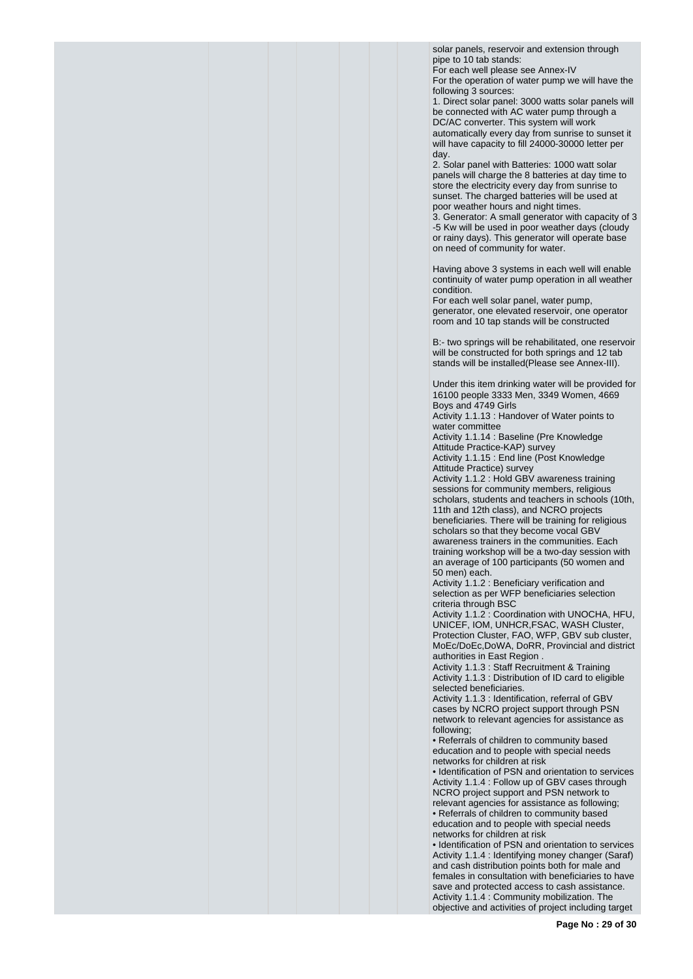solar panels, reservoir and extension through pipe to 10 tab stands: For each well please see Annex-IV

For the operation of water pump we will have the following 3 sources:

1. Direct solar panel: 3000 watts solar panels will be connected with AC water pump through a DC/AC converter. This system will work automatically every day from sunrise to sunset it will have capacity to fill 24000-30000 letter per day.

2. Solar panel with Batteries: 1000 watt solar panels will charge the 8 batteries at day time to store the electricity every day from sunrise to sunset. The charged batteries will be used at poor weather hours and night times.

3. Generator: A small generator with capacity of 3 -5 Kw will be used in poor weather days (cloudy or rainy days). This generator will operate base on need of community for water.

Having above 3 systems in each well will enable continuity of water pump operation in all weather condition.

For each well solar panel, water pump, generator, one elevated reservoir, one operator room and 10 tap stands will be constructed

B:- two springs will be rehabilitated, one reservoir will be constructed for both springs and 12 tab stands will be installed(Please see Annex-III).

Under this item drinking water will be provided for 16100 people 3333 Men, 3349 Women, 4669 Boys and 4749 Girls

Activity 1.1.13 : Handover of Water points to water committee

Activity 1.1.14 : Baseline (Pre Knowledge Attitude Practice-KAP) survey

Activity 1.1.15 : End line (Post Knowledge Attitude Practice) survey

Activity 1.1.2 : Hold GBV awareness training sessions for community members, religious scholars, students and teachers in schools (10th, 11th and 12th class), and NCRO projects beneficiaries. There will be training for religious scholars so that they become vocal GBV awareness trainers in the communities. Each training workshop will be a two-day session with an average of 100 participants (50 women and

50 men) each. Activity 1.1.2 : Beneficiary verification and selection as per WFP beneficiaries selection criteria through BSC

Activity 1.1.2 : Coordination with UNOCHA, HFU, UNICEF, IOM, UNHCR,FSAC, WASH Cluster, Protection Cluster, FAO, WFP, GBV sub cluster, MoEc/DoEc,DoWA, DoRR, Provincial and district authorities in East Region .

Activity 1.1.3 : Staff Recruitment & Training Activity 1.1.3 : Distribution of ID card to eligible selected beneficiaries.

Activity 1.1.3 : Identification, referral of GBV cases by NCRO project support through PSN network to relevant agencies for assistance as following;

• Referrals of children to community based education and to people with special needs networks for children at risk

• Identification of PSN and orientation to services Activity 1.1.4 : Follow up of GBV cases through NCRO project support and PSN network to relevant agencies for assistance as following; • Referrals of children to community based education and to people with special needs networks for children at risk

• Identification of PSN and orientation to services Activity 1.1.4 : Identifying money changer (Saraf) and cash distribution points both for male and females in consultation with beneficiaries to have save and protected access to cash assistance. Activity 1.1.4 : Community mobilization. The objective and activities of project including target

**Page No : 29 of 30**